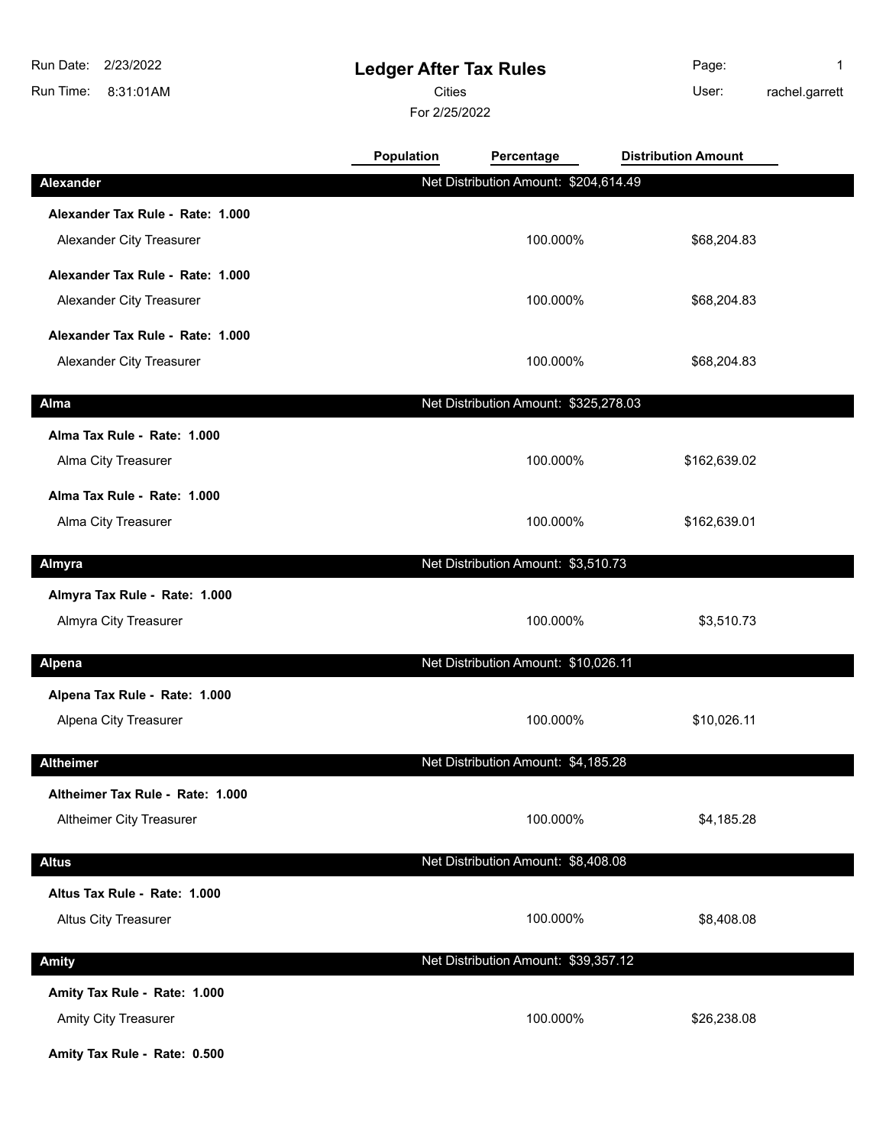8:31:01AM Run Time: Run Date: 2/23/2022

## **Ledger After Tax Rules**

Cities **User:** 

For 2/25/2022

Page: 1 rachel.garrett

|                                  | Population | Percentage                            | <b>Distribution Amount</b> |  |
|----------------------------------|------------|---------------------------------------|----------------------------|--|
| Alexander                        |            | Net Distribution Amount: \$204,614.49 |                            |  |
| Alexander Tax Rule - Rate: 1.000 |            |                                       |                            |  |
| Alexander City Treasurer         |            | 100.000%                              | \$68,204.83                |  |
| Alexander Tax Rule - Rate: 1.000 |            |                                       |                            |  |
| Alexander City Treasurer         |            | 100.000%                              | \$68,204.83                |  |
| Alexander Tax Rule - Rate: 1.000 |            |                                       |                            |  |
| Alexander City Treasurer         |            | 100.000%                              | \$68,204.83                |  |
| Alma                             |            | Net Distribution Amount: \$325,278.03 |                            |  |
| Alma Tax Rule - Rate: 1.000      |            |                                       |                            |  |
| Alma City Treasurer              |            | 100.000%                              | \$162,639.02               |  |
| Alma Tax Rule - Rate: 1.000      |            |                                       |                            |  |
| Alma City Treasurer              |            | 100.000%                              | \$162,639.01               |  |
| Almyra                           |            | Net Distribution Amount: \$3,510.73   |                            |  |
| Almyra Tax Rule - Rate: 1.000    |            |                                       |                            |  |
| Almyra City Treasurer            |            | 100.000%                              | \$3,510.73                 |  |
| <b>Alpena</b>                    |            | Net Distribution Amount: \$10,026.11  |                            |  |
| Alpena Tax Rule - Rate: 1.000    |            |                                       |                            |  |
| Alpena City Treasurer            |            | 100.000%                              | \$10,026.11                |  |
| <b>Altheimer</b>                 |            | Net Distribution Amount: \$4,185.28   |                            |  |
| Altheimer Tax Rule - Rate: 1.000 |            |                                       |                            |  |
| Altheimer City Treasurer         |            | 100.000%                              | \$4,185.28                 |  |
| <b>Altus</b>                     |            | Net Distribution Amount: \$8,408.08   |                            |  |
| Altus Tax Rule - Rate: 1.000     |            |                                       |                            |  |
| <b>Altus City Treasurer</b>      |            | 100.000%                              | \$8,408.08                 |  |
|                                  |            |                                       |                            |  |
| <b>Amity</b>                     |            | Net Distribution Amount: \$39,357.12  |                            |  |
| Amity Tax Rule - Rate: 1.000     |            |                                       |                            |  |
| Amity City Treasurer             |            | 100.000%                              | \$26,238.08                |  |

**Amity Tax Rule - Rate: 0.500**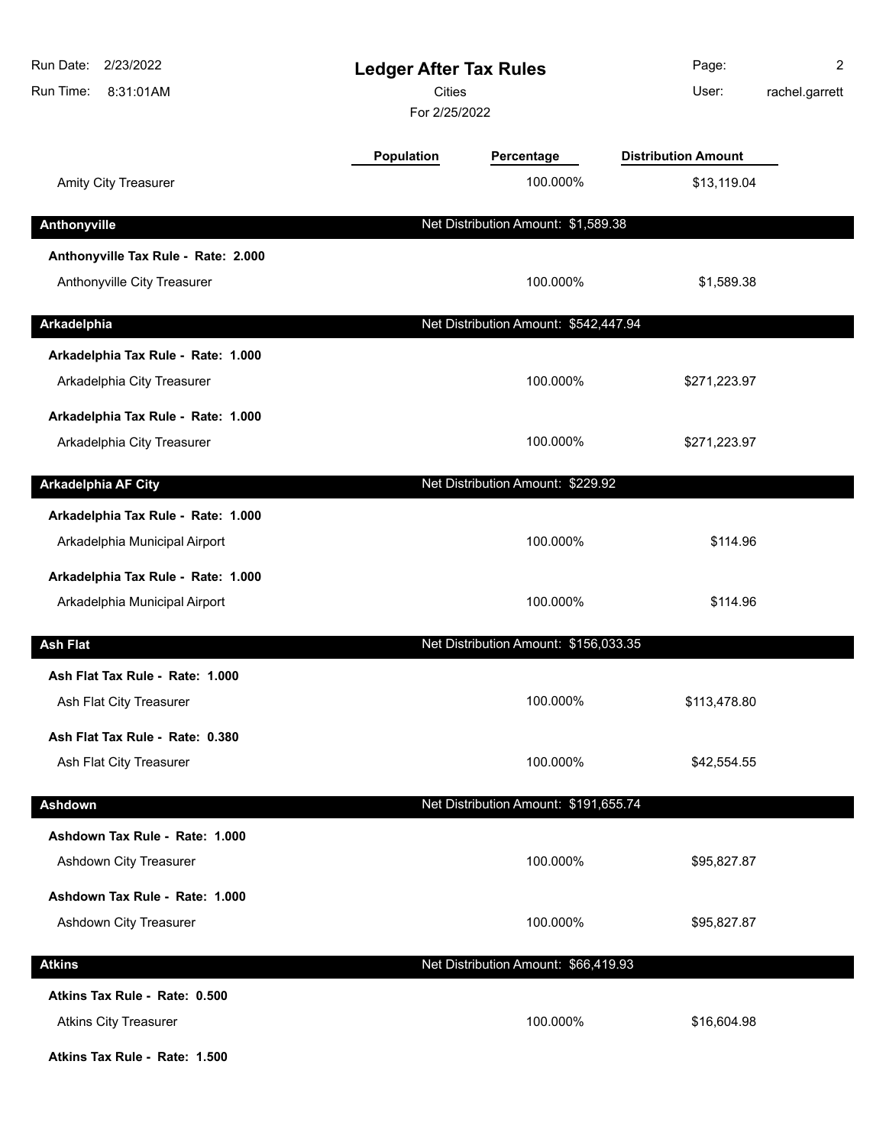| Run Date:<br>2/23/2022<br>Run Time:<br>8:31:01AM                    | <b>Ledger After Tax Rules</b><br><b>Cities</b><br>For 2/25/2022 |                                       | Page:<br>User:             | 2<br>rachel.garrett |
|---------------------------------------------------------------------|-----------------------------------------------------------------|---------------------------------------|----------------------------|---------------------|
|                                                                     | Population                                                      | Percentage                            | <b>Distribution Amount</b> |                     |
| Amity City Treasurer                                                |                                                                 | 100.000%                              | \$13,119.04                |                     |
| Anthonyville                                                        |                                                                 | Net Distribution Amount: \$1,589.38   |                            |                     |
| Anthonyville Tax Rule - Rate: 2.000<br>Anthonyville City Treasurer  |                                                                 | 100.000%                              | \$1,589.38                 |                     |
| Arkadelphia                                                         |                                                                 | Net Distribution Amount: \$542,447.94 |                            |                     |
| Arkadelphia Tax Rule - Rate: 1.000<br>Arkadelphia City Treasurer    |                                                                 | 100.000%                              | \$271,223.97               |                     |
| Arkadelphia Tax Rule - Rate: 1.000<br>Arkadelphia City Treasurer    |                                                                 | 100.000%                              | \$271,223.97               |                     |
| <b>Arkadelphia AF City</b>                                          |                                                                 | Net Distribution Amount: \$229.92     |                            |                     |
| Arkadelphia Tax Rule - Rate: 1.000<br>Arkadelphia Municipal Airport |                                                                 | 100.000%                              | \$114.96                   |                     |
| Arkadelphia Tax Rule - Rate: 1.000<br>Arkadelphia Municipal Airport |                                                                 | 100.000%                              | \$114.96                   |                     |
| <b>Ash Flat</b>                                                     |                                                                 | Net Distribution Amount: \$156,033.35 |                            |                     |
| Ash Flat Tax Rule - Rate: 1.000<br>Ash Flat City Treasurer          |                                                                 | 100.000%                              | \$113,478.80               |                     |
| Ash Flat Tax Rule - Rate: 0.380<br>Ash Flat City Treasurer          |                                                                 | 100.000%                              | \$42,554.55                |                     |
| Ashdown                                                             |                                                                 | Net Distribution Amount: \$191,655.74 |                            |                     |
| Ashdown Tax Rule - Rate: 1.000<br>Ashdown City Treasurer            |                                                                 | 100.000%                              | \$95,827.87                |                     |
| Ashdown Tax Rule - Rate: 1.000<br>Ashdown City Treasurer            |                                                                 | 100.000%                              | \$95,827.87                |                     |
| <b>Atkins</b>                                                       |                                                                 | Net Distribution Amount: \$66,419.93  |                            |                     |
| Atkins Tax Rule - Rate: 0.500<br><b>Atkins City Treasurer</b>       |                                                                 | 100.000%                              | \$16,604.98                |                     |

**Atkins Tax Rule - Rate: 1.500**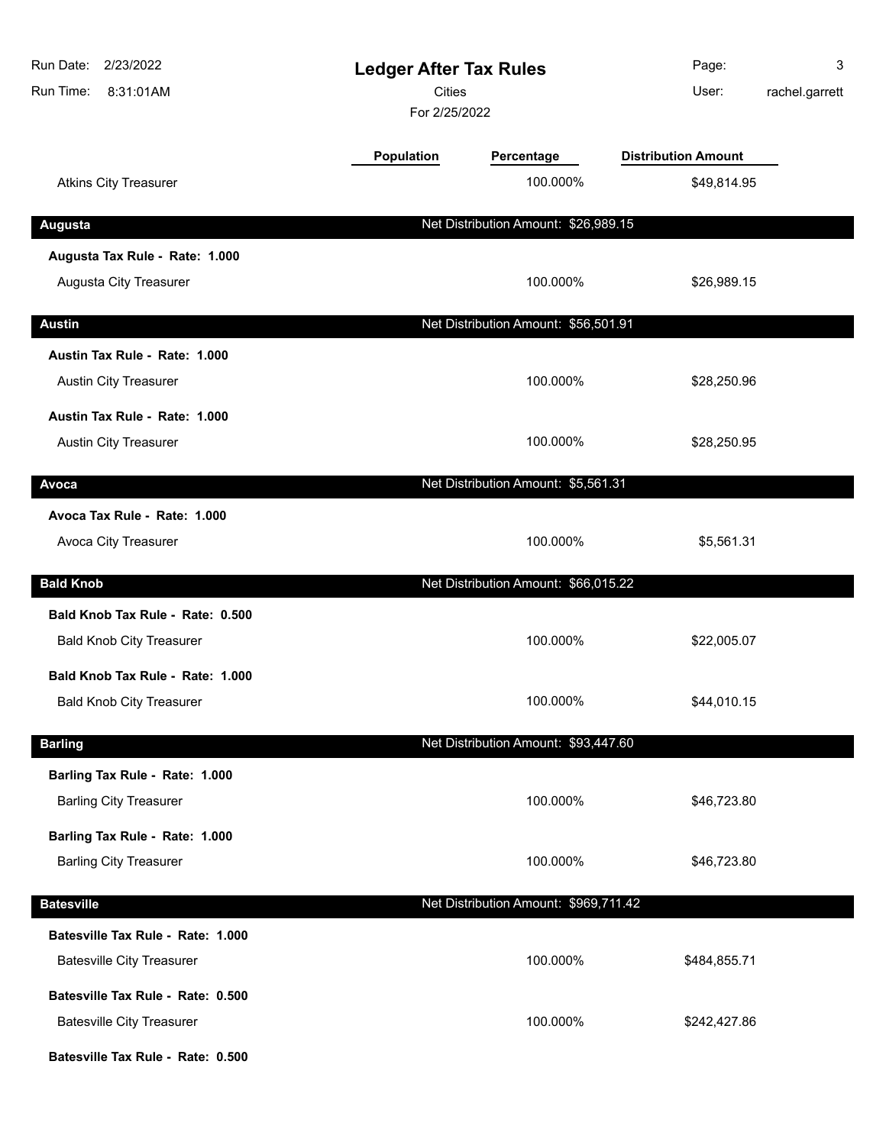| Run Date: 2/23/2022<br>Run Time:<br>8:31:01AM | <b>Ledger After Tax Rules</b><br><b>Cities</b><br>For 2/25/2022 |                                       | Page:<br>User:             | 3<br>rachel.garrett |
|-----------------------------------------------|-----------------------------------------------------------------|---------------------------------------|----------------------------|---------------------|
|                                               | <b>Population</b>                                               | Percentage                            | <b>Distribution Amount</b> |                     |
| <b>Atkins City Treasurer</b>                  |                                                                 | 100.000%                              | \$49,814.95                |                     |
| <b>Augusta</b>                                |                                                                 | Net Distribution Amount: \$26,989.15  |                            |                     |
| Augusta Tax Rule - Rate: 1.000                |                                                                 |                                       |                            |                     |
| Augusta City Treasurer                        |                                                                 | 100.000%                              | \$26,989.15                |                     |
| <b>Austin</b>                                 |                                                                 | Net Distribution Amount: \$56,501.91  |                            |                     |
| Austin Tax Rule - Rate: 1.000                 |                                                                 |                                       |                            |                     |
| Austin City Treasurer                         |                                                                 | 100.000%                              | \$28,250.96                |                     |
| Austin Tax Rule - Rate: 1.000                 |                                                                 |                                       |                            |                     |
| Austin City Treasurer                         |                                                                 | 100.000%                              | \$28,250.95                |                     |
| Avoca                                         |                                                                 | Net Distribution Amount: \$5,561.31   |                            |                     |
| Avoca Tax Rule - Rate: 1.000                  |                                                                 |                                       |                            |                     |
| Avoca City Treasurer                          |                                                                 | 100.000%                              | \$5,561.31                 |                     |
| <b>Bald Knob</b>                              |                                                                 | Net Distribution Amount: \$66,015.22  |                            |                     |
| Bald Knob Tax Rule - Rate: 0.500              |                                                                 |                                       |                            |                     |
| <b>Bald Knob City Treasurer</b>               |                                                                 | 100.000%                              | \$22,005.07                |                     |
| Bald Knob Tax Rule - Rate: 1.000              |                                                                 |                                       |                            |                     |
| <b>Bald Knob City Treasurer</b>               |                                                                 | 100.000%                              | \$44,010.15                |                     |
| <b>Barling</b>                                |                                                                 | Net Distribution Amount: \$93,447.60  |                            |                     |
| Barling Tax Rule - Rate: 1.000                |                                                                 |                                       |                            |                     |
| <b>Barling City Treasurer</b>                 |                                                                 | 100.000%                              | \$46,723.80                |                     |
| Barling Tax Rule - Rate: 1.000                |                                                                 |                                       |                            |                     |
| <b>Barling City Treasurer</b>                 |                                                                 | 100.000%                              | \$46,723.80                |                     |
| <b>Batesville</b>                             |                                                                 | Net Distribution Amount: \$969,711.42 |                            |                     |
| Batesville Tax Rule - Rate: 1.000             |                                                                 |                                       |                            |                     |
| <b>Batesville City Treasurer</b>              |                                                                 | 100.000%                              | \$484,855.71               |                     |
| Batesville Tax Rule - Rate: 0.500             |                                                                 |                                       |                            |                     |
| <b>Batesville City Treasurer</b>              |                                                                 | 100.000%                              | \$242,427.86               |                     |
| Batesville Tax Rule - Rate: 0.500             |                                                                 |                                       |                            |                     |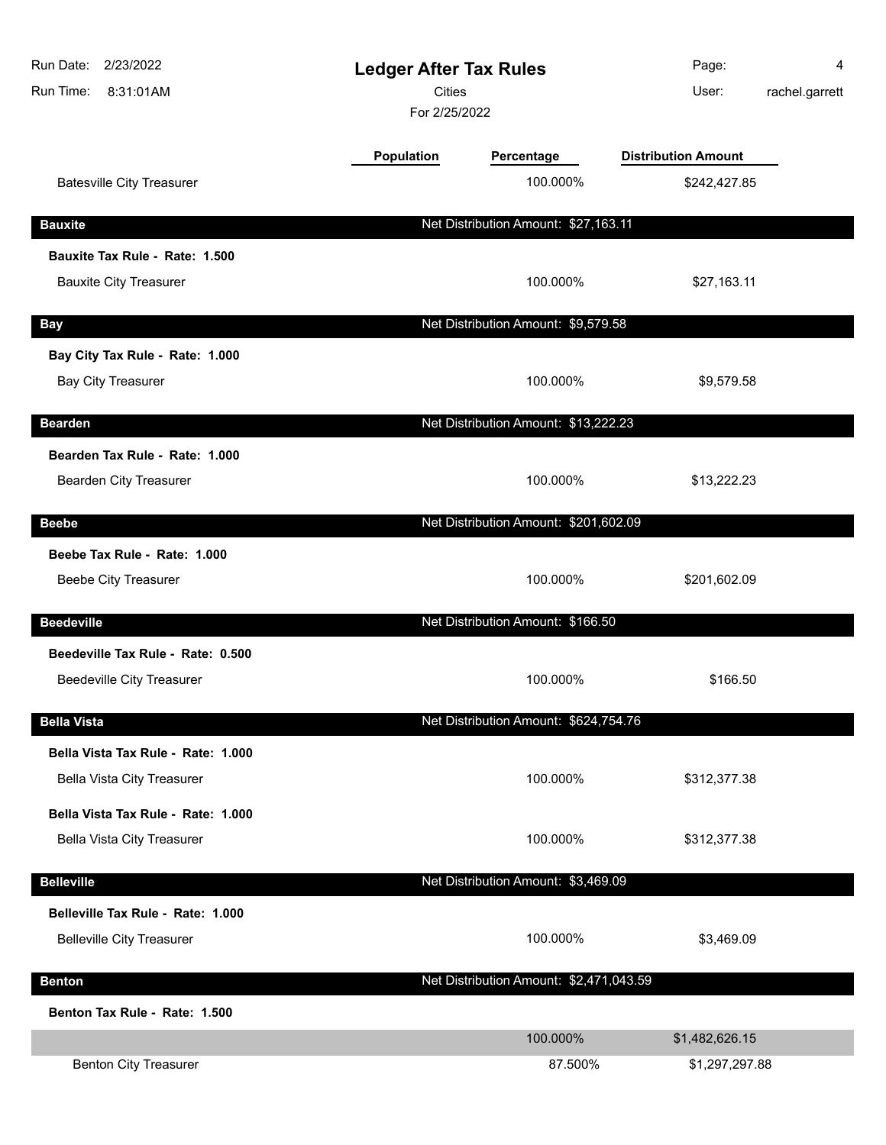| Run Date:<br>2/23/2022<br>Run Time:<br>8:31:01AM         | <b>Ledger After Tax Rules</b><br>Cities<br>For 2/25/2022 |                                         | Page:<br>User:             | 4<br>rachel.garrett |
|----------------------------------------------------------|----------------------------------------------------------|-----------------------------------------|----------------------------|---------------------|
|                                                          | <b>Population</b>                                        | Percentage                              | <b>Distribution Amount</b> |                     |
| <b>Batesville City Treasurer</b>                         |                                                          | 100.000%                                | \$242,427.85               |                     |
| <b>Bauxite</b>                                           |                                                          | Net Distribution Amount: \$27,163.11    |                            |                     |
| Bauxite Tax Rule - Rate: 1.500                           |                                                          |                                         |                            |                     |
| <b>Bauxite City Treasurer</b>                            |                                                          | 100.000%                                | \$27,163.11                |                     |
| <b>Bay</b>                                               |                                                          | Net Distribution Amount: \$9,579.58     |                            |                     |
| Bay City Tax Rule - Rate: 1.000                          |                                                          |                                         |                            |                     |
| <b>Bay City Treasurer</b>                                |                                                          | 100.000%                                | \$9,579.58                 |                     |
| <b>Bearden</b>                                           |                                                          | Net Distribution Amount: \$13,222.23    |                            |                     |
| Bearden Tax Rule - Rate: 1.000<br>Bearden City Treasurer |                                                          | 100.000%                                | \$13,222.23                |                     |
| <b>Beebe</b>                                             |                                                          | Net Distribution Amount: \$201,602.09   |                            |                     |
| Beebe Tax Rule - Rate: 1.000                             |                                                          |                                         |                            |                     |
| Beebe City Treasurer                                     |                                                          | 100.000%                                | \$201,602.09               |                     |
| <b>Beedeville</b>                                        |                                                          | Net Distribution Amount: \$166.50       |                            |                     |
| Beedeville Tax Rule - Rate: 0.500                        |                                                          |                                         |                            |                     |
| <b>Beedeville City Treasurer</b>                         |                                                          | 100.000%                                | \$166.50                   |                     |
| <b>Bella Vista</b>                                       |                                                          | Net Distribution Amount: \$624,754.76   |                            |                     |
| Bella Vista Tax Rule - Rate: 1.000                       |                                                          |                                         |                            |                     |
| Bella Vista City Treasurer                               |                                                          | 100.000%                                | \$312,377.38               |                     |
| Bella Vista Tax Rule - Rate: 1.000                       |                                                          |                                         |                            |                     |
| <b>Bella Vista City Treasurer</b>                        |                                                          | 100.000%                                | \$312,377.38               |                     |
| <b>Belleville</b>                                        |                                                          | Net Distribution Amount: \$3,469.09     |                            |                     |
| Belleville Tax Rule - Rate: 1.000                        |                                                          |                                         |                            |                     |
| <b>Belleville City Treasurer</b>                         |                                                          | 100.000%                                | \$3,469.09                 |                     |
| <b>Benton</b>                                            |                                                          | Net Distribution Amount: \$2,471,043.59 |                            |                     |
| Benton Tax Rule - Rate: 1.500                            |                                                          |                                         |                            |                     |
|                                                          |                                                          | 100.000%                                | \$1,482,626.15             |                     |
| <b>Benton City Treasurer</b>                             |                                                          | 87.500%                                 | \$1,297,297.88             |                     |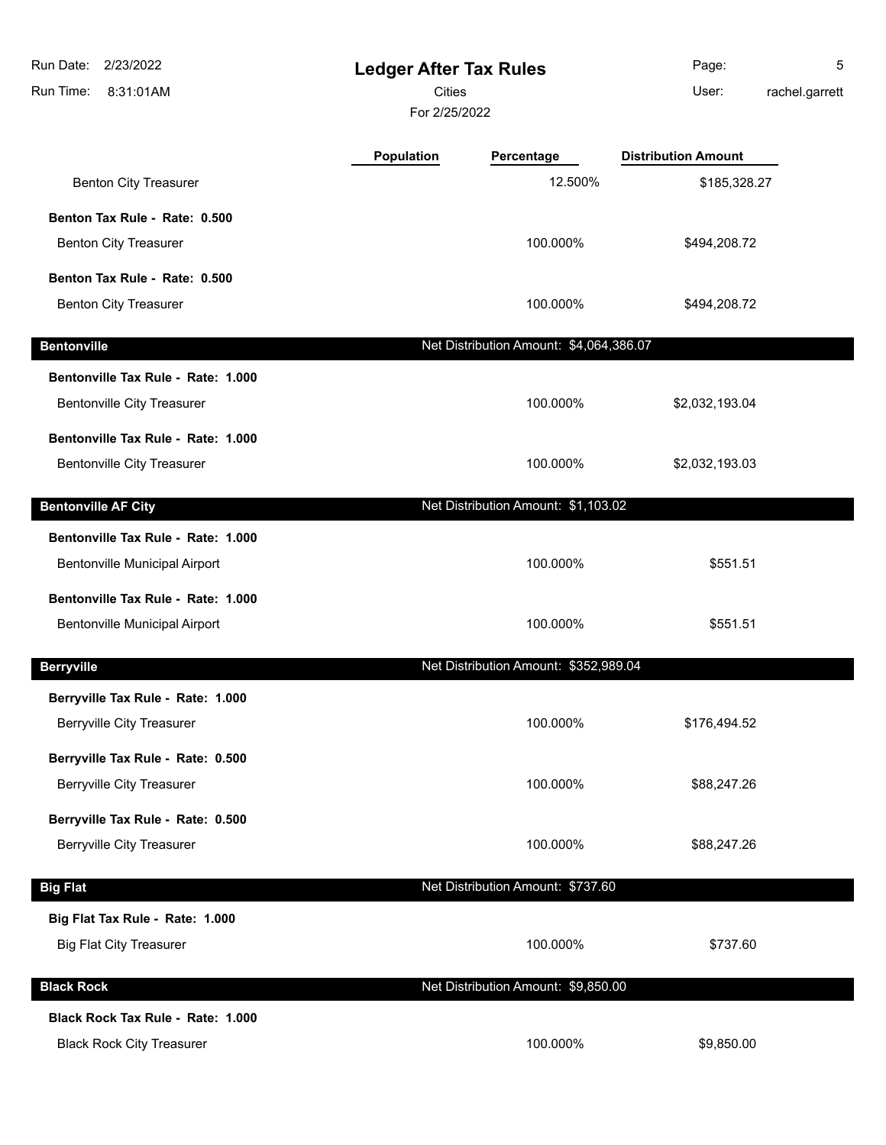| Run Date:<br>2/23/2022<br>Run Time:<br>8:31:01AM | <b>Ledger After Tax Rules</b><br>Cities<br>For 2/25/2022 |                                         | Page:<br>User:             | 5<br>rachel.garrett |
|--------------------------------------------------|----------------------------------------------------------|-----------------------------------------|----------------------------|---------------------|
|                                                  | Population                                               | Percentage                              | <b>Distribution Amount</b> |                     |
| <b>Benton City Treasurer</b>                     |                                                          | 12.500%                                 | \$185,328.27               |                     |
| Benton Tax Rule - Rate: 0.500                    |                                                          |                                         |                            |                     |
| <b>Benton City Treasurer</b>                     |                                                          | 100.000%                                | \$494,208.72               |                     |
| Benton Tax Rule - Rate: 0.500                    |                                                          |                                         |                            |                     |
| <b>Benton City Treasurer</b>                     |                                                          | 100.000%                                | \$494,208.72               |                     |
| <b>Bentonville</b>                               |                                                          | Net Distribution Amount: \$4,064,386.07 |                            |                     |
| Bentonville Tax Rule - Rate: 1.000               |                                                          |                                         |                            |                     |
| <b>Bentonville City Treasurer</b>                |                                                          | 100.000%                                | \$2,032,193.04             |                     |
| Bentonville Tax Rule - Rate: 1.000               |                                                          |                                         |                            |                     |
| <b>Bentonville City Treasurer</b>                |                                                          | 100.000%                                | \$2,032,193.03             |                     |
| <b>Bentonville AF City</b>                       |                                                          | Net Distribution Amount: \$1,103.02     |                            |                     |
| Bentonville Tax Rule - Rate: 1.000               |                                                          |                                         |                            |                     |
| Bentonville Municipal Airport                    |                                                          | 100.000%                                | \$551.51                   |                     |
| Bentonville Tax Rule - Rate: 1.000               |                                                          |                                         |                            |                     |
| <b>Bentonville Municipal Airport</b>             |                                                          | 100.000%                                | \$551.51                   |                     |
| <b>Berryville</b>                                |                                                          | Net Distribution Amount: \$352,989.04   |                            |                     |
| Berryville Tax Rule - Rate: 1.000                |                                                          |                                         |                            |                     |
| <b>Berryville City Treasurer</b>                 |                                                          | 100.000%                                | \$176,494.52               |                     |
| Berryville Tax Rule - Rate: 0.500                |                                                          |                                         |                            |                     |
| <b>Berryville City Treasurer</b>                 |                                                          | 100.000%                                | \$88,247.26                |                     |
| Berryville Tax Rule - Rate: 0.500                |                                                          |                                         |                            |                     |
| <b>Berryville City Treasurer</b>                 |                                                          | 100.000%                                | \$88,247.26                |                     |
| <b>Big Flat</b>                                  |                                                          | Net Distribution Amount: \$737.60       |                            |                     |
| Big Flat Tax Rule - Rate: 1.000                  |                                                          |                                         |                            |                     |
| <b>Big Flat City Treasurer</b>                   |                                                          | 100.000%                                | \$737.60                   |                     |
| <b>Black Rock</b>                                |                                                          | Net Distribution Amount: \$9,850.00     |                            |                     |
| Black Rock Tax Rule - Rate: 1.000                |                                                          |                                         |                            |                     |
| <b>Black Rock City Treasurer</b>                 |                                                          | 100.000%                                | \$9,850.00                 |                     |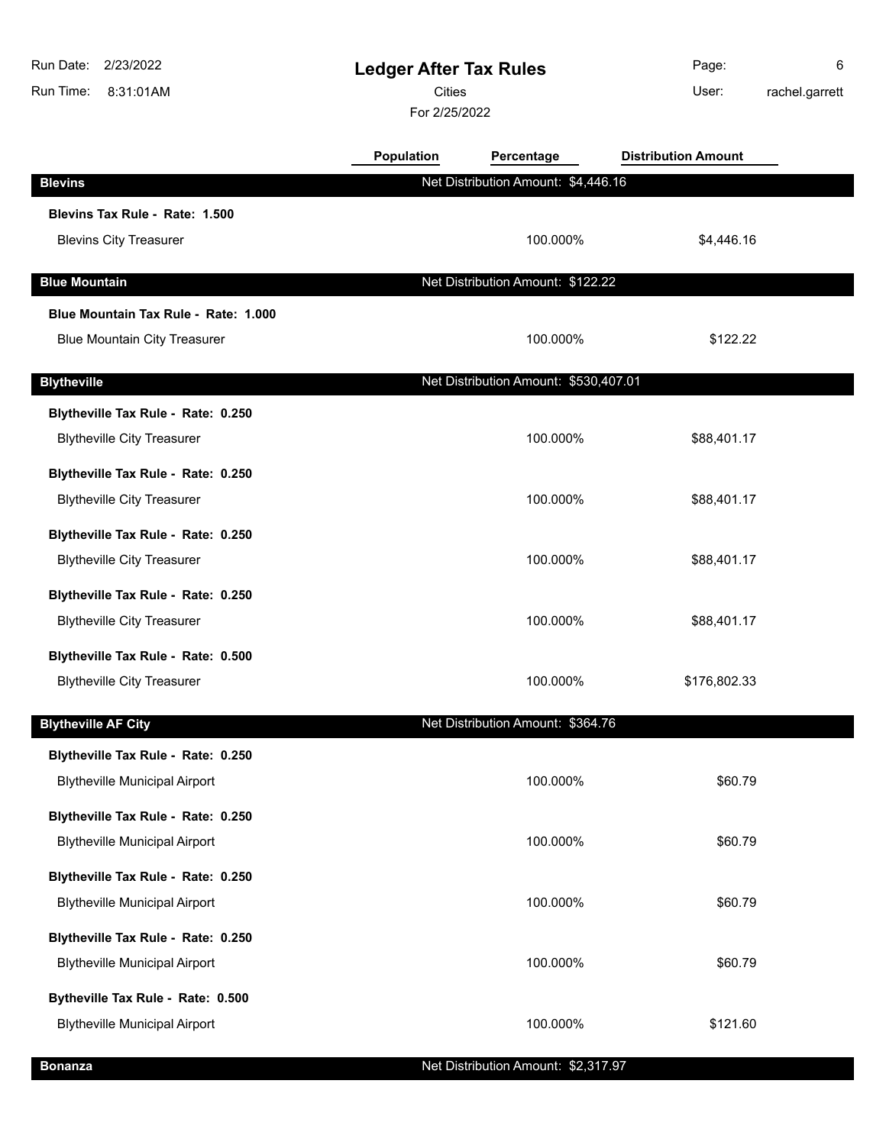| Run Date:<br>2/23/2022<br>Run Time:<br>8:31:01AM | <b>Ledger After Tax Rules</b><br><b>Cities</b><br>For 2/25/2022 |                                       | Page:<br>User:             | 6<br>rachel.garrett |
|--------------------------------------------------|-----------------------------------------------------------------|---------------------------------------|----------------------------|---------------------|
|                                                  | <b>Population</b>                                               | Percentage                            | <b>Distribution Amount</b> |                     |
| <b>Blevins</b>                                   |                                                                 | Net Distribution Amount: \$4,446.16   |                            |                     |
| Blevins Tax Rule - Rate: 1.500                   |                                                                 |                                       |                            |                     |
| <b>Blevins City Treasurer</b>                    |                                                                 | 100.000%                              | \$4,446.16                 |                     |
| <b>Blue Mountain</b>                             |                                                                 | Net Distribution Amount: \$122.22     |                            |                     |
| Blue Mountain Tax Rule - Rate: 1.000             |                                                                 |                                       |                            |                     |
| <b>Blue Mountain City Treasurer</b>              |                                                                 | 100.000%                              | \$122.22                   |                     |
| <b>Blytheville</b>                               |                                                                 | Net Distribution Amount: \$530,407.01 |                            |                     |
| Blytheville Tax Rule - Rate: 0.250               |                                                                 |                                       |                            |                     |
| <b>Blytheville City Treasurer</b>                |                                                                 | 100.000%                              | \$88,401.17                |                     |
| Blytheville Tax Rule - Rate: 0.250               |                                                                 |                                       |                            |                     |
| <b>Blytheville City Treasurer</b>                |                                                                 | 100.000%                              | \$88,401.17                |                     |
| Blytheville Tax Rule - Rate: 0.250               |                                                                 |                                       |                            |                     |
| <b>Blytheville City Treasurer</b>                |                                                                 | 100.000%                              | \$88,401.17                |                     |
| Blytheville Tax Rule - Rate: 0.250               |                                                                 |                                       |                            |                     |
| <b>Blytheville City Treasurer</b>                |                                                                 | 100.000%                              | \$88,401.17                |                     |
| Blytheville Tax Rule - Rate: 0.500               |                                                                 |                                       |                            |                     |
| <b>Blytheville City Treasurer</b>                |                                                                 | 100.000%                              | \$176,802.33               |                     |
| <b>Blytheville AF City</b>                       |                                                                 | Net Distribution Amount: \$364.76     |                            |                     |
| Blytheville Tax Rule - Rate: 0.250               |                                                                 |                                       |                            |                     |
| <b>Blytheville Municipal Airport</b>             |                                                                 | 100.000%                              | \$60.79                    |                     |
| Blytheville Tax Rule - Rate: 0.250               |                                                                 |                                       |                            |                     |
| <b>Blytheville Municipal Airport</b>             |                                                                 | 100.000%                              | \$60.79                    |                     |
| Blytheville Tax Rule - Rate: 0.250               |                                                                 |                                       |                            |                     |
| <b>Blytheville Municipal Airport</b>             |                                                                 | 100.000%                              | \$60.79                    |                     |
| Blytheville Tax Rule - Rate: 0.250               |                                                                 |                                       |                            |                     |
| <b>Blytheville Municipal Airport</b>             |                                                                 | 100.000%                              | \$60.79                    |                     |
| Bytheville Tax Rule - Rate: 0.500                |                                                                 |                                       |                            |                     |
| <b>Blytheville Municipal Airport</b>             |                                                                 | 100.000%                              | \$121.60                   |                     |
| <b>Bonanza</b>                                   |                                                                 | Net Distribution Amount: \$2,317.97   |                            |                     |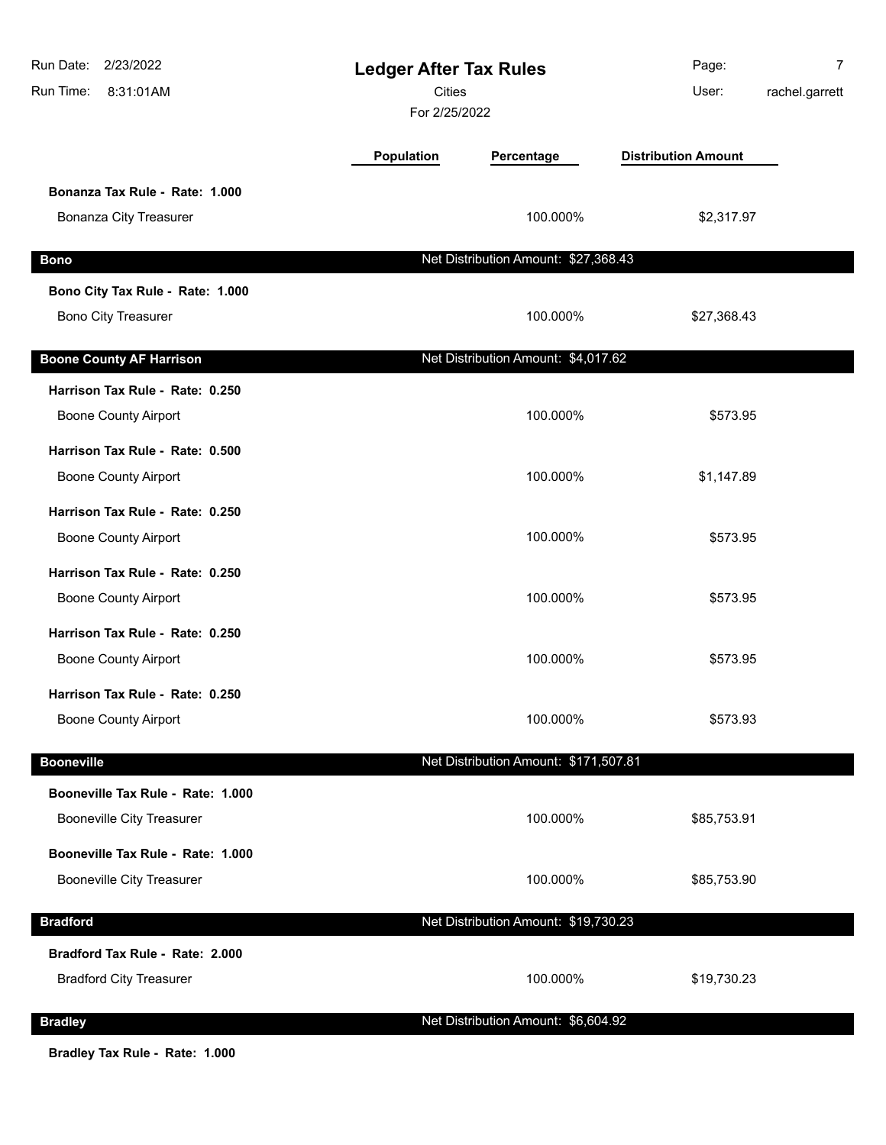| 2/23/2022<br>Run Date:<br>Run Time:<br>8:31:01AM | <b>Ledger After Tax Rules</b><br><b>Cities</b><br>For 2/25/2022 |                                       | Page:<br>User:             | 7<br>rachel.garrett |
|--------------------------------------------------|-----------------------------------------------------------------|---------------------------------------|----------------------------|---------------------|
|                                                  | Population                                                      | Percentage                            | <b>Distribution Amount</b> |                     |
| Bonanza Tax Rule - Rate: 1.000                   |                                                                 |                                       |                            |                     |
| <b>Bonanza City Treasurer</b>                    |                                                                 | 100.000%                              | \$2,317.97                 |                     |
| <b>Bono</b>                                      |                                                                 | Net Distribution Amount: \$27,368.43  |                            |                     |
| Bono City Tax Rule - Rate: 1.000                 |                                                                 |                                       |                            |                     |
| <b>Bono City Treasurer</b>                       |                                                                 | 100.000%                              | \$27,368.43                |                     |
| <b>Boone County AF Harrison</b>                  |                                                                 | Net Distribution Amount: \$4,017.62   |                            |                     |
| Harrison Tax Rule - Rate: 0.250                  |                                                                 |                                       |                            |                     |
| <b>Boone County Airport</b>                      |                                                                 | 100.000%                              | \$573.95                   |                     |
| Harrison Tax Rule - Rate: 0.500                  |                                                                 |                                       |                            |                     |
| <b>Boone County Airport</b>                      |                                                                 | 100.000%                              | \$1,147.89                 |                     |
| Harrison Tax Rule - Rate: 0.250                  |                                                                 |                                       |                            |                     |
| <b>Boone County Airport</b>                      |                                                                 | 100.000%                              | \$573.95                   |                     |
| Harrison Tax Rule - Rate: 0.250                  |                                                                 |                                       |                            |                     |
| <b>Boone County Airport</b>                      |                                                                 | 100.000%                              | \$573.95                   |                     |
| Harrison Tax Rule - Rate: 0.250                  |                                                                 |                                       |                            |                     |
| <b>Boone County Airport</b>                      |                                                                 | 100.000%                              | \$573.95                   |                     |
| Harrison Tax Rule - Rate: 0.250                  |                                                                 |                                       |                            |                     |
| <b>Boone County Airport</b>                      |                                                                 | 100.000%                              | \$573.93                   |                     |
| <b>Booneville</b>                                |                                                                 | Net Distribution Amount: \$171,507.81 |                            |                     |
| Booneville Tax Rule - Rate: 1.000                |                                                                 |                                       |                            |                     |
| <b>Booneville City Treasurer</b>                 |                                                                 | 100.000%                              | \$85,753.91                |                     |
| Booneville Tax Rule - Rate: 1.000                |                                                                 |                                       |                            |                     |
| <b>Booneville City Treasurer</b>                 |                                                                 | 100.000%                              | \$85,753.90                |                     |
| <b>Bradford</b>                                  |                                                                 | Net Distribution Amount: \$19,730.23  |                            |                     |
| Bradford Tax Rule - Rate: 2.000                  |                                                                 |                                       |                            |                     |
| <b>Bradford City Treasurer</b>                   |                                                                 | 100.000%                              | \$19,730.23                |                     |
| <b>Bradley</b>                                   |                                                                 | Net Distribution Amount: \$6,604.92   |                            |                     |
|                                                  |                                                                 |                                       |                            |                     |

**Bradley Tax Rule - Rate: 1.000**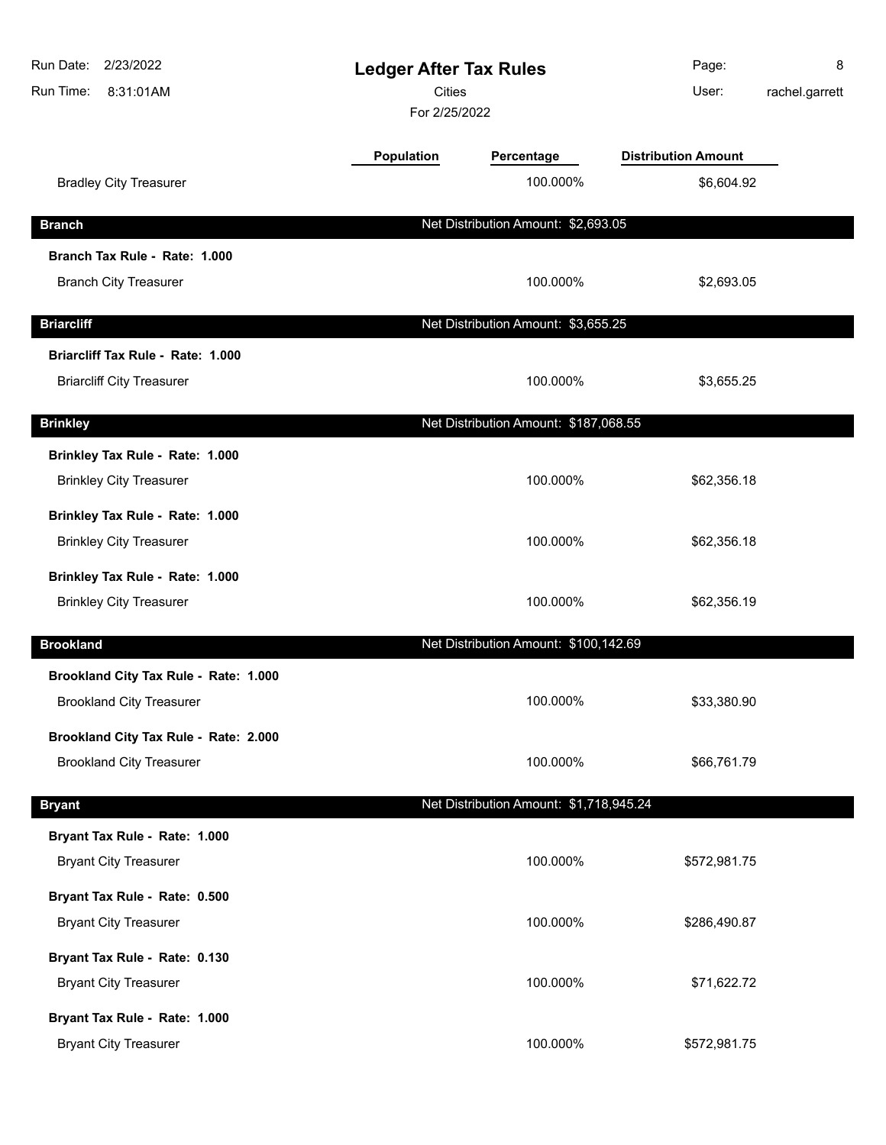| Run Date:<br>2/23/2022<br>Run Time:<br>8:31:01AM | <b>Ledger After Tax Rules</b><br><b>Cities</b><br>For 2/25/2022 |                                         | Page:<br>User:             | 8<br>rachel.garrett |
|--------------------------------------------------|-----------------------------------------------------------------|-----------------------------------------|----------------------------|---------------------|
|                                                  | Population                                                      | Percentage                              | <b>Distribution Amount</b> |                     |
| <b>Bradley City Treasurer</b>                    |                                                                 | 100.000%                                | \$6,604.92                 |                     |
| <b>Branch</b>                                    |                                                                 | Net Distribution Amount: \$2,693.05     |                            |                     |
| Branch Tax Rule - Rate: 1.000                    |                                                                 |                                         |                            |                     |
| <b>Branch City Treasurer</b>                     |                                                                 | 100.000%                                | \$2,693.05                 |                     |
| <b>Briarcliff</b>                                |                                                                 | Net Distribution Amount: \$3,655.25     |                            |                     |
| Briarcliff Tax Rule - Rate: 1.000                |                                                                 |                                         |                            |                     |
| <b>Briarcliff City Treasurer</b>                 |                                                                 | 100.000%                                | \$3,655.25                 |                     |
| <b>Brinkley</b>                                  |                                                                 | Net Distribution Amount: \$187,068.55   |                            |                     |
| Brinkley Tax Rule - Rate: 1.000                  |                                                                 |                                         |                            |                     |
| <b>Brinkley City Treasurer</b>                   |                                                                 | 100.000%                                | \$62,356.18                |                     |
| Brinkley Tax Rule - Rate: 1.000                  |                                                                 |                                         |                            |                     |
| <b>Brinkley City Treasurer</b>                   |                                                                 | 100.000%                                | \$62,356.18                |                     |
| Brinkley Tax Rule - Rate: 1.000                  |                                                                 |                                         |                            |                     |
| <b>Brinkley City Treasurer</b>                   |                                                                 | 100.000%                                | \$62,356.19                |                     |
| <b>Brookland</b>                                 |                                                                 | Net Distribution Amount: \$100,142.69   |                            |                     |
| Brookland City Tax Rule - Rate: 1.000            |                                                                 |                                         |                            |                     |
| <b>Brookland City Treasurer</b>                  |                                                                 | 100.000%                                | \$33,380.90                |                     |
| Brookland City Tax Rule - Rate: 2.000            |                                                                 |                                         |                            |                     |
| <b>Brookland City Treasurer</b>                  |                                                                 | 100.000%                                | \$66,761.79                |                     |
| <b>Bryant</b>                                    |                                                                 | Net Distribution Amount: \$1,718,945.24 |                            |                     |
| Bryant Tax Rule - Rate: 1.000                    |                                                                 |                                         |                            |                     |
| <b>Bryant City Treasurer</b>                     |                                                                 | 100.000%                                | \$572,981.75               |                     |
| Bryant Tax Rule - Rate: 0.500                    |                                                                 |                                         |                            |                     |
| <b>Bryant City Treasurer</b>                     |                                                                 | 100.000%                                | \$286,490.87               |                     |
| Bryant Tax Rule - Rate: 0.130                    |                                                                 |                                         |                            |                     |
| <b>Bryant City Treasurer</b>                     |                                                                 | 100.000%                                | \$71,622.72                |                     |
| Bryant Tax Rule - Rate: 1.000                    |                                                                 |                                         |                            |                     |
| <b>Bryant City Treasurer</b>                     |                                                                 | 100.000%                                | \$572,981.75               |                     |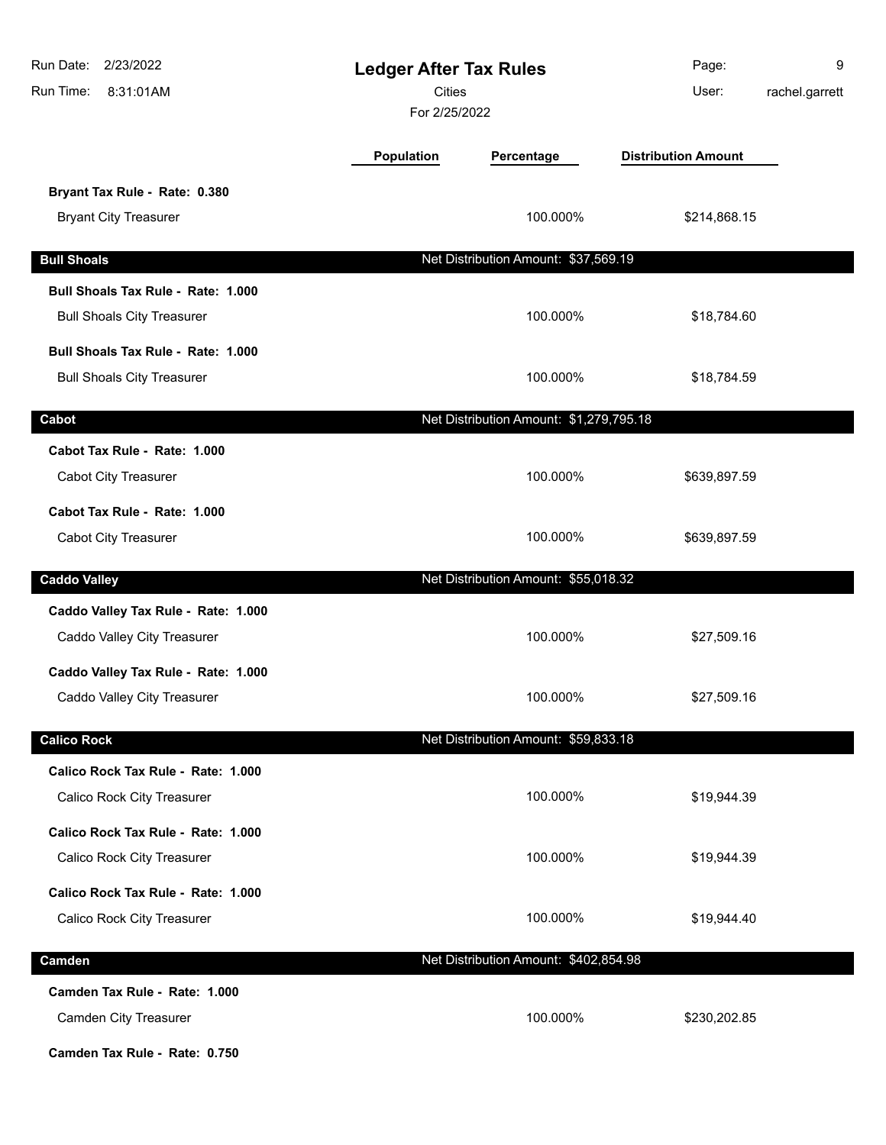| Run Date: 2/23/2022<br>Run Time:<br>8:31:01AM                                           | <b>Ledger After Tax Rules</b><br><b>Cities</b><br>For 2/25/2022 |                                         | Page:<br>User:             | 9<br>rachel.garrett |
|-----------------------------------------------------------------------------------------|-----------------------------------------------------------------|-----------------------------------------|----------------------------|---------------------|
|                                                                                         | <b>Population</b>                                               | Percentage                              | <b>Distribution Amount</b> |                     |
| Bryant Tax Rule - Rate: 0.380<br><b>Bryant City Treasurer</b>                           |                                                                 | 100.000%                                | \$214,868.15               |                     |
| <b>Bull Shoals</b>                                                                      |                                                                 | Net Distribution Amount: \$37,569.19    |                            |                     |
| Bull Shoals Tax Rule - Rate: 1.000<br><b>Bull Shoals City Treasurer</b>                 |                                                                 | 100.000%                                | \$18,784.60                |                     |
| Bull Shoals Tax Rule - Rate: 1.000<br><b>Bull Shoals City Treasurer</b>                 |                                                                 | 100.000%                                | \$18,784.59                |                     |
| Cabot                                                                                   |                                                                 | Net Distribution Amount: \$1,279,795.18 |                            |                     |
| Cabot Tax Rule - Rate: 1.000<br>Cabot City Treasurer                                    |                                                                 | 100.000%                                | \$639,897.59               |                     |
| Cabot Tax Rule - Rate: 1.000<br>Cabot City Treasurer                                    |                                                                 | 100.000%                                | \$639,897.59               |                     |
| <b>Caddo Valley</b>                                                                     |                                                                 | Net Distribution Amount: \$55,018.32    |                            |                     |
| Caddo Valley Tax Rule - Rate: 1.000<br>Caddo Valley City Treasurer                      |                                                                 | 100.000%                                | \$27,509.16                |                     |
| Caddo Valley Tax Rule - Rate: 1.000<br>Caddo Valley City Treasurer                      |                                                                 | 100.000%                                | \$27,509.16                |                     |
| <b>Calico Rock</b>                                                                      |                                                                 | Net Distribution Amount: \$59,833.18    |                            |                     |
| Calico Rock Tax Rule - Rate: 1.000<br>Calico Rock City Treasurer                        |                                                                 | 100.000%                                | \$19,944.39                |                     |
| Calico Rock Tax Rule - Rate: 1.000<br>Calico Rock City Treasurer                        |                                                                 | 100.000%                                | \$19,944.39                |                     |
| Calico Rock Tax Rule - Rate: 1.000<br>Calico Rock City Treasurer                        |                                                                 | 100.000%                                | \$19,944.40                |                     |
| Camden                                                                                  |                                                                 | Net Distribution Amount: \$402,854.98   |                            |                     |
| Camden Tax Rule - Rate: 1.000<br>Camden City Treasurer<br>Camden Tax Rule - Rate: 0.750 |                                                                 | 100.000%                                | \$230,202.85               |                     |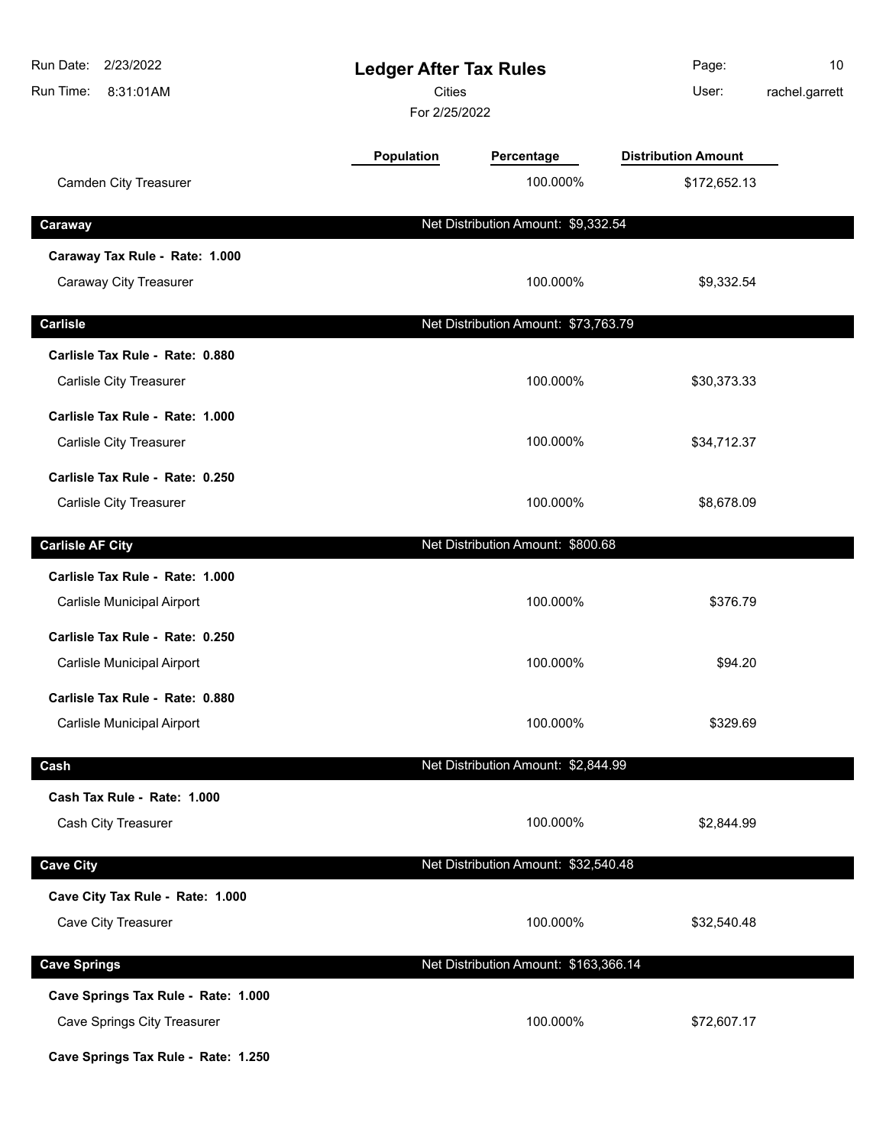| Run Date:<br>2/23/2022<br><b>Ledger After Tax Rules</b><br><b>Cities</b><br>Run Time:<br>8:31:01AM<br>For 2/25/2022 |            | Page:<br>User:                        | 10<br>rachel.garrett       |  |
|---------------------------------------------------------------------------------------------------------------------|------------|---------------------------------------|----------------------------|--|
|                                                                                                                     | Population | Percentage                            | <b>Distribution Amount</b> |  |
| Camden City Treasurer                                                                                               |            | 100.000%                              | \$172,652.13               |  |
| Caraway                                                                                                             |            | Net Distribution Amount: \$9,332.54   |                            |  |
| Caraway Tax Rule - Rate: 1.000                                                                                      |            |                                       |                            |  |
| Caraway City Treasurer                                                                                              |            | 100.000%                              | \$9,332.54                 |  |
| <b>Carlisle</b>                                                                                                     |            | Net Distribution Amount: \$73,763.79  |                            |  |
| Carlisle Tax Rule - Rate: 0.880                                                                                     |            |                                       |                            |  |
| Carlisle City Treasurer                                                                                             |            | 100.000%                              | \$30,373.33                |  |
| Carlisle Tax Rule - Rate: 1.000                                                                                     |            |                                       |                            |  |
| Carlisle City Treasurer                                                                                             |            | 100.000%                              | \$34,712.37                |  |
| Carlisle Tax Rule - Rate: 0.250                                                                                     |            |                                       |                            |  |
| Carlisle City Treasurer                                                                                             |            | 100.000%                              | \$8,678.09                 |  |
| <b>Carlisle AF City</b>                                                                                             |            | Net Distribution Amount: \$800.68     |                            |  |
| Carlisle Tax Rule - Rate: 1.000                                                                                     |            |                                       |                            |  |
| Carlisle Municipal Airport                                                                                          |            | 100.000%                              | \$376.79                   |  |
| Carlisle Tax Rule - Rate: 0.250                                                                                     |            |                                       |                            |  |
| Carlisle Municipal Airport                                                                                          |            | 100.000%                              | \$94.20                    |  |
| Carlisle Tax Rule - Rate: 0.880                                                                                     |            |                                       |                            |  |
| Carlisle Municipal Airport                                                                                          |            | 100.000%                              | \$329.69                   |  |
| Cash                                                                                                                |            | Net Distribution Amount: \$2,844.99   |                            |  |
| Cash Tax Rule - Rate: 1.000                                                                                         |            |                                       |                            |  |
| Cash City Treasurer                                                                                                 |            | 100.000%                              | \$2,844.99                 |  |
| <b>Cave City</b>                                                                                                    |            | Net Distribution Amount: \$32,540.48  |                            |  |
| Cave City Tax Rule - Rate: 1.000                                                                                    |            |                                       |                            |  |
| Cave City Treasurer                                                                                                 |            | 100.000%                              | \$32,540.48                |  |
| <b>Cave Springs</b>                                                                                                 |            | Net Distribution Amount: \$163,366.14 |                            |  |
| Cave Springs Tax Rule - Rate: 1.000                                                                                 |            |                                       |                            |  |
| <b>Cave Springs City Treasurer</b>                                                                                  |            | 100.000%                              | \$72,607.17                |  |
| Cave Springs Tax Rule - Rate: 1.250                                                                                 |            |                                       |                            |  |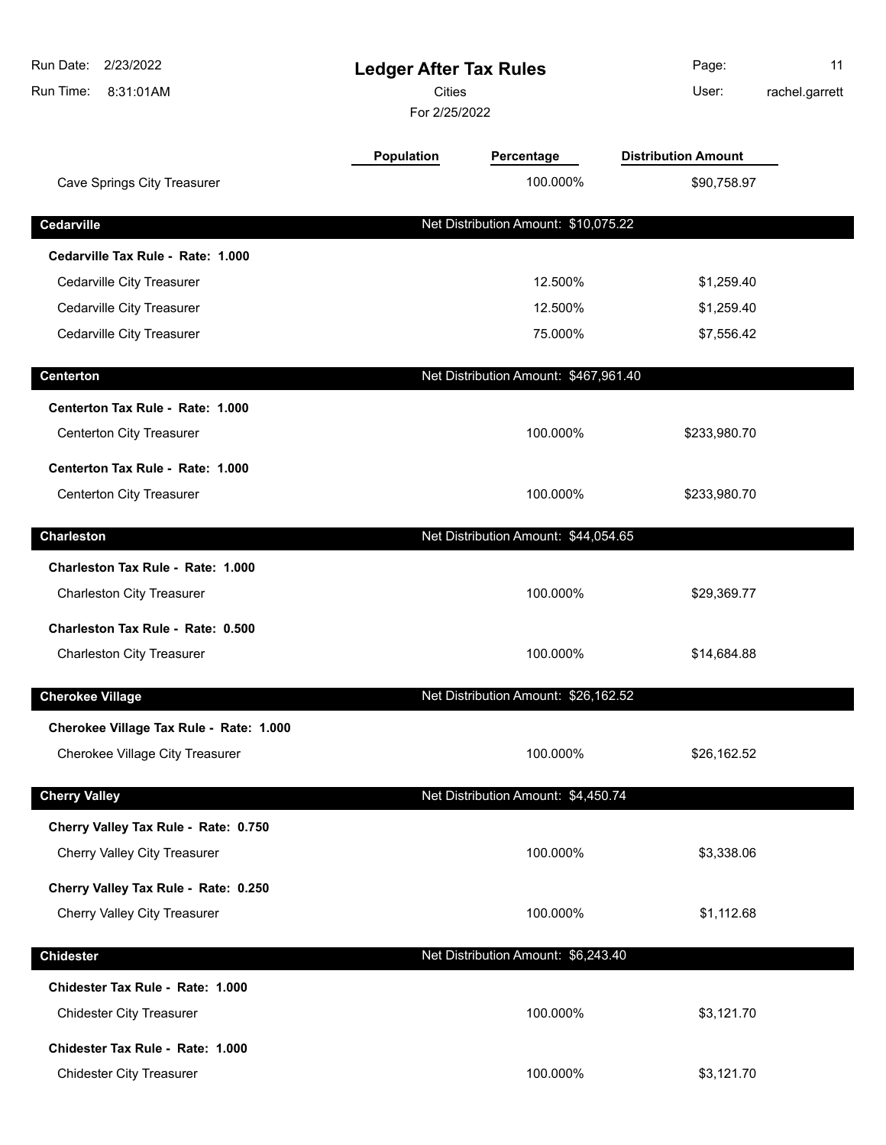| Run Date: 2/23/2022<br>Run Time:<br>8:31:01AM | <b>Ledger After Tax Rules</b><br><b>Cities</b><br>For 2/25/2022 |                                       | Page:<br>User:             | 11<br>rachel.garrett |
|-----------------------------------------------|-----------------------------------------------------------------|---------------------------------------|----------------------------|----------------------|
|                                               | <b>Population</b>                                               | Percentage                            | <b>Distribution Amount</b> |                      |
| <b>Cave Springs City Treasurer</b>            |                                                                 | 100.000%                              | \$90,758.97                |                      |
| Cedarville                                    |                                                                 | Net Distribution Amount: \$10,075.22  |                            |                      |
| Cedarville Tax Rule - Rate: 1.000             |                                                                 |                                       |                            |                      |
| Cedarville City Treasurer                     |                                                                 | 12.500%                               | \$1,259.40                 |                      |
| Cedarville City Treasurer                     |                                                                 | 12.500%                               | \$1,259.40                 |                      |
| Cedarville City Treasurer                     |                                                                 | 75.000%                               | \$7,556.42                 |                      |
| <b>Centerton</b>                              |                                                                 | Net Distribution Amount: \$467,961.40 |                            |                      |
| Centerton Tax Rule - Rate: 1.000              |                                                                 |                                       |                            |                      |
| <b>Centerton City Treasurer</b>               |                                                                 | 100.000%                              | \$233,980.70               |                      |
| Centerton Tax Rule - Rate: 1.000              |                                                                 |                                       |                            |                      |
| <b>Centerton City Treasurer</b>               |                                                                 | 100.000%                              | \$233,980.70               |                      |
| <b>Charleston</b>                             |                                                                 | Net Distribution Amount: \$44,054.65  |                            |                      |
| Charleston Tax Rule - Rate: 1.000             |                                                                 |                                       |                            |                      |
| <b>Charleston City Treasurer</b>              |                                                                 | 100.000%                              | \$29,369.77                |                      |
| Charleston Tax Rule - Rate: 0.500             |                                                                 |                                       |                            |                      |
| <b>Charleston City Treasurer</b>              |                                                                 | 100.000%                              | \$14,684.88                |                      |
| <b>Cherokee Village</b>                       |                                                                 | Net Distribution Amount: \$26,162.52  |                            |                      |
| Cherokee Village Tax Rule - Rate: 1.000       |                                                                 |                                       |                            |                      |
| Cherokee Village City Treasurer               |                                                                 | 100.000%                              | \$26,162.52                |                      |
| <b>Cherry Valley</b>                          |                                                                 | Net Distribution Amount: \$4,450.74   |                            |                      |
| Cherry Valley Tax Rule - Rate: 0.750          |                                                                 |                                       |                            |                      |
| Cherry Valley City Treasurer                  |                                                                 | 100.000%                              | \$3,338.06                 |                      |
| Cherry Valley Tax Rule - Rate: 0.250          |                                                                 |                                       |                            |                      |
| <b>Cherry Valley City Treasurer</b>           |                                                                 | 100.000%                              | \$1,112.68                 |                      |
| <b>Chidester</b>                              |                                                                 | Net Distribution Amount: \$6,243.40   |                            |                      |
| Chidester Tax Rule - Rate: 1.000              |                                                                 |                                       |                            |                      |
| <b>Chidester City Treasurer</b>               |                                                                 | 100.000%                              | \$3,121.70                 |                      |
| Chidester Tax Rule - Rate: 1.000              |                                                                 |                                       |                            |                      |
| <b>Chidester City Treasurer</b>               |                                                                 | 100.000%                              | \$3,121.70                 |                      |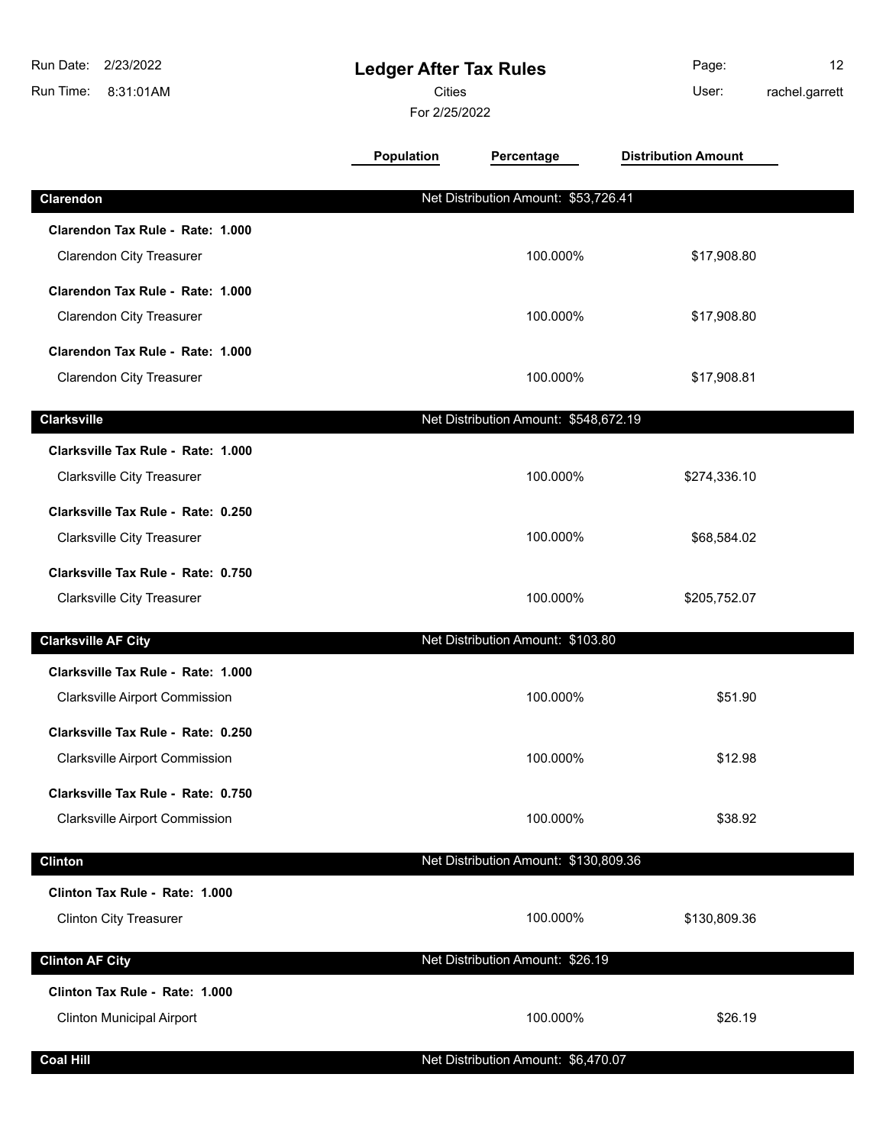| Run Date:<br>2/23/2022<br>Run Time:<br>8:31:01AM                            | <b>Ledger After Tax Rules</b><br><b>Cities</b><br>For 2/25/2022 |                                       | Page:<br>User:             | 12<br>rachel.garrett |
|-----------------------------------------------------------------------------|-----------------------------------------------------------------|---------------------------------------|----------------------------|----------------------|
|                                                                             | <b>Population</b>                                               | Percentage                            | <b>Distribution Amount</b> |                      |
| Clarendon                                                                   |                                                                 | Net Distribution Amount: \$53,726.41  |                            |                      |
| Clarendon Tax Rule - Rate: 1.000<br><b>Clarendon City Treasurer</b>         |                                                                 | 100.000%                              | \$17,908.80                |                      |
| Clarendon Tax Rule - Rate: 1.000<br><b>Clarendon City Treasurer</b>         |                                                                 | 100.000%                              | \$17,908.80                |                      |
| Clarendon Tax Rule - Rate: 1.000<br><b>Clarendon City Treasurer</b>         |                                                                 | 100.000%                              | \$17,908.81                |                      |
| <b>Clarksville</b>                                                          |                                                                 | Net Distribution Amount: \$548,672.19 |                            |                      |
| Clarksville Tax Rule - Rate: 1.000<br><b>Clarksville City Treasurer</b>     |                                                                 | 100.000%                              | \$274,336.10               |                      |
| Clarksville Tax Rule - Rate: 0.250<br><b>Clarksville City Treasurer</b>     |                                                                 | 100.000%                              | \$68,584.02                |                      |
| Clarksville Tax Rule - Rate: 0.750<br><b>Clarksville City Treasurer</b>     |                                                                 | 100.000%                              | \$205,752.07               |                      |
| <b>Clarksville AF City</b>                                                  |                                                                 | Net Distribution Amount: \$103.80     |                            |                      |
| Clarksville Tax Rule - Rate: 1.000<br><b>Clarksville Airport Commission</b> |                                                                 | 100.000%                              | \$51.90                    |                      |
| Clarksville Tax Rule - Rate: 0.250<br><b>Clarksville Airport Commission</b> |                                                                 | 100.000%                              | \$12.98                    |                      |
| Clarksville Tax Rule - Rate: 0.750<br>Clarksville Airport Commission        |                                                                 | 100.000%                              | \$38.92                    |                      |
| <b>Clinton</b>                                                              |                                                                 | Net Distribution Amount: \$130,809.36 |                            |                      |
| Clinton Tax Rule - Rate: 1.000<br><b>Clinton City Treasurer</b>             |                                                                 | 100.000%                              | \$130,809.36               |                      |
| <b>Clinton AF City</b>                                                      |                                                                 | Net Distribution Amount: \$26.19      |                            |                      |
| Clinton Tax Rule - Rate: 1.000<br><b>Clinton Municipal Airport</b>          |                                                                 | 100.000%                              | \$26.19                    |                      |
| <b>Coal Hill</b>                                                            |                                                                 | Net Distribution Amount: \$6,470.07   |                            |                      |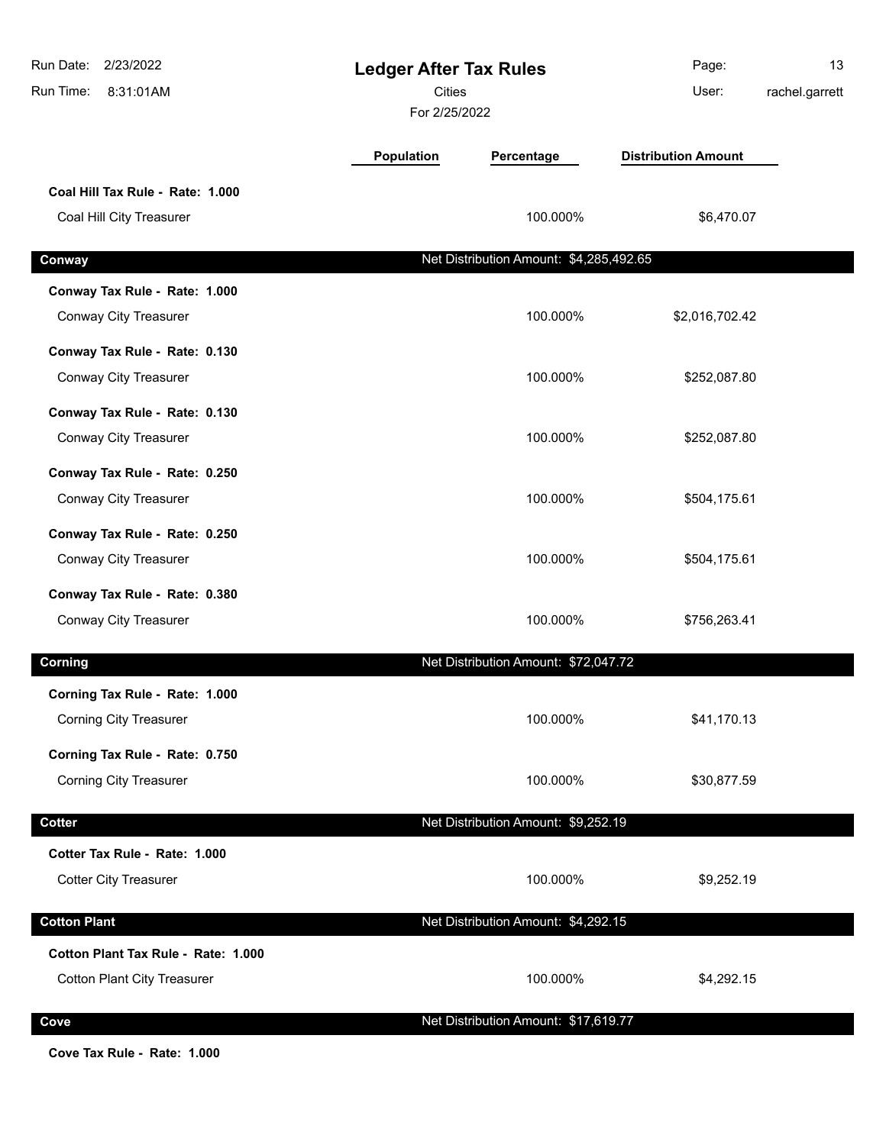| Run Date:<br>2/23/2022<br>Run Time:<br>8:31:01AM | <b>Ledger After Tax Rules</b><br>Cities<br>For 2/25/2022 |                                         | Page:<br>User:             | 13<br>rachel.garrett |
|--------------------------------------------------|----------------------------------------------------------|-----------------------------------------|----------------------------|----------------------|
|                                                  | <b>Population</b>                                        | Percentage                              | <b>Distribution Amount</b> |                      |
| Coal Hill Tax Rule - Rate: 1.000                 |                                                          |                                         |                            |                      |
| Coal Hill City Treasurer                         |                                                          | 100.000%                                | \$6,470.07                 |                      |
| Conway                                           |                                                          | Net Distribution Amount: \$4,285,492.65 |                            |                      |
| Conway Tax Rule - Rate: 1.000                    |                                                          |                                         |                            |                      |
| Conway City Treasurer                            |                                                          | 100.000%                                | \$2,016,702.42             |                      |
| Conway Tax Rule - Rate: 0.130                    |                                                          |                                         |                            |                      |
| Conway City Treasurer                            |                                                          | 100.000%                                | \$252,087.80               |                      |
| Conway Tax Rule - Rate: 0.130                    |                                                          |                                         |                            |                      |
| Conway City Treasurer                            |                                                          | 100.000%                                | \$252,087.80               |                      |
| Conway Tax Rule - Rate: 0.250                    |                                                          |                                         |                            |                      |
| Conway City Treasurer                            |                                                          | 100.000%                                | \$504,175.61               |                      |
| Conway Tax Rule - Rate: 0.250                    |                                                          |                                         |                            |                      |
| Conway City Treasurer                            |                                                          | 100.000%                                | \$504,175.61               |                      |
| Conway Tax Rule - Rate: 0.380                    |                                                          |                                         |                            |                      |
| Conway City Treasurer                            |                                                          | 100.000%                                | \$756,263.41               |                      |
| Corning                                          |                                                          | Net Distribution Amount: \$72,047.72    |                            |                      |
| Corning Tax Rule - Rate: 1.000                   |                                                          |                                         |                            |                      |
| <b>Corning City Treasurer</b>                    |                                                          | 100.000%                                | \$41,170.13                |                      |
| Corning Tax Rule - Rate: 0.750                   |                                                          |                                         |                            |                      |
| <b>Corning City Treasurer</b>                    |                                                          | 100.000%                                | \$30,877.59                |                      |
| <b>Cotter</b>                                    |                                                          | Net Distribution Amount: \$9,252.19     |                            |                      |
| Cotter Tax Rule - Rate: 1.000                    |                                                          |                                         |                            |                      |
| <b>Cotter City Treasurer</b>                     |                                                          | 100.000%                                | \$9,252.19                 |                      |
|                                                  |                                                          |                                         |                            |                      |
| <b>Cotton Plant</b>                              |                                                          | Net Distribution Amount: \$4,292.15     |                            |                      |
| Cotton Plant Tax Rule - Rate: 1.000              |                                                          |                                         |                            |                      |
| <b>Cotton Plant City Treasurer</b>               |                                                          | 100.000%                                | \$4,292.15                 |                      |
| Cove                                             |                                                          | Net Distribution Amount: \$17,619.77    |                            |                      |

**Cove Tax Rule - Rate: 1.000**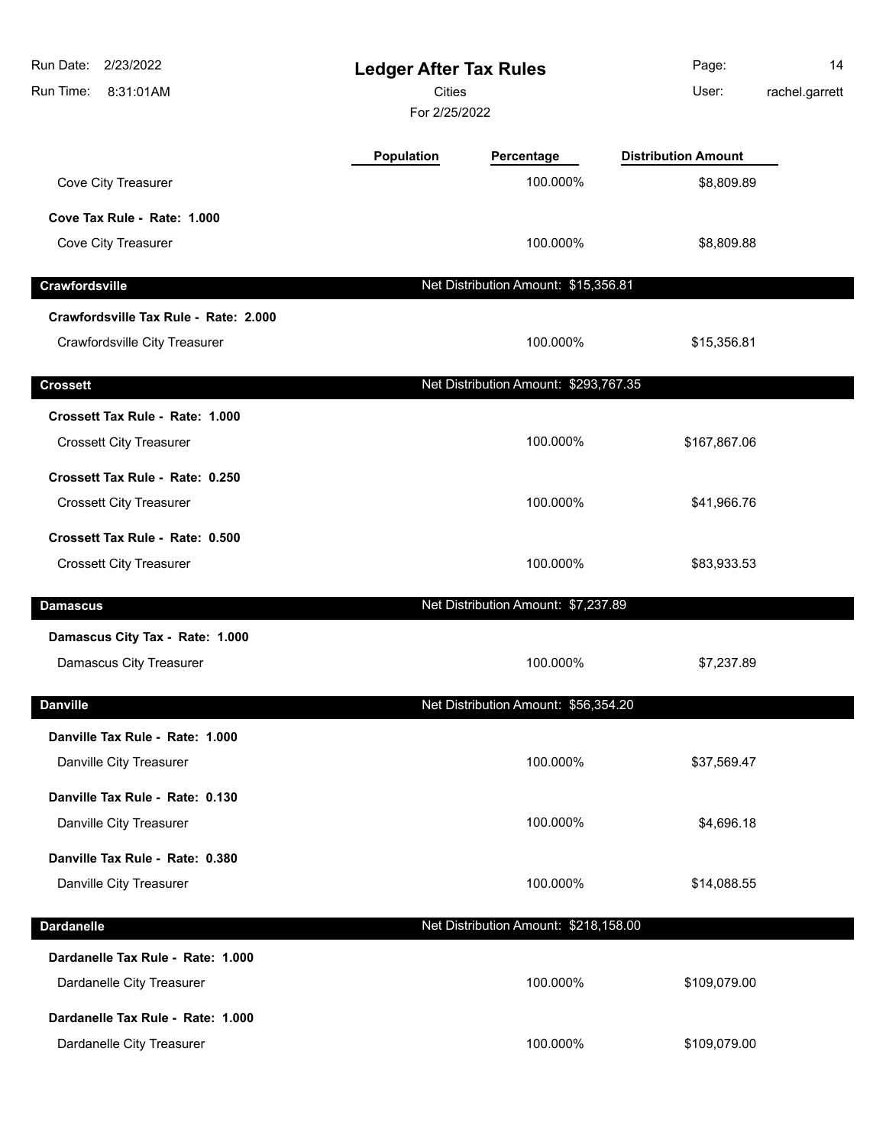| 2/23/2022<br>Run Date:<br>Run Time:<br>8:31:01AM | <b>Ledger After Tax Rules</b><br><b>Cities</b><br>For 2/25/2022 |                                       | Page:<br>User:             | 14<br>rachel.garrett |
|--------------------------------------------------|-----------------------------------------------------------------|---------------------------------------|----------------------------|----------------------|
|                                                  | Population                                                      | Percentage                            | <b>Distribution Amount</b> |                      |
| Cove City Treasurer                              |                                                                 | 100.000%                              | \$8,809.89                 |                      |
| Cove Tax Rule - Rate: 1.000                      |                                                                 |                                       |                            |                      |
| Cove City Treasurer                              |                                                                 | 100.000%                              | \$8,809.88                 |                      |
| Crawfordsville                                   |                                                                 | Net Distribution Amount: \$15,356.81  |                            |                      |
| Crawfordsville Tax Rule - Rate: 2.000            |                                                                 |                                       |                            |                      |
| Crawfordsville City Treasurer                    |                                                                 | 100.000%                              | \$15,356.81                |                      |
| <b>Crossett</b>                                  |                                                                 | Net Distribution Amount: \$293,767.35 |                            |                      |
| Crossett Tax Rule - Rate: 1.000                  |                                                                 |                                       |                            |                      |
| <b>Crossett City Treasurer</b>                   |                                                                 | 100.000%                              | \$167,867.06               |                      |
| Crossett Tax Rule - Rate: 0.250                  |                                                                 |                                       |                            |                      |
| <b>Crossett City Treasurer</b>                   |                                                                 | 100.000%                              | \$41,966.76                |                      |
| Crossett Tax Rule - Rate: 0.500                  |                                                                 |                                       |                            |                      |
| <b>Crossett City Treasurer</b>                   |                                                                 | 100.000%                              | \$83,933.53                |                      |
| <b>Damascus</b>                                  |                                                                 | Net Distribution Amount: \$7,237.89   |                            |                      |
| Damascus City Tax - Rate: 1.000                  |                                                                 |                                       |                            |                      |
| Damascus City Treasurer                          |                                                                 | 100.000%                              | \$7,237.89                 |                      |
| <b>Danville</b>                                  |                                                                 | Net Distribution Amount: \$56,354.20  |                            |                      |
| Danville Tax Rule - Rate: 1.000                  |                                                                 |                                       |                            |                      |
| Danville City Treasurer                          |                                                                 | 100.000%                              | \$37,569.47                |                      |
| Danville Tax Rule - Rate: 0.130                  |                                                                 |                                       |                            |                      |
| Danville City Treasurer                          |                                                                 | 100.000%                              | \$4,696.18                 |                      |
| Danville Tax Rule - Rate: 0.380                  |                                                                 |                                       |                            |                      |
| Danville City Treasurer                          |                                                                 | 100.000%                              | \$14,088.55                |                      |
| <b>Dardanelle</b>                                |                                                                 | Net Distribution Amount: \$218,158.00 |                            |                      |
| Dardanelle Tax Rule - Rate: 1.000                |                                                                 |                                       |                            |                      |
| Dardanelle City Treasurer                        |                                                                 | 100.000%                              | \$109,079.00               |                      |
| Dardanelle Tax Rule - Rate: 1.000                |                                                                 |                                       |                            |                      |
| Dardanelle City Treasurer                        |                                                                 | 100.000%                              | \$109,079.00               |                      |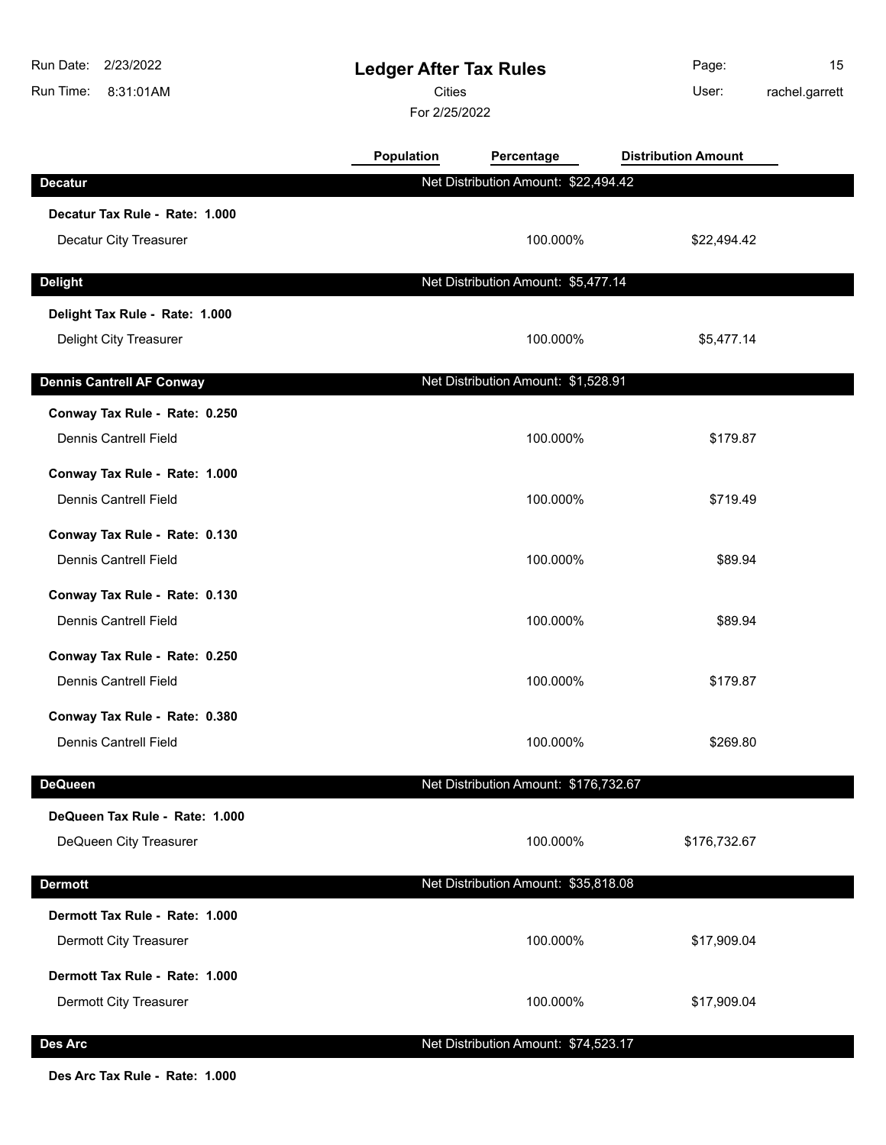| 2/23/2022<br>Run Date:<br>Run Time:<br>8:31:01AM | <b>Ledger After Tax Rules</b><br><b>Cities</b><br>For 2/25/2022 |                                       | Page:<br>User:             | 15<br>rachel.garrett |
|--------------------------------------------------|-----------------------------------------------------------------|---------------------------------------|----------------------------|----------------------|
|                                                  | Population                                                      | Percentage                            | <b>Distribution Amount</b> |                      |
| <b>Decatur</b>                                   |                                                                 | Net Distribution Amount: \$22,494.42  |                            |                      |
| Decatur Tax Rule - Rate: 1.000                   |                                                                 |                                       |                            |                      |
| Decatur City Treasurer                           |                                                                 | 100.000%                              | \$22,494.42                |                      |
| <b>Delight</b>                                   |                                                                 | Net Distribution Amount: \$5,477.14   |                            |                      |
| Delight Tax Rule - Rate: 1.000                   |                                                                 |                                       |                            |                      |
| Delight City Treasurer                           |                                                                 | 100.000%                              | \$5,477.14                 |                      |
| <b>Dennis Cantrell AF Conway</b>                 |                                                                 | Net Distribution Amount: \$1,528.91   |                            |                      |
| Conway Tax Rule - Rate: 0.250                    |                                                                 |                                       |                            |                      |
| <b>Dennis Cantrell Field</b>                     |                                                                 | 100.000%                              | \$179.87                   |                      |
| Conway Tax Rule - Rate: 1.000                    |                                                                 |                                       |                            |                      |
| <b>Dennis Cantrell Field</b>                     |                                                                 | 100.000%                              | \$719.49                   |                      |
| Conway Tax Rule - Rate: 0.130                    |                                                                 |                                       |                            |                      |
| <b>Dennis Cantrell Field</b>                     |                                                                 | 100.000%                              | \$89.94                    |                      |
| Conway Tax Rule - Rate: 0.130                    |                                                                 |                                       |                            |                      |
| <b>Dennis Cantrell Field</b>                     |                                                                 | 100.000%                              | \$89.94                    |                      |
| Conway Tax Rule - Rate: 0.250                    |                                                                 |                                       |                            |                      |
| <b>Dennis Cantrell Field</b>                     |                                                                 | 100.000%                              | \$179.87                   |                      |
| Conway Tax Rule - Rate: 0.380                    |                                                                 |                                       |                            |                      |
| <b>Dennis Cantrell Field</b>                     |                                                                 | 100.000%                              | \$269.80                   |                      |
| <b>DeQueen</b>                                   |                                                                 | Net Distribution Amount: \$176,732.67 |                            |                      |
| DeQueen Tax Rule - Rate: 1.000                   |                                                                 |                                       |                            |                      |
| DeQueen City Treasurer                           |                                                                 | 100.000%                              | \$176,732.67               |                      |
| <b>Dermott</b>                                   |                                                                 | Net Distribution Amount: \$35,818.08  |                            |                      |
| Dermott Tax Rule - Rate: 1.000                   |                                                                 |                                       |                            |                      |
| Dermott City Treasurer                           |                                                                 | 100.000%                              | \$17,909.04                |                      |
| Dermott Tax Rule - Rate: 1.000                   |                                                                 |                                       |                            |                      |
| Dermott City Treasurer                           |                                                                 | 100.000%                              | \$17,909.04                |                      |
| <b>Des Arc</b>                                   |                                                                 | Net Distribution Amount: \$74,523.17  |                            |                      |

**Des Arc Tax Rule - Rate: 1.000**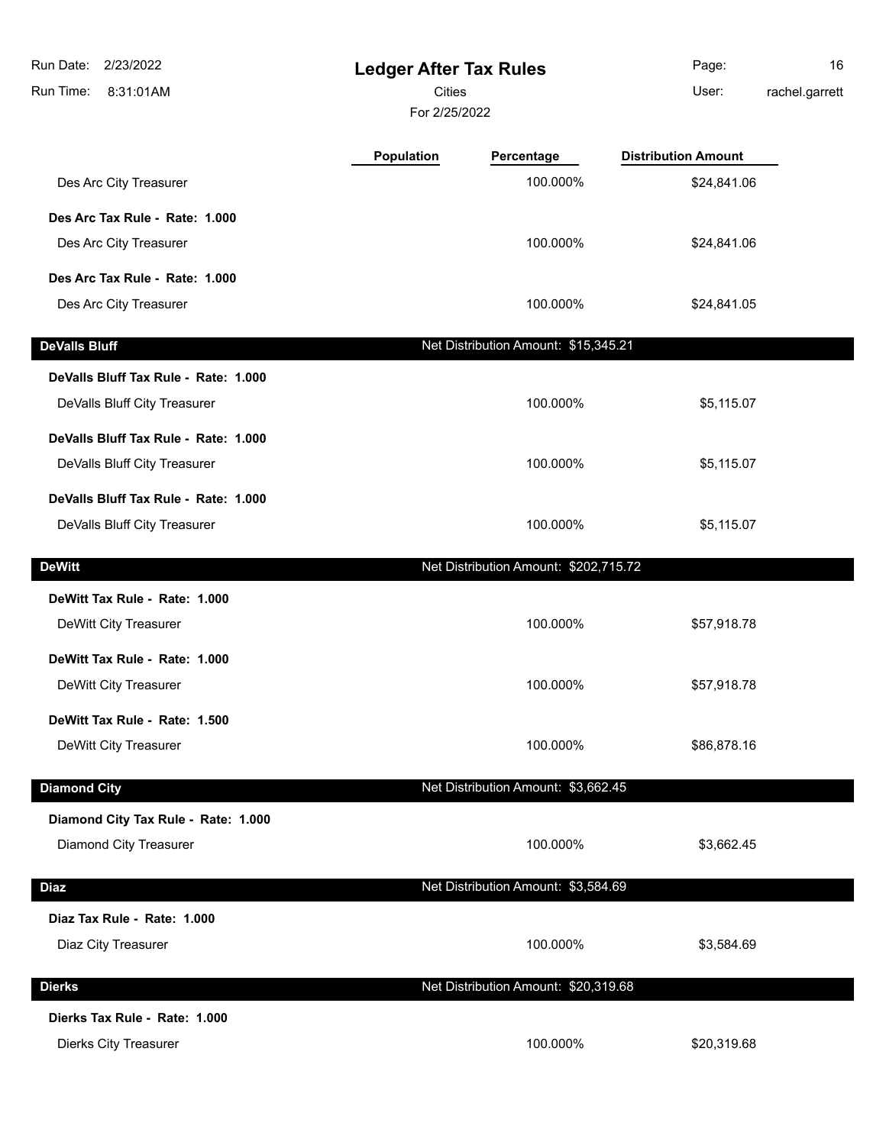| Run Date:<br>2/23/2022<br>Run Time:<br>8:31:01AM                     | <b>Ledger After Tax Rules</b><br><b>Cities</b><br>For 2/25/2022 |                                       | Page:<br>User:             | 16<br>rachel.garrett |
|----------------------------------------------------------------------|-----------------------------------------------------------------|---------------------------------------|----------------------------|----------------------|
|                                                                      | Population                                                      | Percentage                            | <b>Distribution Amount</b> |                      |
| Des Arc City Treasurer                                               |                                                                 | 100.000%                              | \$24,841.06                |                      |
| Des Arc Tax Rule - Rate: 1.000                                       |                                                                 |                                       |                            |                      |
| Des Arc City Treasurer                                               |                                                                 | 100.000%                              | \$24,841.06                |                      |
| Des Arc Tax Rule - Rate: 1.000                                       |                                                                 |                                       |                            |                      |
| Des Arc City Treasurer                                               |                                                                 | 100.000%                              | \$24,841.05                |                      |
| <b>DeValls Bluff</b>                                                 |                                                                 | Net Distribution Amount: \$15,345.21  |                            |                      |
| DeValls Bluff Tax Rule - Rate: 1.000                                 |                                                                 |                                       |                            |                      |
| DeValls Bluff City Treasurer                                         |                                                                 | 100.000%                              | \$5,115.07                 |                      |
| DeValls Bluff Tax Rule - Rate: 1.000<br>DeValls Bluff City Treasurer |                                                                 | 100.000%                              | \$5,115.07                 |                      |
| DeValls Bluff Tax Rule - Rate: 1.000<br>DeValls Bluff City Treasurer |                                                                 | 100.000%                              | \$5,115.07                 |                      |
| <b>DeWitt</b>                                                        |                                                                 | Net Distribution Amount: \$202,715.72 |                            |                      |
| DeWitt Tax Rule - Rate: 1.000<br>DeWitt City Treasurer               |                                                                 | 100.000%                              | \$57,918.78                |                      |
| DeWitt Tax Rule - Rate: 1.000<br>DeWitt City Treasurer               |                                                                 | 100.000%                              | \$57,918.78                |                      |
| DeWitt Tax Rule - Rate: 1.500<br>DeWitt City Treasurer               |                                                                 | 100.000%                              | \$86,878.16                |                      |
| <b>Diamond City</b>                                                  |                                                                 | Net Distribution Amount: \$3,662.45   |                            |                      |
| Diamond City Tax Rule - Rate: 1.000<br>Diamond City Treasurer        |                                                                 | 100.000%                              | \$3,662.45                 |                      |
| <b>Diaz</b>                                                          |                                                                 | Net Distribution Amount: \$3,584.69   |                            |                      |
| Diaz Tax Rule - Rate: 1.000<br>Diaz City Treasurer                   |                                                                 | 100.000%                              | \$3,584.69                 |                      |
| <b>Dierks</b>                                                        |                                                                 | Net Distribution Amount: \$20,319.68  |                            |                      |
| Dierks Tax Rule - Rate: 1.000                                        |                                                                 |                                       |                            |                      |
| <b>Dierks City Treasurer</b>                                         |                                                                 | 100.000%                              | \$20,319.68                |                      |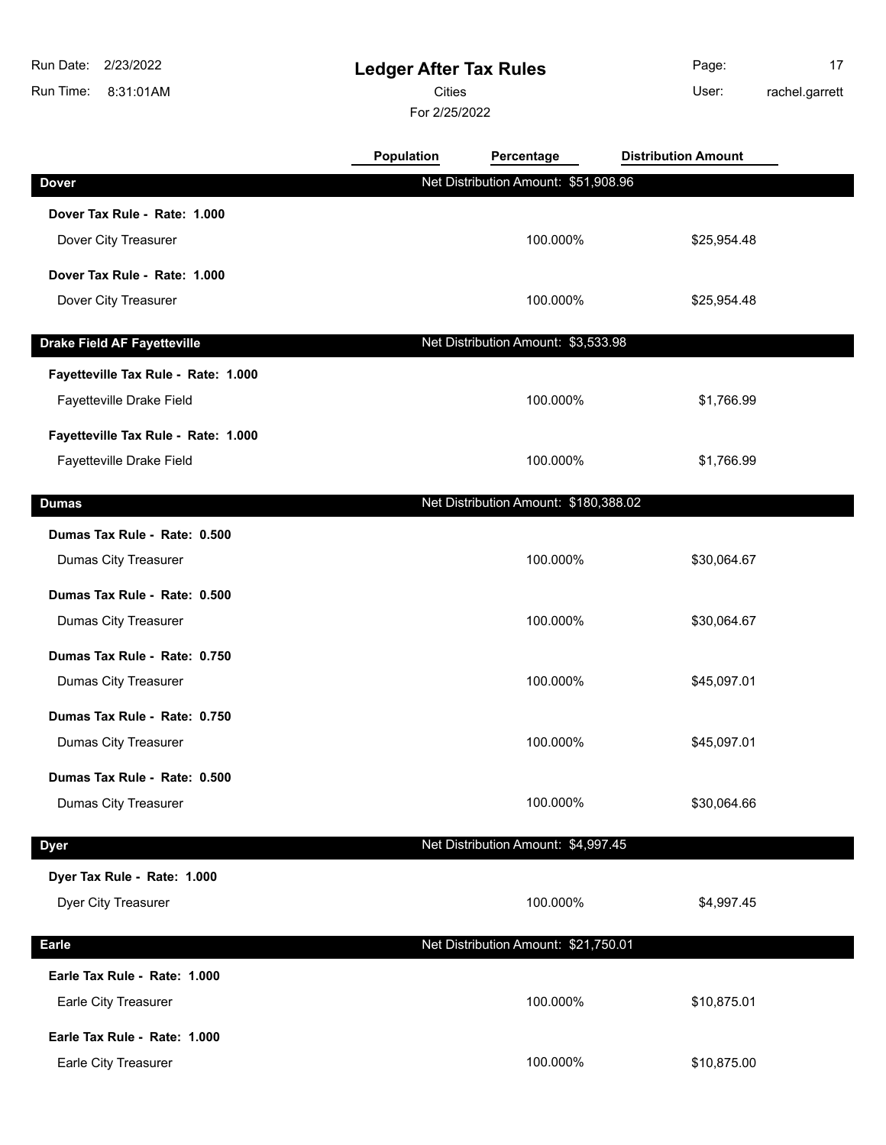8:31:01AM Run Time: Run Date: 2/23/2022

## **Ledger After Tax Rules**

Cities User:

For 2/25/2022

Page: 17

rachel.garrett

|                              | <b>Population</b> | Percentage                           | <b>Distribution Amount</b> |  |
|------------------------------|-------------------|--------------------------------------|----------------------------|--|
| Dover                        |                   | Net Distribution Amount: \$51,908.96 |                            |  |
| Dover Tax Rule - Rate: 1.000 |                   |                                      |                            |  |

| Dover Tax Rule - Rate: 1.000        |                                       |             |
|-------------------------------------|---------------------------------------|-------------|
| Dover City Treasurer                | 100.000%                              | \$25,954.48 |
| Dover Tax Rule - Rate: 1.000        |                                       |             |
| Dover City Treasurer                | 100.000%                              | \$25,954.48 |
| <b>Drake Field AF Fayetteville</b>  | Net Distribution Amount: \$3,533.98   |             |
| Fayetteville Tax Rule - Rate: 1.000 |                                       |             |
| Fayetteville Drake Field            | 100.000%                              | \$1,766.99  |
| Fayetteville Tax Rule - Rate: 1.000 |                                       |             |
| Fayetteville Drake Field            | 100.000%                              | \$1,766.99  |
| <b>Dumas</b>                        | Net Distribution Amount: \$180,388.02 |             |
| Dumas Tax Rule - Rate: 0.500        |                                       |             |
| Dumas City Treasurer                | 100.000%                              | \$30,064.67 |
| Dumas Tax Rule - Rate: 0.500        |                                       |             |
| Dumas City Treasurer                | 100.000%                              | \$30,064.67 |
| Dumas Tax Rule - Rate: 0.750        |                                       |             |
| Dumas City Treasurer                | 100.000%                              | \$45,097.01 |
| Dumas Tax Rule - Rate: 0.750        |                                       |             |
| Dumas City Treasurer                | 100.000%                              | \$45,097.01 |
| Dumas Tax Rule - Rate: 0.500        |                                       |             |
| Dumas City Treasurer                | 100.000%                              | \$30,064.66 |
| <b>Dyer</b>                         | Net Distribution Amount: \$4,997.45   |             |
| Dyer Tax Rule - Rate: 1.000         |                                       |             |
| Dyer City Treasurer                 | 100.000%                              | \$4,997.45  |
| <b>Earle</b>                        | Net Distribution Amount: \$21,750.01  |             |
| Earle Tax Rule - Rate: 1.000        |                                       |             |
| Earle City Treasurer                | 100.000%                              | \$10,875.01 |
| Earle Tax Rule - Rate: 1.000        |                                       |             |

Earle City Treasurer **100.000%** \$10,875.00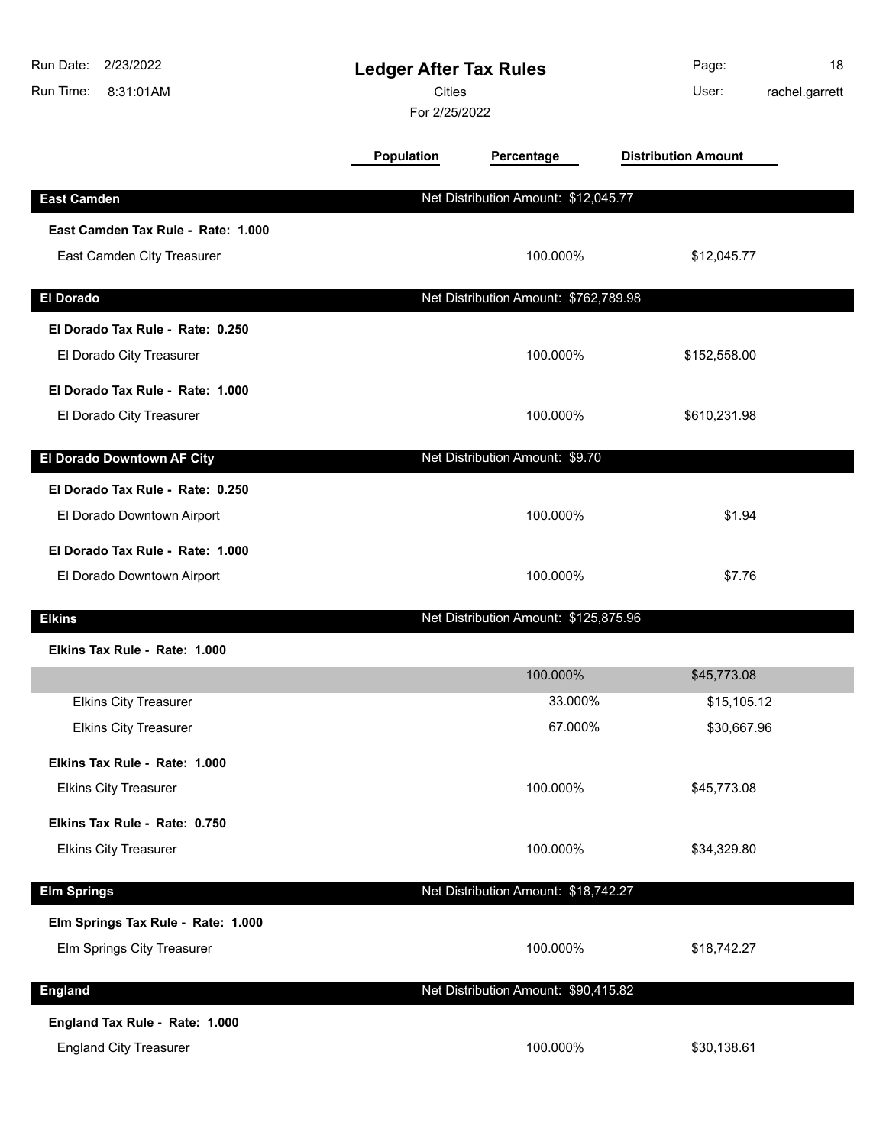| Run Date:<br>2/23/2022<br>Run Time:<br>8:31:01AM                 | <b>Ledger After Tax Rules</b><br>Cities<br>For 2/25/2022 |                                       | Page:<br>rachel.garrett<br>User: | 18 |
|------------------------------------------------------------------|----------------------------------------------------------|---------------------------------------|----------------------------------|----|
|                                                                  | Population                                               | Percentage                            | <b>Distribution Amount</b>       |    |
| <b>East Camden</b>                                               |                                                          | Net Distribution Amount: \$12,045.77  |                                  |    |
| East Camden Tax Rule - Rate: 1.000<br>East Camden City Treasurer |                                                          | 100.000%                              | \$12,045.77                      |    |
| <b>El Dorado</b>                                                 |                                                          | Net Distribution Amount: \$762,789.98 |                                  |    |
| El Dorado Tax Rule - Rate: 0.250<br>El Dorado City Treasurer     |                                                          | 100.000%                              | \$152,558.00                     |    |
| El Dorado Tax Rule - Rate: 1.000<br>El Dorado City Treasurer     |                                                          | 100.000%                              | \$610,231.98                     |    |
| El Dorado Downtown AF City                                       |                                                          | Net Distribution Amount: \$9.70       |                                  |    |
| El Dorado Tax Rule - Rate: 0.250<br>El Dorado Downtown Airport   |                                                          | 100.000%                              | \$1.94                           |    |
| El Dorado Tax Rule - Rate: 1.000<br>El Dorado Downtown Airport   |                                                          | 100.000%                              | \$7.76                           |    |
| <b>Elkins</b>                                                    |                                                          | Net Distribution Amount: \$125,875.96 |                                  |    |
| Elkins Tax Rule - Rate: 1.000                                    |                                                          |                                       |                                  |    |
|                                                                  |                                                          | 100.000%                              | \$45,773.08                      |    |
| <b>Elkins City Treasurer</b><br><b>Elkins City Treasurer</b>     |                                                          | 33.000%<br>67.000%                    | \$15,105.12<br>\$30,667.96       |    |
| Elkins Tax Rule - Rate: 1.000<br><b>Elkins City Treasurer</b>    |                                                          | 100.000%                              | \$45,773.08                      |    |
| Elkins Tax Rule - Rate: 0.750<br><b>Elkins City Treasurer</b>    |                                                          | 100.000%                              | \$34,329.80                      |    |
| <b>Elm Springs</b>                                               |                                                          | Net Distribution Amount: \$18,742.27  |                                  |    |
| Elm Springs Tax Rule - Rate: 1.000<br>Elm Springs City Treasurer |                                                          | 100.000%                              | \$18,742.27                      |    |
| <b>England</b>                                                   |                                                          | Net Distribution Amount: \$90,415.82  |                                  |    |
| England Tax Rule - Rate: 1.000<br><b>England City Treasurer</b>  |                                                          | 100.000%                              | \$30,138.61                      |    |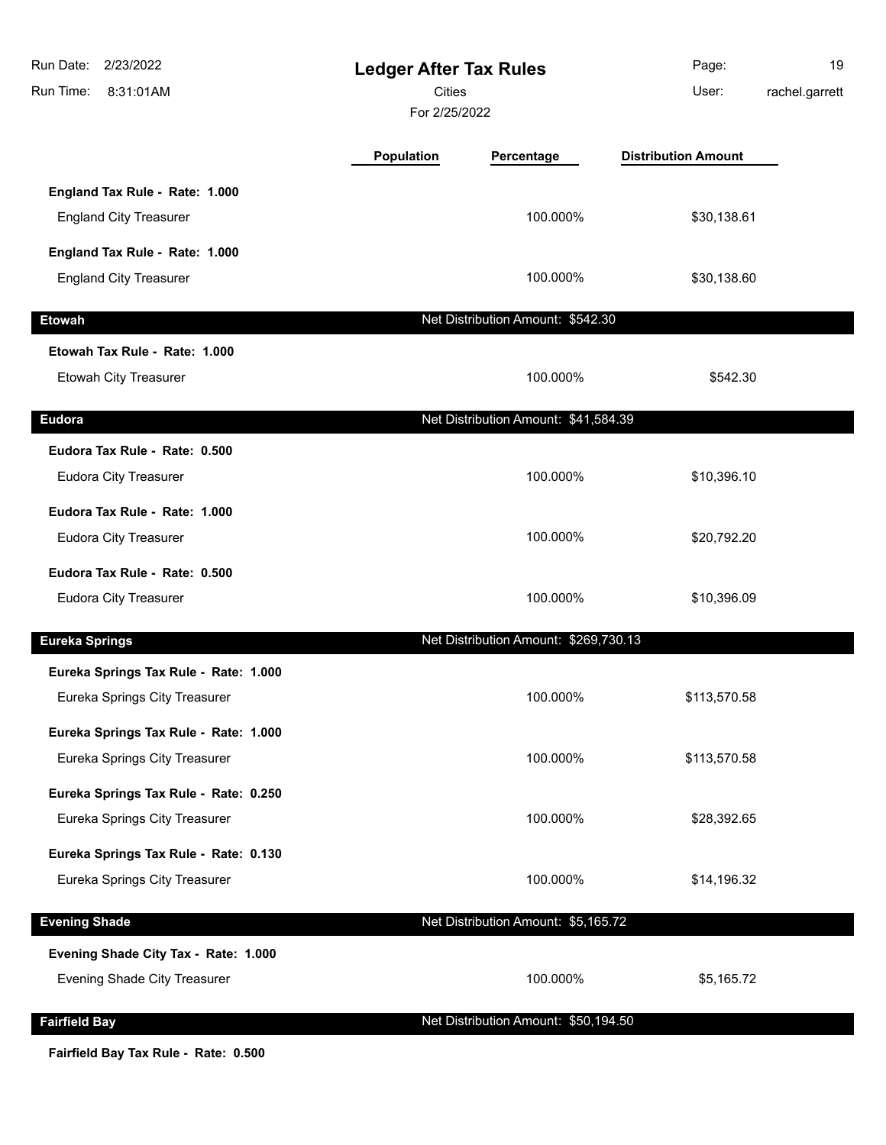| Run Date:<br>2/23/2022<br>Run Time:<br>8:31:01AM | <b>Ledger After Tax Rules</b><br><b>Cities</b><br>For 2/25/2022 |                                       | Page:<br>User:             | 19<br>rachel.garrett |
|--------------------------------------------------|-----------------------------------------------------------------|---------------------------------------|----------------------------|----------------------|
|                                                  | <b>Population</b>                                               | Percentage                            | <b>Distribution Amount</b> |                      |
| England Tax Rule - Rate: 1.000                   |                                                                 |                                       |                            |                      |
| <b>England City Treasurer</b>                    |                                                                 | 100.000%                              | \$30,138.61                |                      |
| England Tax Rule - Rate: 1.000                   |                                                                 |                                       |                            |                      |
| <b>England City Treasurer</b>                    |                                                                 | 100.000%                              | \$30,138.60                |                      |
| <b>Etowah</b>                                    |                                                                 | Net Distribution Amount: \$542.30     |                            |                      |
| Etowah Tax Rule - Rate: 1.000                    |                                                                 |                                       |                            |                      |
| Etowah City Treasurer                            |                                                                 | 100.000%                              | \$542.30                   |                      |
| <b>Eudora</b>                                    |                                                                 | Net Distribution Amount: \$41,584.39  |                            |                      |
| Eudora Tax Rule - Rate: 0.500                    |                                                                 |                                       |                            |                      |
| Eudora City Treasurer                            |                                                                 | 100.000%                              | \$10,396.10                |                      |
| Eudora Tax Rule - Rate: 1.000                    |                                                                 |                                       |                            |                      |
| Eudora City Treasurer                            |                                                                 | 100.000%                              | \$20,792.20                |                      |
| Eudora Tax Rule - Rate: 0.500                    |                                                                 |                                       |                            |                      |
| Eudora City Treasurer                            |                                                                 | 100.000%                              | \$10,396.09                |                      |
| <b>Eureka Springs</b>                            |                                                                 | Net Distribution Amount: \$269,730.13 |                            |                      |
| Eureka Springs Tax Rule - Rate: 1.000            |                                                                 |                                       |                            |                      |
| Eureka Springs City Treasurer                    |                                                                 | 100.000%                              | \$113,570.58               |                      |
| Eureka Springs Tax Rule - Rate: 1.000            |                                                                 |                                       |                            |                      |
| Eureka Springs City Treasurer                    |                                                                 | 100.000%                              | \$113,570.58               |                      |
| Eureka Springs Tax Rule - Rate: 0.250            |                                                                 |                                       |                            |                      |
| Eureka Springs City Treasurer                    |                                                                 | 100.000%                              | \$28,392.65                |                      |
| Eureka Springs Tax Rule - Rate: 0.130            |                                                                 |                                       |                            |                      |
| Eureka Springs City Treasurer                    |                                                                 | 100.000%                              | \$14,196.32                |                      |
| <b>Evening Shade</b>                             |                                                                 | Net Distribution Amount: \$5,165.72   |                            |                      |
| Evening Shade City Tax - Rate: 1.000             |                                                                 |                                       |                            |                      |
| Evening Shade City Treasurer                     |                                                                 | 100.000%                              | \$5,165.72                 |                      |
| <b>Fairfield Bay</b>                             |                                                                 | Net Distribution Amount: \$50,194.50  |                            |                      |
|                                                  |                                                                 |                                       |                            |                      |

**Fairfield Bay Tax Rule - Rate: 0.500**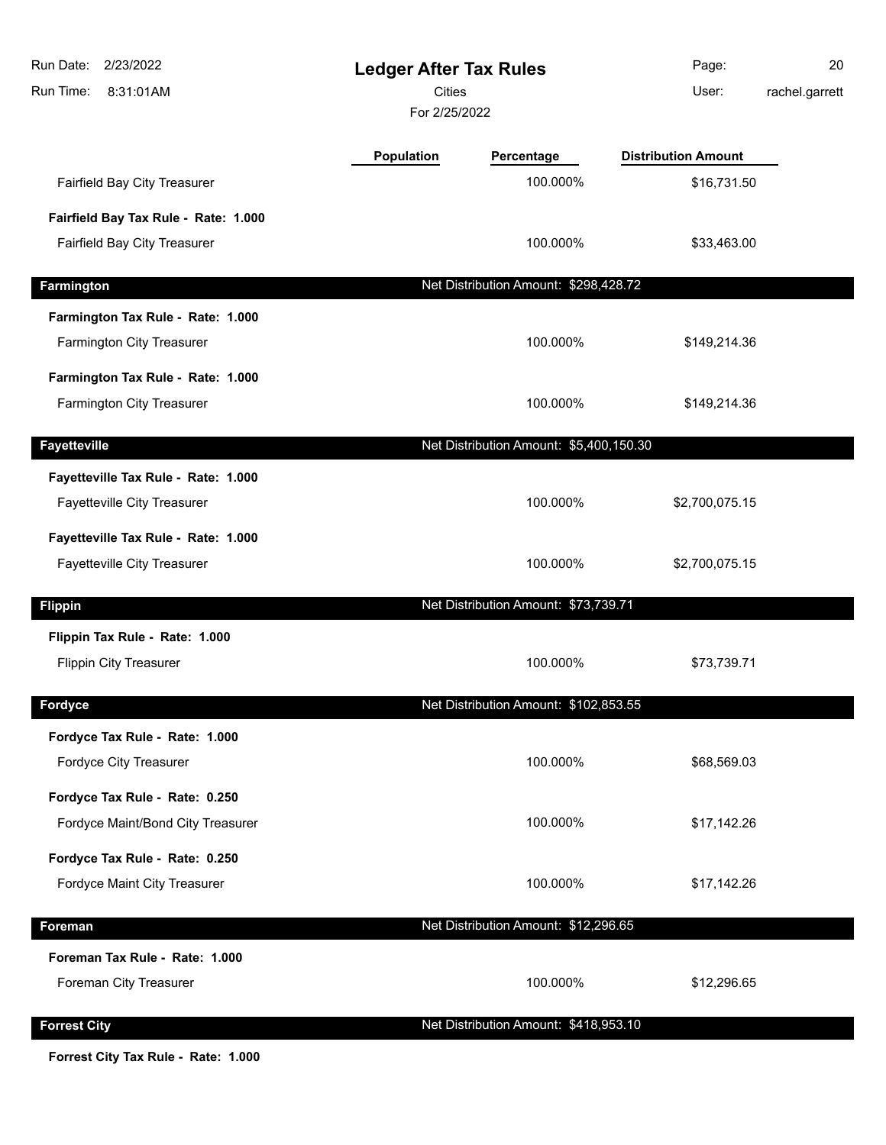| Run Date:<br>2/23/2022<br>Run Time:<br>8:31:01AM | <b>Ledger After Tax Rules</b><br><b>Cities</b><br>For 2/25/2022 |                                         | Page:<br>User:             | 20<br>rachel.garrett |
|--------------------------------------------------|-----------------------------------------------------------------|-----------------------------------------|----------------------------|----------------------|
|                                                  | <b>Population</b>                                               | Percentage                              | <b>Distribution Amount</b> |                      |
| Fairfield Bay City Treasurer                     |                                                                 | 100.000%                                | \$16,731.50                |                      |
| Fairfield Bay Tax Rule - Rate: 1.000             |                                                                 |                                         |                            |                      |
| Fairfield Bay City Treasurer                     |                                                                 | 100.000%                                | \$33,463.00                |                      |
| Farmington                                       |                                                                 | Net Distribution Amount: \$298,428.72   |                            |                      |
| Farmington Tax Rule - Rate: 1.000                |                                                                 |                                         |                            |                      |
| <b>Farmington City Treasurer</b>                 |                                                                 | 100.000%                                | \$149,214.36               |                      |
| Farmington Tax Rule - Rate: 1.000                |                                                                 |                                         |                            |                      |
| Farmington City Treasurer                        |                                                                 | 100.000%                                | \$149,214.36               |                      |
| <b>Fayetteville</b>                              |                                                                 | Net Distribution Amount: \$5,400,150.30 |                            |                      |
| Fayetteville Tax Rule - Rate: 1.000              |                                                                 |                                         |                            |                      |
| Fayetteville City Treasurer                      |                                                                 | 100.000%                                | \$2,700,075.15             |                      |
| Fayetteville Tax Rule - Rate: 1.000              |                                                                 |                                         |                            |                      |
| Fayetteville City Treasurer                      |                                                                 | 100.000%                                | \$2,700,075.15             |                      |
| <b>Flippin</b>                                   |                                                                 | Net Distribution Amount: \$73,739.71    |                            |                      |
| Flippin Tax Rule - Rate: 1.000                   |                                                                 |                                         |                            |                      |
| <b>Flippin City Treasurer</b>                    |                                                                 | 100.000%                                | \$73,739.71                |                      |
| Fordyce                                          |                                                                 | Net Distribution Amount: \$102,853.55   |                            |                      |
| Fordyce Tax Rule - Rate: 1.000                   |                                                                 |                                         |                            |                      |
| Fordyce City Treasurer                           |                                                                 | 100.000%                                | \$68,569.03                |                      |
| Fordyce Tax Rule - Rate: 0.250                   |                                                                 |                                         |                            |                      |
| Fordyce Maint/Bond City Treasurer                |                                                                 | 100.000%                                | \$17,142.26                |                      |
| Fordyce Tax Rule - Rate: 0.250                   |                                                                 |                                         |                            |                      |
| Fordyce Maint City Treasurer                     |                                                                 | 100.000%                                | \$17,142.26                |                      |
| Foreman                                          |                                                                 | Net Distribution Amount: \$12,296.65    |                            |                      |
| Foreman Tax Rule - Rate: 1.000                   |                                                                 |                                         |                            |                      |
| Foreman City Treasurer                           |                                                                 | 100.000%                                | \$12,296.65                |                      |
| <b>Forrest City</b>                              |                                                                 | Net Distribution Amount: \$418,953.10   |                            |                      |

**Forrest City Tax Rule - Rate: 1.000**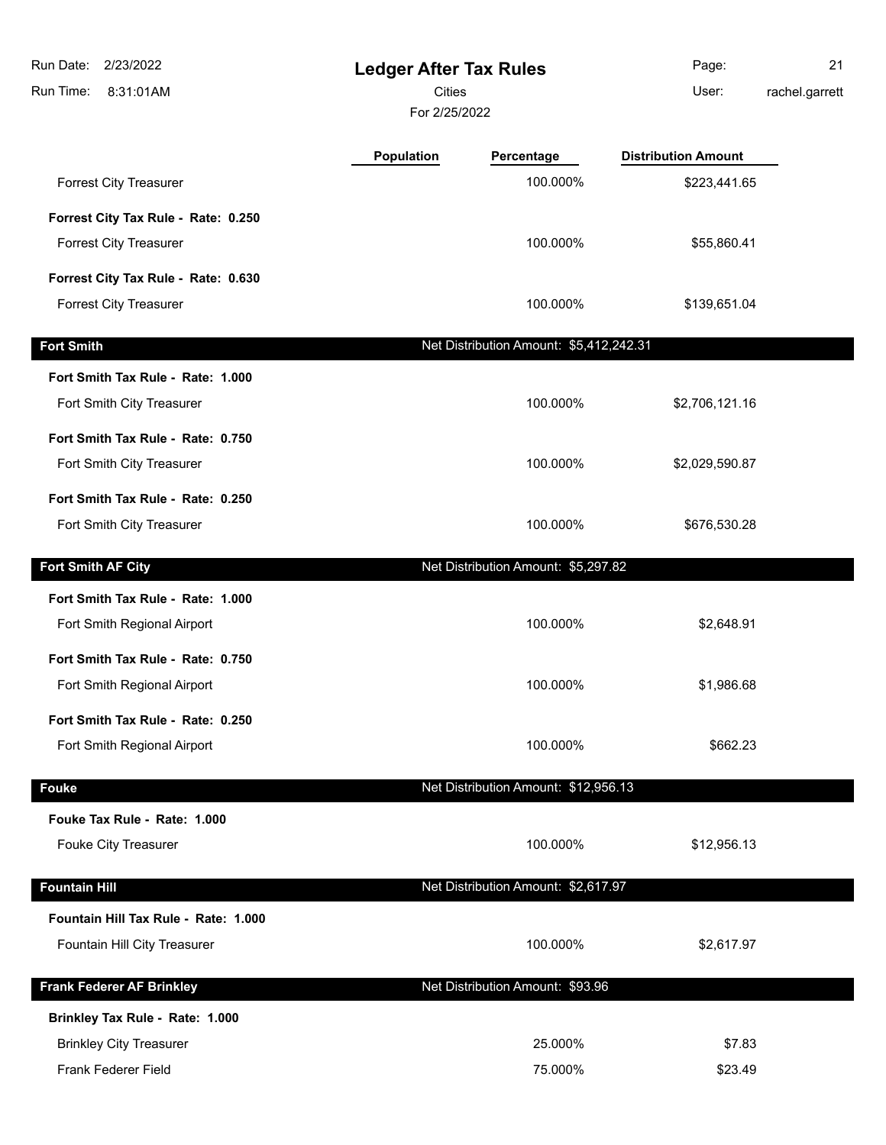| Run Date:<br>2/23/2022<br>Run Time:<br>8:31:01AM               | <b>Ledger After Tax Rules</b><br><b>Cities</b><br>For 2/25/2022 |                                         | Page:<br>User:             | 21<br>rachel.garrett |
|----------------------------------------------------------------|-----------------------------------------------------------------|-----------------------------------------|----------------------------|----------------------|
|                                                                | <b>Population</b>                                               | Percentage                              | <b>Distribution Amount</b> |                      |
| <b>Forrest City Treasurer</b>                                  |                                                                 | 100.000%                                | \$223,441.65               |                      |
| Forrest City Tax Rule - Rate: 0.250                            |                                                                 |                                         |                            |                      |
| <b>Forrest City Treasurer</b>                                  |                                                                 | 100.000%                                | \$55,860.41                |                      |
| Forrest City Tax Rule - Rate: 0.630                            |                                                                 |                                         |                            |                      |
| <b>Forrest City Treasurer</b>                                  |                                                                 | 100.000%                                | \$139,651.04               |                      |
| <b>Fort Smith</b>                                              |                                                                 | Net Distribution Amount: \$5,412,242.31 |                            |                      |
| Fort Smith Tax Rule - Rate: 1.000                              |                                                                 |                                         |                            |                      |
| Fort Smith City Treasurer                                      |                                                                 | 100.000%                                | \$2,706,121.16             |                      |
| Fort Smith Tax Rule - Rate: 0.750                              |                                                                 |                                         |                            |                      |
| Fort Smith City Treasurer                                      |                                                                 | 100.000%                                | \$2,029,590.87             |                      |
| Fort Smith Tax Rule - Rate: 0.250<br>Fort Smith City Treasurer |                                                                 | 100.000%                                | \$676,530.28               |                      |
| Fort Smith AF City                                             |                                                                 | Net Distribution Amount: \$5,297.82     |                            |                      |
| Fort Smith Tax Rule - Rate: 1.000                              |                                                                 |                                         |                            |                      |
| Fort Smith Regional Airport                                    |                                                                 | 100.000%                                | \$2,648.91                 |                      |
| Fort Smith Tax Rule - Rate: 0.750                              |                                                                 |                                         |                            |                      |
| Fort Smith Regional Airport                                    |                                                                 | 100.000%                                | \$1,986.68                 |                      |
| Fort Smith Tax Rule - Rate: 0.250                              |                                                                 |                                         |                            |                      |
| Fort Smith Regional Airport                                    |                                                                 | 100.000%                                | \$662.23                   |                      |
| <b>Fouke</b>                                                   |                                                                 | Net Distribution Amount: \$12,956.13    |                            |                      |
| Fouke Tax Rule - Rate: 1.000                                   |                                                                 |                                         |                            |                      |
| Fouke City Treasurer                                           |                                                                 | 100.000%                                | \$12,956.13                |                      |
| <b>Fountain Hill</b>                                           |                                                                 | Net Distribution Amount: \$2,617.97     |                            |                      |
| Fountain Hill Tax Rule - Rate: 1.000                           |                                                                 |                                         |                            |                      |
| Fountain Hill City Treasurer                                   |                                                                 | 100.000%                                | \$2,617.97                 |                      |
| <b>Frank Federer AF Brinkley</b>                               |                                                                 | Net Distribution Amount: \$93.96        |                            |                      |
| Brinkley Tax Rule - Rate: 1.000                                |                                                                 |                                         |                            |                      |
| <b>Brinkley City Treasurer</b>                                 |                                                                 | 25.000%                                 | \$7.83                     |                      |
| <b>Frank Federer Field</b>                                     |                                                                 | 75.000%                                 | \$23.49                    |                      |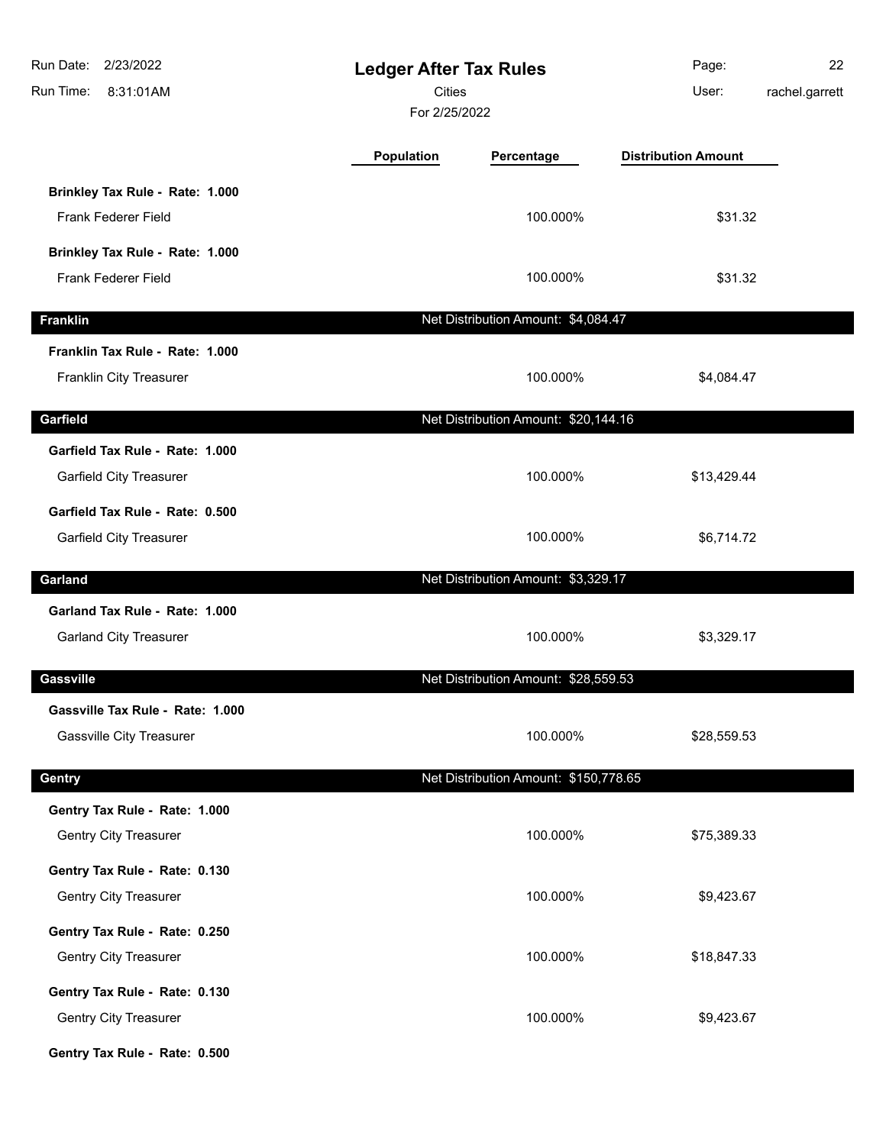| Run Date:<br>2/23/2022<br><b>Ledger After Tax Rules</b><br><b>Cities</b><br>Run Time:<br>8:31:01AM<br>For 2/25/2022 |            |                                       | Page:<br>User:             | 22<br>rachel.garrett |
|---------------------------------------------------------------------------------------------------------------------|------------|---------------------------------------|----------------------------|----------------------|
|                                                                                                                     | Population | Percentage                            | <b>Distribution Amount</b> |                      |
| Brinkley Tax Rule - Rate: 1.000<br>Frank Federer Field                                                              |            | 100.000%                              | \$31.32                    |                      |
| Brinkley Tax Rule - Rate: 1.000<br>Frank Federer Field                                                              |            | 100.000%                              | \$31.32                    |                      |
| <b>Franklin</b>                                                                                                     |            | Net Distribution Amount: \$4,084.47   |                            |                      |
| Franklin Tax Rule - Rate: 1.000<br>Franklin City Treasurer                                                          |            | 100.000%                              | \$4,084.47                 |                      |
| Garfield                                                                                                            |            | Net Distribution Amount: \$20,144.16  |                            |                      |
| Garfield Tax Rule - Rate: 1.000<br>Garfield City Treasurer                                                          |            | 100.000%                              | \$13,429.44                |                      |
| Garfield Tax Rule - Rate: 0.500<br><b>Garfield City Treasurer</b>                                                   |            | 100.000%                              | \$6,714.72                 |                      |
| Garland                                                                                                             |            | Net Distribution Amount: \$3,329.17   |                            |                      |
| Garland Tax Rule - Rate: 1.000<br><b>Garland City Treasurer</b>                                                     |            | 100.000%                              | \$3,329.17                 |                      |
| <b>Gassville</b>                                                                                                    |            | Net Distribution Amount: \$28,559.53  |                            |                      |
| Gassville Tax Rule - Rate: 1.000<br><b>Gassville City Treasurer</b>                                                 |            | 100.000%                              | \$28,559.53                |                      |
| Gentry                                                                                                              |            | Net Distribution Amount: \$150,778.65 |                            |                      |
| Gentry Tax Rule - Rate: 1.000<br><b>Gentry City Treasurer</b>                                                       |            | 100.000%                              | \$75,389.33                |                      |
| Gentry Tax Rule - Rate: 0.130<br><b>Gentry City Treasurer</b>                                                       |            | 100.000%                              | \$9,423.67                 |                      |
| Gentry Tax Rule - Rate: 0.250<br><b>Gentry City Treasurer</b>                                                       |            | 100.000%                              | \$18,847.33                |                      |
| Gentry Tax Rule - Rate: 0.130<br>Gentry City Treasurer                                                              |            | 100.000%                              | \$9,423.67                 |                      |
| Gentry Tax Rule - Rate: 0.500                                                                                       |            |                                       |                            |                      |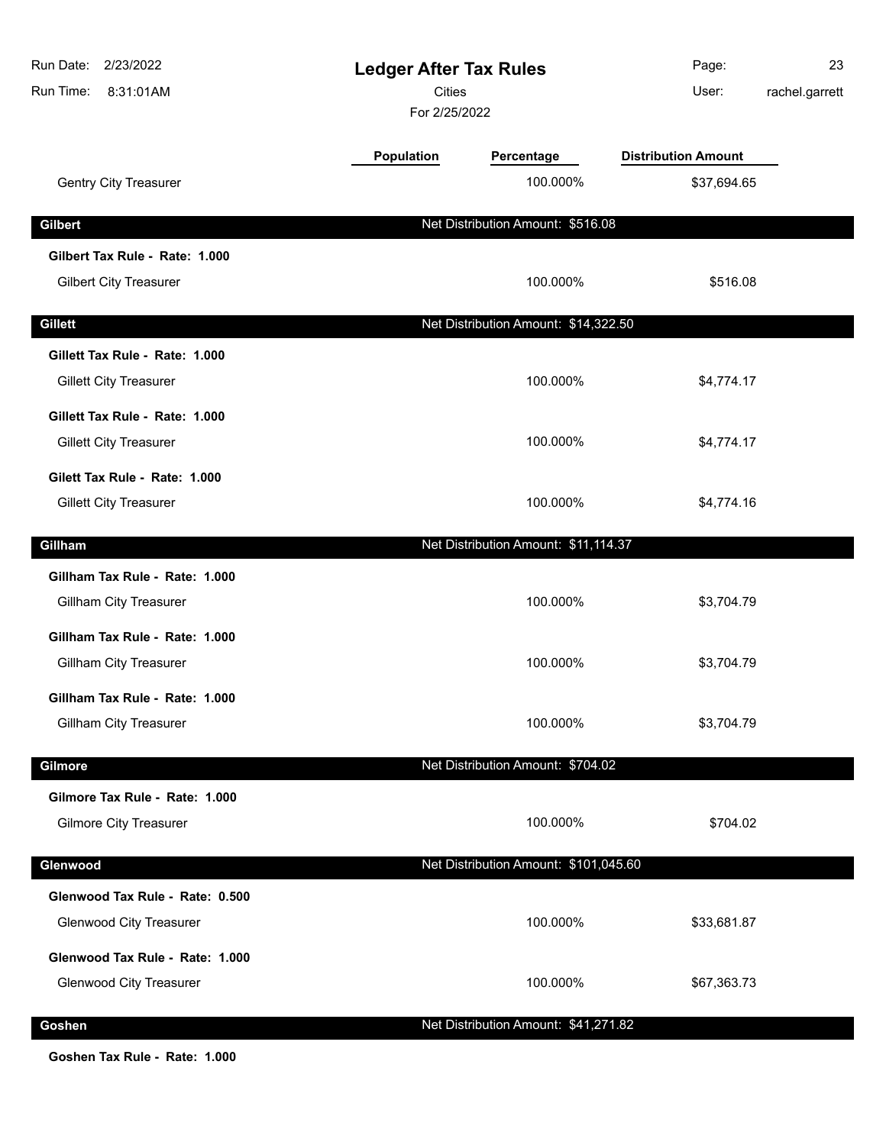| Run Date:<br>2/23/2022<br><b>Ledger After Tax Rules</b><br>Cities<br>Run Time:<br>8:31:01AM<br>For 2/25/2022 |            | Page:<br>User:                        | 23<br>rachel.garrett       |  |
|--------------------------------------------------------------------------------------------------------------|------------|---------------------------------------|----------------------------|--|
|                                                                                                              | Population | Percentage                            | <b>Distribution Amount</b> |  |
| Gentry City Treasurer                                                                                        |            | 100.000%                              | \$37,694.65                |  |
| <b>Gilbert</b>                                                                                               |            | Net Distribution Amount: \$516.08     |                            |  |
| Gilbert Tax Rule - Rate: 1.000<br><b>Gilbert City Treasurer</b>                                              |            | 100.000%                              | \$516.08                   |  |
| <b>Gillett</b>                                                                                               |            | Net Distribution Amount: \$14,322.50  |                            |  |
| Gillett Tax Rule - Rate: 1.000<br><b>Gillett City Treasurer</b>                                              |            | 100.000%                              | \$4,774.17                 |  |
| Gillett Tax Rule - Rate: 1.000<br><b>Gillett City Treasurer</b>                                              |            | 100.000%                              | \$4,774.17                 |  |
| Gilett Tax Rule - Rate: 1.000<br><b>Gillett City Treasurer</b>                                               |            | 100.000%                              | \$4,774.16                 |  |
| Gillham                                                                                                      |            | Net Distribution Amount: \$11,114.37  |                            |  |
| Gillham Tax Rule - Rate: 1.000<br>Gillham City Treasurer                                                     |            | 100.000%                              | \$3,704.79                 |  |
| Gillham Tax Rule - Rate: 1.000<br><b>Gillham City Treasurer</b>                                              |            | 100.000%                              | \$3,704.79                 |  |
| Gillham Tax Rule - Rate: 1.000<br><b>Gillham City Treasurer</b>                                              |            | 100.000%                              | \$3,704.79                 |  |
| Gilmore                                                                                                      |            | Net Distribution Amount: \$704.02     |                            |  |
| Gilmore Tax Rule - Rate: 1.000<br><b>Gilmore City Treasurer</b>                                              |            | 100.000%                              | \$704.02                   |  |
| Glenwood                                                                                                     |            | Net Distribution Amount: \$101,045.60 |                            |  |
| Glenwood Tax Rule - Rate: 0.500<br><b>Glenwood City Treasurer</b>                                            |            | 100.000%                              | \$33,681.87                |  |
| Glenwood Tax Rule - Rate: 1.000<br><b>Glenwood City Treasurer</b>                                            |            | 100.000%                              | \$67,363.73                |  |
| Goshen                                                                                                       |            | Net Distribution Amount: \$41,271.82  |                            |  |

**Goshen Tax Rule - Rate: 1.000**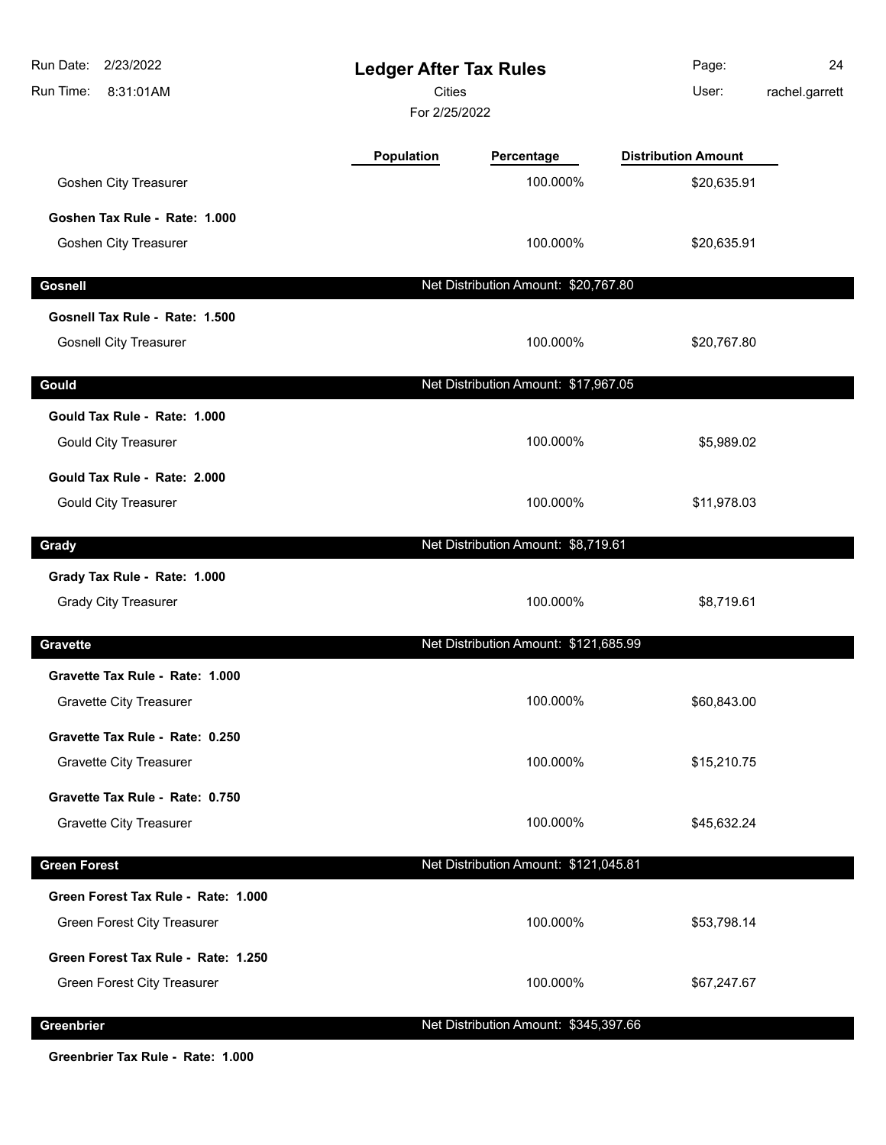| Run Date:<br>2/23/2022<br>Run Time:<br>8:31:01AM | <b>Ledger After Tax Rules</b><br><b>Cities</b><br>For 2/25/2022 |                                       | Page:<br>User:             | 24<br>rachel.garrett |
|--------------------------------------------------|-----------------------------------------------------------------|---------------------------------------|----------------------------|----------------------|
|                                                  | Population                                                      | Percentage                            | <b>Distribution Amount</b> |                      |
| <b>Goshen City Treasurer</b>                     |                                                                 | 100.000%                              | \$20,635.91                |                      |
| Goshen Tax Rule - Rate: 1.000                    |                                                                 |                                       |                            |                      |
| <b>Goshen City Treasurer</b>                     |                                                                 | 100.000%                              | \$20,635.91                |                      |
| <b>Gosnell</b>                                   |                                                                 | Net Distribution Amount: \$20,767.80  |                            |                      |
| Gosnell Tax Rule - Rate: 1.500                   |                                                                 |                                       |                            |                      |
| <b>Gosnell City Treasurer</b>                    |                                                                 | 100.000%                              | \$20,767.80                |                      |
| Gould                                            |                                                                 | Net Distribution Amount: \$17,967.05  |                            |                      |
| Gould Tax Rule - Rate: 1.000                     |                                                                 |                                       |                            |                      |
| <b>Gould City Treasurer</b>                      |                                                                 | 100.000%                              | \$5,989.02                 |                      |
| Gould Tax Rule - Rate: 2.000                     |                                                                 |                                       |                            |                      |
| <b>Gould City Treasurer</b>                      |                                                                 | 100.000%                              | \$11,978.03                |                      |
| Grady                                            |                                                                 | Net Distribution Amount: \$8,719.61   |                            |                      |
| Grady Tax Rule - Rate: 1.000                     |                                                                 |                                       |                            |                      |
| <b>Grady City Treasurer</b>                      |                                                                 | 100.000%                              | \$8,719.61                 |                      |
| <b>Gravette</b>                                  |                                                                 | Net Distribution Amount: \$121,685.99 |                            |                      |
| Gravette Tax Rule - Rate: 1.000                  |                                                                 |                                       |                            |                      |
| <b>Gravette City Treasurer</b>                   |                                                                 | 100.000%                              | \$60,843.00                |                      |
| Gravette Tax Rule - Rate: 0.250                  |                                                                 |                                       |                            |                      |
| <b>Gravette City Treasurer</b>                   |                                                                 | 100.000%                              | \$15,210.75                |                      |
| Gravette Tax Rule - Rate: 0.750                  |                                                                 |                                       |                            |                      |
| <b>Gravette City Treasurer</b>                   |                                                                 | 100.000%                              | \$45,632.24                |                      |
| <b>Green Forest</b>                              |                                                                 | Net Distribution Amount: \$121,045.81 |                            |                      |
| Green Forest Tax Rule - Rate: 1.000              |                                                                 |                                       |                            |                      |
| Green Forest City Treasurer                      |                                                                 | 100.000%                              | \$53,798.14                |                      |
| Green Forest Tax Rule - Rate: 1.250              |                                                                 |                                       |                            |                      |
| Green Forest City Treasurer                      |                                                                 | 100.000%                              | \$67,247.67                |                      |
| Greenbrier                                       |                                                                 | Net Distribution Amount: \$345,397.66 |                            |                      |

**Greenbrier Tax Rule - Rate: 1.000**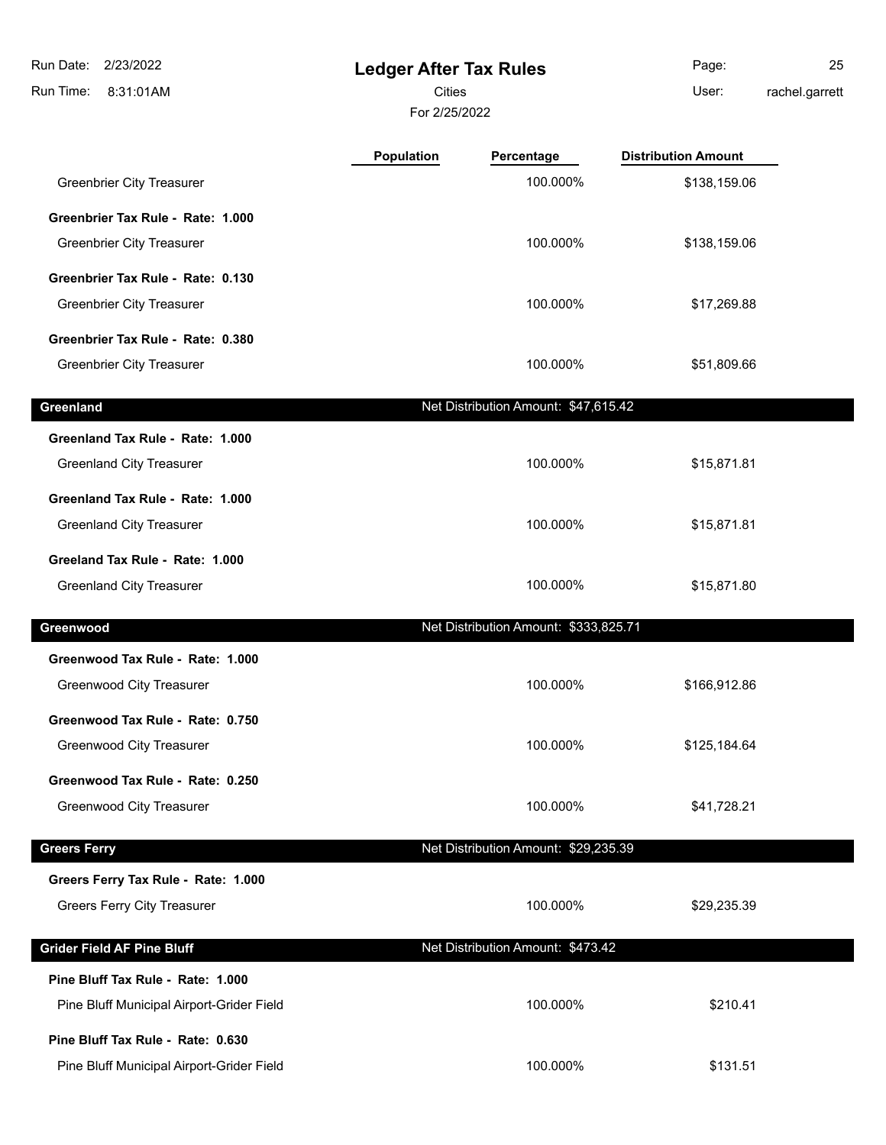**Ledger After Tax Rules** 8:31:01AM Run Time: Run Date: 2/23/2022 For 2/25/2022 **Cities Community Community Community** User: Page: 25 rachel.garrett **Population Percentage Distribution Amount** Greenbrier City Treasurer **100.000%** \$138,159.06 **Greenbrier Tax Rule - Rate: 1.000** Greenbrier City Treasurer **100.000%** \$138,159.06 **Greenbrier Tax Rule - Rate: 0.130** Greenbrier City Treasurer 100.000% \$17,269.88 **Greenbrier Tax Rule - Rate: 0.380** Greenbrier City Treasurer **100.000%** \$51,809.66 **Greenland Greenland Net Distribution Amount: \$47,615.42 Greenland Tax Rule - Rate: 1.000** Greenland City Treasurer 100.000% \$15,871.81 **Greenland Tax Rule - Rate: 1.000** Greenland City Treasurer 100.000% \$15,871.81 **Greeland Tax Rule - Rate: 1.000** Greenland City Treasurer 100.000% \$15,871.80 **Greenwood** Net Distribution Amount: \$333,825.71 **Greenwood Tax Rule - Rate: 1.000** Greenwood City Treasurer **by the control of the City Treasurer 100.000%** \$166,912.86 **Greenwood Tax Rule - Rate: 0.750** Greenwood City Treasurer **100.000%** \$125,184.64 **Greenwood Tax Rule - Rate: 0.250** Greenwood City Treasurer **by the City Control City Creenwood City Treasurer 641,728.21 Greers Ferry Contract Contract Contract Contract Contract Contract Contract Contract Contract Contract Contract Contract Contract Contract Contract Contract Contract Contract Contract Contract Contract Contract Contract Greers Ferry Tax Rule - Rate: 1.000** Greers Ferry City Treasurer and the state of the state of the 100.000% \$29,235.39 **Grider Field AF Pine Bluff** Net Distribution Amount: \$473.42 **Pine Bluff Tax Rule - Rate: 1.000** Pine Bluff Municipal Airport-Grider Field **100.000%** \$210.41

**Pine Bluff Tax Rule - Rate: 0.630**

Pine Bluff Municipal Airport-Grider Field **100.000%** \$131.51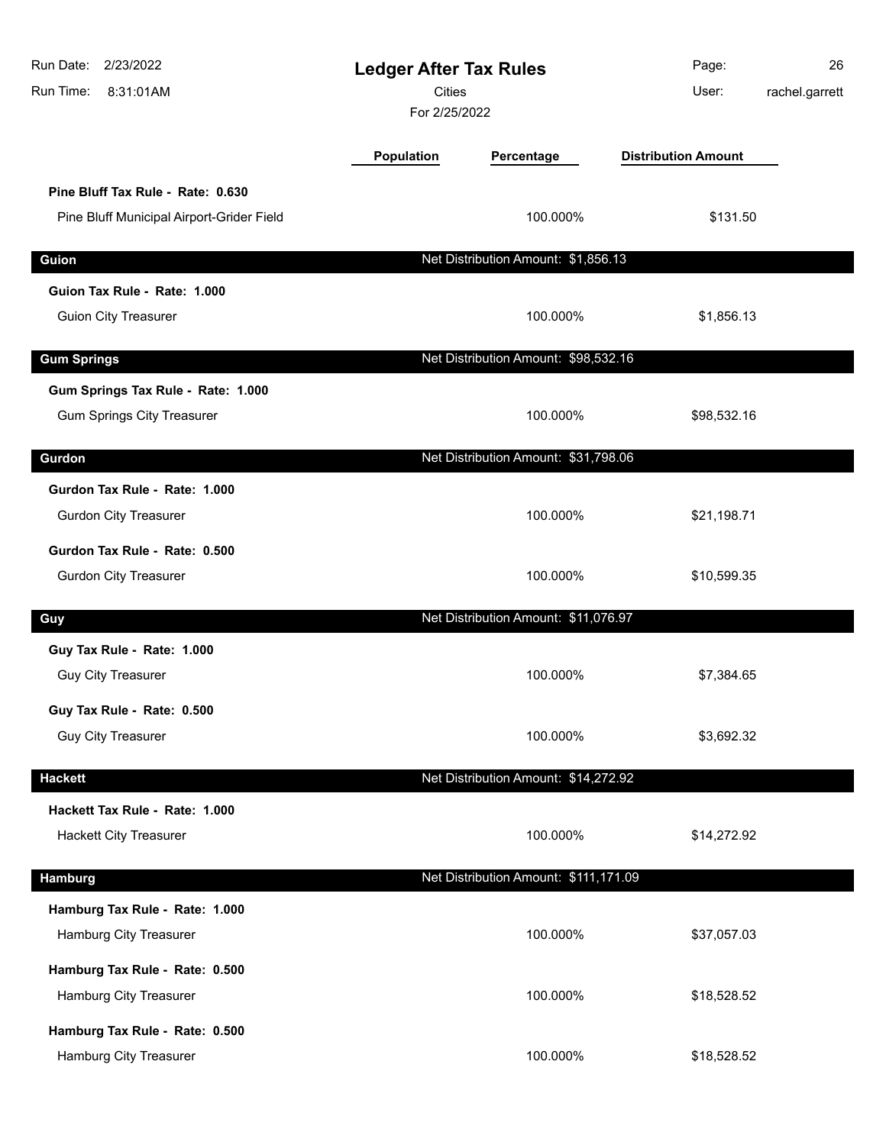| Run Date: 2/23/2022<br>Run Time:<br>8:31:01AM                                  |            | <b>Ledger After Tax Rules</b><br><b>Cities</b><br>For 2/25/2022 |                            | 26<br>rachel.garrett |
|--------------------------------------------------------------------------------|------------|-----------------------------------------------------------------|----------------------------|----------------------|
|                                                                                | Population | Percentage                                                      | <b>Distribution Amount</b> |                      |
| Pine Bluff Tax Rule - Rate: 0.630<br>Pine Bluff Municipal Airport-Grider Field |            | 100.000%                                                        | \$131.50                   |                      |
| Guion                                                                          |            | Net Distribution Amount: \$1,856.13                             |                            |                      |
| Guion Tax Rule - Rate: 1.000<br><b>Guion City Treasurer</b>                    |            | 100.000%                                                        | \$1,856.13                 |                      |
| <b>Gum Springs</b>                                                             |            | Net Distribution Amount: \$98,532.16                            |                            |                      |
| Gum Springs Tax Rule - Rate: 1.000<br><b>Gum Springs City Treasurer</b>        |            | 100.000%                                                        | \$98,532.16                |                      |
| Gurdon                                                                         |            | Net Distribution Amount: \$31,798.06                            |                            |                      |
| Gurdon Tax Rule - Rate: 1.000<br><b>Gurdon City Treasurer</b>                  |            | 100.000%                                                        | \$21,198.71                |                      |
| Gurdon Tax Rule - Rate: 0.500<br><b>Gurdon City Treasurer</b>                  |            | 100.000%                                                        | \$10,599.35                |                      |
| Guy                                                                            |            | Net Distribution Amount: \$11,076.97                            |                            |                      |
| Guy Tax Rule - Rate: 1.000<br><b>Guy City Treasurer</b>                        |            | 100.000%                                                        | \$7,384.65                 |                      |
| Guy Tax Rule - Rate: 0.500<br><b>Guy City Treasurer</b>                        |            | 100.000%                                                        | \$3,692.32                 |                      |
| <b>Hackett</b>                                                                 |            | Net Distribution Amount: \$14,272.92                            |                            |                      |
| Hackett Tax Rule - Rate: 1.000<br><b>Hackett City Treasurer</b>                |            | 100.000%                                                        | \$14,272.92                |                      |
| <b>Hamburg</b>                                                                 |            | Net Distribution Amount: \$111,171.09                           |                            |                      |
| Hamburg Tax Rule - Rate: 1.000<br>Hamburg City Treasurer                       |            | 100.000%                                                        | \$37,057.03                |                      |
| Hamburg Tax Rule - Rate: 0.500<br>Hamburg City Treasurer                       |            | 100.000%                                                        | \$18,528.52                |                      |
| Hamburg Tax Rule - Rate: 0.500<br>Hamburg City Treasurer                       |            | 100.000%                                                        | \$18,528.52                |                      |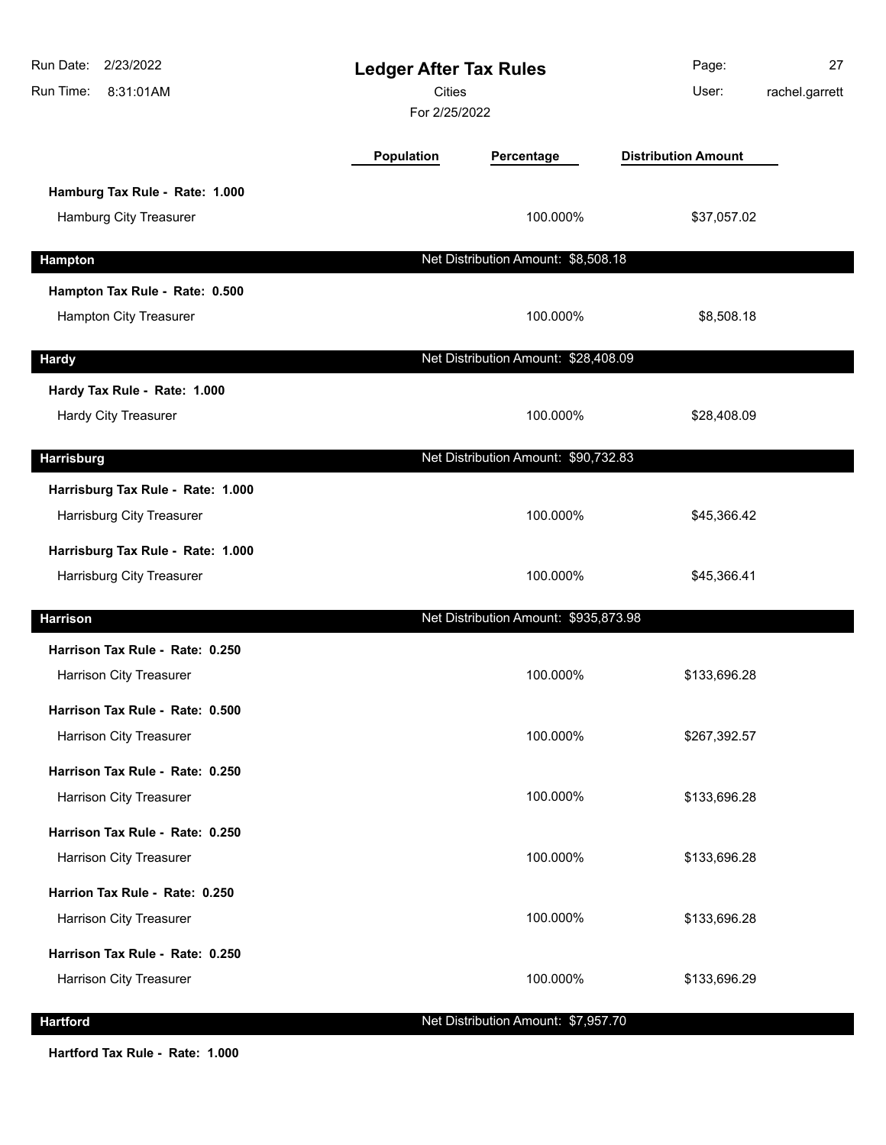| Run Date: 2/23/2022<br>Run Time:<br>8:31:01AM | <b>Ledger After Tax Rules</b><br><b>Cities</b><br>For 2/25/2022 |                                       | Page:<br>User:             | 27<br>rachel.garrett |
|-----------------------------------------------|-----------------------------------------------------------------|---------------------------------------|----------------------------|----------------------|
|                                               | Population                                                      | Percentage                            | <b>Distribution Amount</b> |                      |
| Hamburg Tax Rule - Rate: 1.000                |                                                                 |                                       |                            |                      |
| Hamburg City Treasurer                        |                                                                 | 100.000%                              | \$37,057.02                |                      |
| Hampton                                       |                                                                 | Net Distribution Amount: \$8,508.18   |                            |                      |
| Hampton Tax Rule - Rate: 0.500                |                                                                 |                                       |                            |                      |
| Hampton City Treasurer                        |                                                                 | 100.000%                              | \$8,508.18                 |                      |
| <b>Hardy</b>                                  |                                                                 | Net Distribution Amount: \$28,408.09  |                            |                      |
| Hardy Tax Rule - Rate: 1.000                  |                                                                 |                                       |                            |                      |
| <b>Hardy City Treasurer</b>                   |                                                                 | 100.000%                              | \$28,408.09                |                      |
| <b>Harrisburg</b>                             |                                                                 | Net Distribution Amount: \$90,732.83  |                            |                      |
| Harrisburg Tax Rule - Rate: 1.000             |                                                                 |                                       |                            |                      |
| Harrisburg City Treasurer                     |                                                                 | 100.000%                              | \$45,366.42                |                      |
| Harrisburg Tax Rule - Rate: 1.000             |                                                                 |                                       |                            |                      |
| Harrisburg City Treasurer                     |                                                                 | 100.000%                              | \$45,366.41                |                      |
| <b>Harrison</b>                               |                                                                 | Net Distribution Amount: \$935,873.98 |                            |                      |
| Harrison Tax Rule - Rate: 0.250               |                                                                 |                                       |                            |                      |
| Harrison City Treasurer                       |                                                                 | 100.000%                              | \$133,696.28               |                      |
| Harrison Tax Rule - Rate: 0.500               |                                                                 |                                       |                            |                      |
| Harrison City Treasurer                       |                                                                 | 100.000%                              | \$267,392.57               |                      |
| Harrison Tax Rule - Rate: 0.250               |                                                                 |                                       |                            |                      |
| Harrison City Treasurer                       |                                                                 | 100.000%                              | \$133,696.28               |                      |
| Harrison Tax Rule - Rate: 0.250               |                                                                 |                                       |                            |                      |
| Harrison City Treasurer                       |                                                                 | 100.000%                              | \$133,696.28               |                      |
| Harrion Tax Rule - Rate: 0.250                |                                                                 |                                       |                            |                      |
| Harrison City Treasurer                       |                                                                 | 100.000%                              | \$133,696.28               |                      |
| Harrison Tax Rule - Rate: 0.250               |                                                                 |                                       |                            |                      |
| Harrison City Treasurer                       |                                                                 | 100.000%                              | \$133,696.29               |                      |
| <b>Hartford</b>                               |                                                                 | Net Distribution Amount: \$7,957.70   |                            |                      |

**Hartford Tax Rule - Rate: 1.000**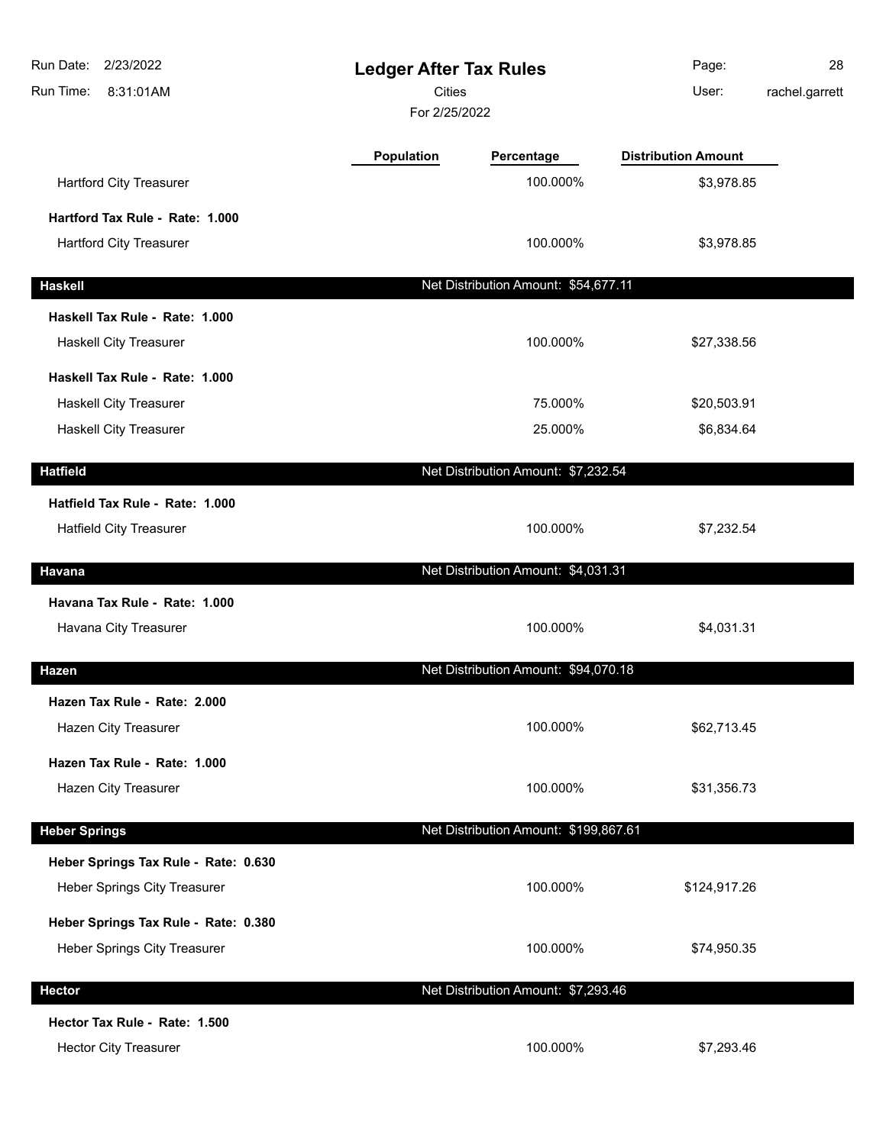| Run Date:<br>2/23/2022<br>Run Time:<br>8:31:01AM | <b>Ledger After Tax Rules</b><br><b>Cities</b><br>For 2/25/2022 |                                       | Page:<br>User:             | 28<br>rachel.garrett |
|--------------------------------------------------|-----------------------------------------------------------------|---------------------------------------|----------------------------|----------------------|
|                                                  | Population                                                      | Percentage                            | <b>Distribution Amount</b> |                      |
| <b>Hartford City Treasurer</b>                   |                                                                 | 100.000%                              | \$3,978.85                 |                      |
| Hartford Tax Rule - Rate: 1.000                  |                                                                 |                                       |                            |                      |
| <b>Hartford City Treasurer</b>                   |                                                                 | 100.000%                              | \$3,978.85                 |                      |
| <b>Haskell</b>                                   |                                                                 | Net Distribution Amount: \$54,677.11  |                            |                      |
| Haskell Tax Rule - Rate: 1.000                   |                                                                 |                                       |                            |                      |
| Haskell City Treasurer                           |                                                                 | 100.000%                              | \$27,338.56                |                      |
| Haskell Tax Rule - Rate: 1.000                   |                                                                 |                                       |                            |                      |
| Haskell City Treasurer                           |                                                                 | 75.000%                               | \$20,503.91                |                      |
| Haskell City Treasurer                           |                                                                 | 25.000%                               | \$6,834.64                 |                      |
| <b>Hatfield</b>                                  |                                                                 | Net Distribution Amount: \$7,232.54   |                            |                      |
| Hatfield Tax Rule - Rate: 1.000                  |                                                                 |                                       |                            |                      |
| <b>Hatfield City Treasurer</b>                   |                                                                 | 100.000%                              | \$7,232.54                 |                      |
| Havana                                           |                                                                 | Net Distribution Amount: \$4,031.31   |                            |                      |
| Havana Tax Rule - Rate: 1.000                    |                                                                 |                                       |                            |                      |
| Havana City Treasurer                            |                                                                 | 100.000%                              | \$4,031.31                 |                      |
| Hazen                                            |                                                                 | Net Distribution Amount: \$94,070.18  |                            |                      |
| Hazen Tax Rule - Rate: 2.000                     |                                                                 |                                       |                            |                      |
| <b>Hazen City Treasurer</b>                      |                                                                 | 100.000%                              | \$62,713.45                |                      |
| Hazen Tax Rule - Rate: 1.000                     |                                                                 |                                       |                            |                      |
| Hazen City Treasurer                             |                                                                 | 100.000%                              | \$31,356.73                |                      |
|                                                  |                                                                 |                                       |                            |                      |
| <b>Heber Springs</b>                             |                                                                 | Net Distribution Amount: \$199,867.61 |                            |                      |
| Heber Springs Tax Rule - Rate: 0.630             |                                                                 |                                       |                            |                      |
| Heber Springs City Treasurer                     |                                                                 | 100.000%                              | \$124,917.26               |                      |
| Heber Springs Tax Rule - Rate: 0.380             |                                                                 |                                       |                            |                      |
| Heber Springs City Treasurer                     |                                                                 | 100.000%                              | \$74,950.35                |                      |
| <b>Hector</b>                                    |                                                                 | Net Distribution Amount: \$7,293.46   |                            |                      |
| Hector Tax Rule - Rate: 1.500                    |                                                                 |                                       |                            |                      |
| <b>Hector City Treasurer</b>                     |                                                                 | 100.000%                              | \$7,293.46                 |                      |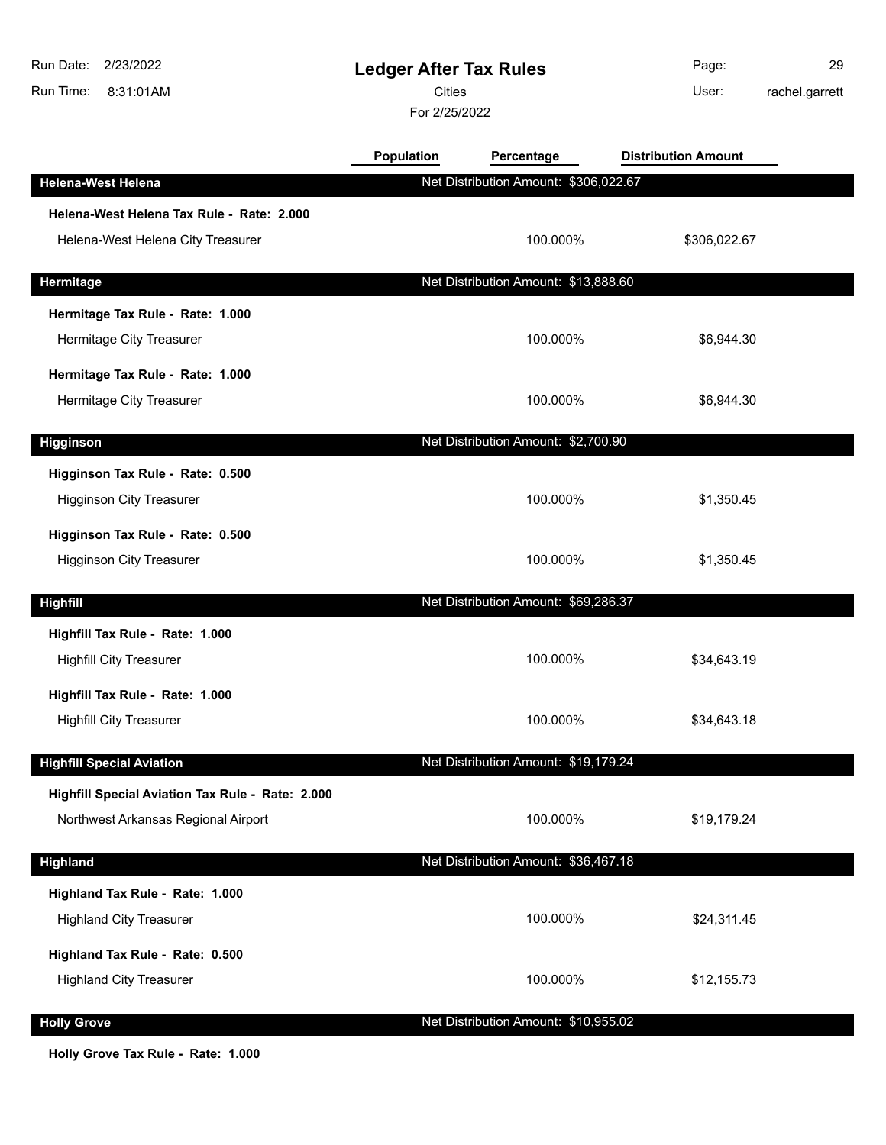| Run Date:<br>2/23/2022<br>Run Time:<br>8:31:01AM | <b>Ledger After Tax Rules</b><br><b>Cities</b><br>For 2/25/2022 |                                       | Page:<br>User:             | 29<br>rachel.garrett |
|--------------------------------------------------|-----------------------------------------------------------------|---------------------------------------|----------------------------|----------------------|
|                                                  | Population                                                      | Percentage                            | <b>Distribution Amount</b> |                      |
| <b>Helena-West Helena</b>                        |                                                                 | Net Distribution Amount: \$306,022.67 |                            |                      |
| Helena-West Helena Tax Rule - Rate: 2.000        |                                                                 |                                       |                            |                      |
| Helena-West Helena City Treasurer                |                                                                 | 100.000%                              | \$306,022.67               |                      |
| Hermitage                                        |                                                                 | Net Distribution Amount: \$13,888.60  |                            |                      |
| Hermitage Tax Rule - Rate: 1.000                 |                                                                 |                                       |                            |                      |
| Hermitage City Treasurer                         |                                                                 | 100.000%                              | \$6,944.30                 |                      |
| Hermitage Tax Rule - Rate: 1.000                 |                                                                 |                                       |                            |                      |
| Hermitage City Treasurer                         |                                                                 | 100.000%                              | \$6,944.30                 |                      |
| <b>Higginson</b>                                 |                                                                 | Net Distribution Amount: \$2,700.90   |                            |                      |
| Higginson Tax Rule - Rate: 0.500                 |                                                                 |                                       |                            |                      |
| <b>Higginson City Treasurer</b>                  |                                                                 | 100.000%                              | \$1,350.45                 |                      |
| Higginson Tax Rule - Rate: 0.500                 |                                                                 |                                       |                            |                      |
| <b>Higginson City Treasurer</b>                  |                                                                 | 100.000%                              | \$1,350.45                 |                      |
| <b>Highfill</b>                                  |                                                                 | Net Distribution Amount: \$69,286.37  |                            |                      |
| Highfill Tax Rule - Rate: 1.000                  |                                                                 |                                       |                            |                      |
| <b>Highfill City Treasurer</b>                   |                                                                 | 100.000%                              | \$34,643.19                |                      |
| Highfill Tax Rule - Rate: 1.000                  |                                                                 |                                       |                            |                      |
| <b>Highfill City Treasurer</b>                   |                                                                 | 100.000%                              | \$34,643.18                |                      |
| <b>Highfill Special Aviation</b>                 |                                                                 | Net Distribution Amount: \$19,179.24  |                            |                      |
| Highfill Special Aviation Tax Rule - Rate: 2.000 |                                                                 |                                       |                            |                      |
| Northwest Arkansas Regional Airport              |                                                                 | 100.000%                              | \$19,179.24                |                      |
| <b>Highland</b>                                  |                                                                 | Net Distribution Amount: \$36,467.18  |                            |                      |
| Highland Tax Rule - Rate: 1.000                  |                                                                 |                                       |                            |                      |
| <b>Highland City Treasurer</b>                   |                                                                 | 100.000%                              | \$24,311.45                |                      |
| Highland Tax Rule - Rate: 0.500                  |                                                                 |                                       |                            |                      |
| <b>Highland City Treasurer</b>                   |                                                                 | 100.000%                              | \$12,155.73                |                      |
| <b>Holly Grove</b>                               |                                                                 | Net Distribution Amount: \$10,955.02  |                            |                      |

**Holly Grove Tax Rule - Rate: 1.000**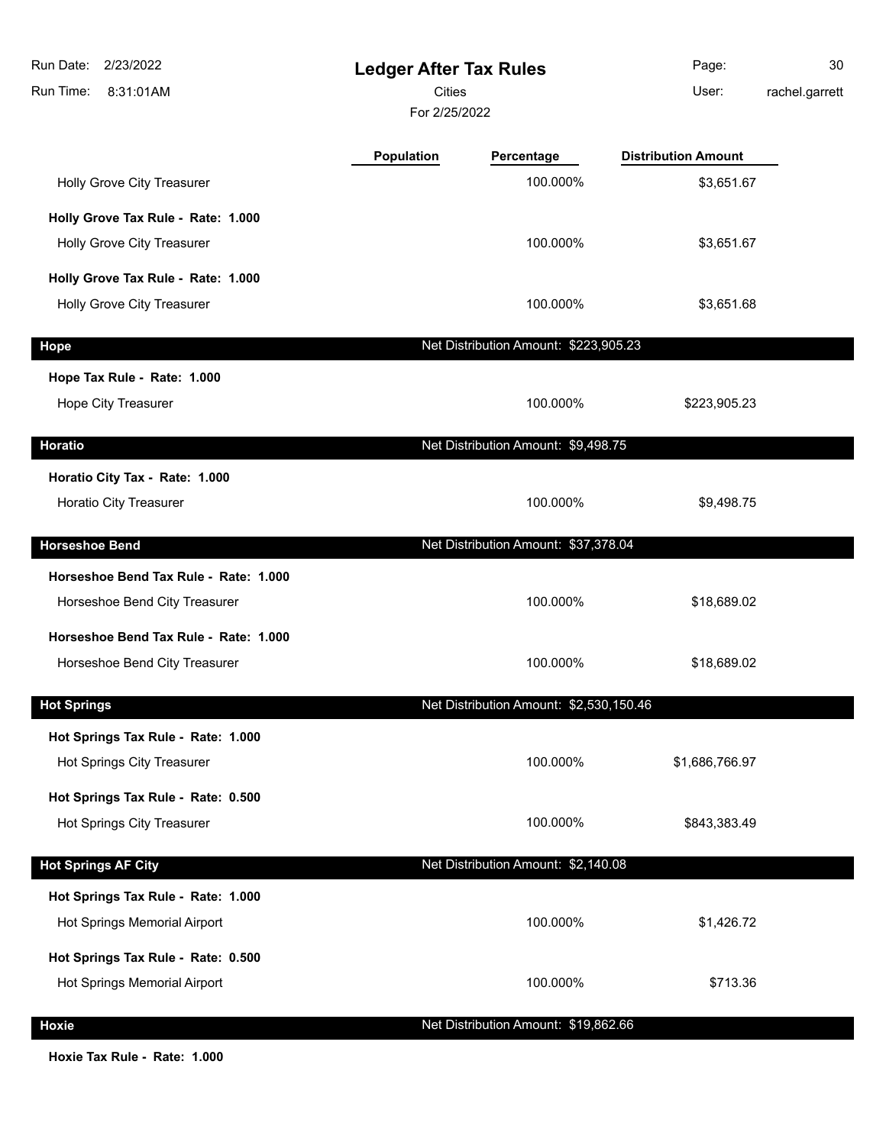| Run Date:<br>2/23/2022<br>Run Time:<br>8:31:01AM                       | <b>Ledger After Tax Rules</b><br><b>Cities</b><br>For 2/25/2022 |                                         | Page:<br>User:             | 30<br>rachel.garrett |
|------------------------------------------------------------------------|-----------------------------------------------------------------|-----------------------------------------|----------------------------|----------------------|
|                                                                        | Population                                                      | Percentage                              | <b>Distribution Amount</b> |                      |
| Holly Grove City Treasurer                                             |                                                                 | 100.000%                                | \$3,651.67                 |                      |
| Holly Grove Tax Rule - Rate: 1.000                                     |                                                                 |                                         |                            |                      |
| <b>Holly Grove City Treasurer</b>                                      |                                                                 | 100.000%                                | \$3,651.67                 |                      |
| Holly Grove Tax Rule - Rate: 1.000                                     |                                                                 |                                         |                            |                      |
| Holly Grove City Treasurer                                             |                                                                 | 100.000%                                | \$3,651.68                 |                      |
| Hope                                                                   |                                                                 | Net Distribution Amount: \$223,905.23   |                            |                      |
| Hope Tax Rule - Rate: 1.000                                            |                                                                 |                                         |                            |                      |
| Hope City Treasurer                                                    |                                                                 | 100.000%                                | \$223,905.23               |                      |
| Horatio                                                                |                                                                 | Net Distribution Amount: \$9,498.75     |                            |                      |
| Horatio City Tax - Rate: 1.000<br><b>Horatio City Treasurer</b>        |                                                                 | 100.000%                                | \$9,498.75                 |                      |
| <b>Horseshoe Bend</b>                                                  |                                                                 | Net Distribution Amount: \$37,378.04    |                            |                      |
| Horseshoe Bend Tax Rule - Rate: 1.000                                  |                                                                 |                                         |                            |                      |
| Horseshoe Bend City Treasurer                                          |                                                                 | 100.000%                                | \$18,689.02                |                      |
| Horseshoe Bend Tax Rule - Rate: 1.000<br>Horseshoe Bend City Treasurer |                                                                 | 100.000%                                | \$18,689.02                |                      |
| <b>Hot Springs</b>                                                     |                                                                 | Net Distribution Amount: \$2,530,150.46 |                            |                      |
| Hot Springs Tax Rule - Rate: 1.000                                     |                                                                 |                                         |                            |                      |
| Hot Springs City Treasurer                                             |                                                                 | 100.000%                                | \$1,686,766.97             |                      |
| Hot Springs Tax Rule - Rate: 0.500                                     |                                                                 |                                         |                            |                      |
| Hot Springs City Treasurer                                             |                                                                 | 100.000%                                | \$843,383.49               |                      |
| <b>Hot Springs AF City</b>                                             |                                                                 | Net Distribution Amount: \$2,140.08     |                            |                      |
| Hot Springs Tax Rule - Rate: 1.000                                     |                                                                 |                                         |                            |                      |
| Hot Springs Memorial Airport                                           |                                                                 | 100.000%                                | \$1,426.72                 |                      |
| Hot Springs Tax Rule - Rate: 0.500                                     |                                                                 |                                         |                            |                      |
| Hot Springs Memorial Airport                                           |                                                                 | 100.000%                                | \$713.36                   |                      |
| Hoxie                                                                  |                                                                 | Net Distribution Amount: \$19,862.66    |                            |                      |

**Hoxie Tax Rule - Rate: 1.000**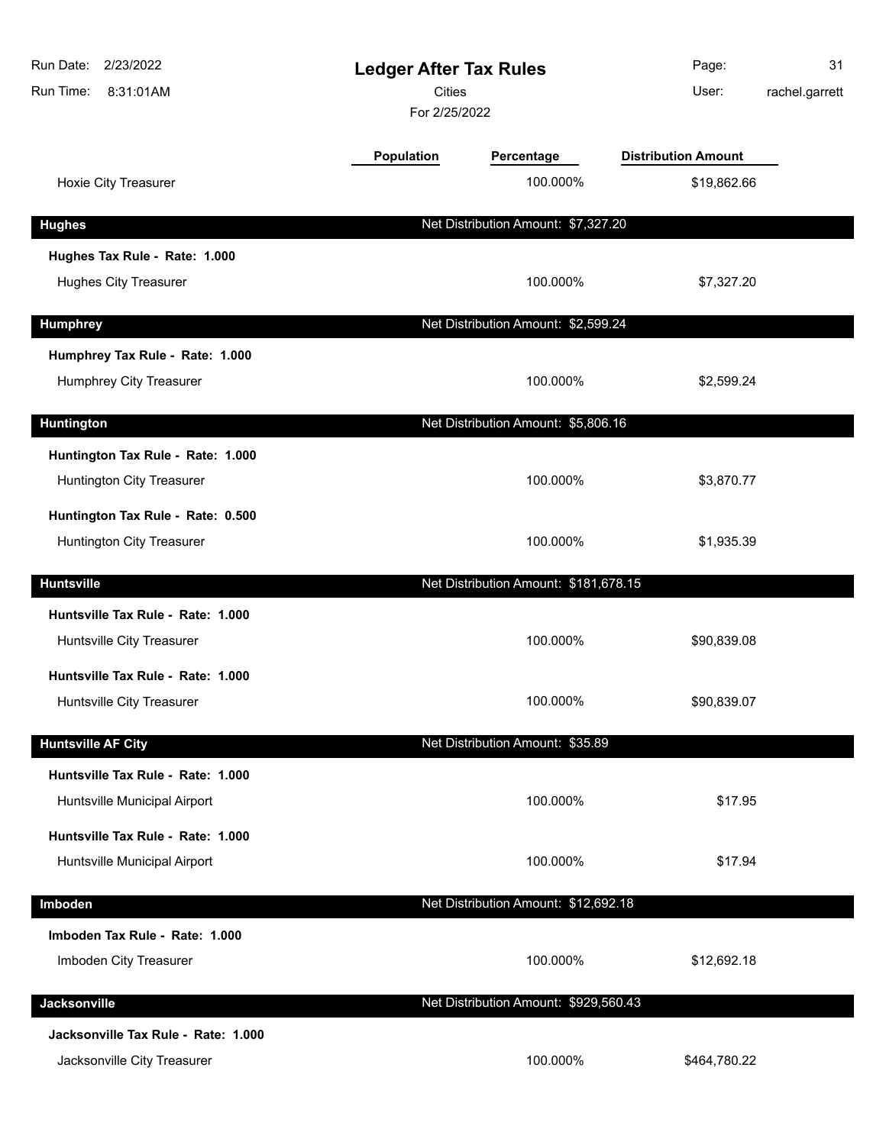| Run Date:<br>2/23/2022<br><b>Ledger After Tax Rules</b><br><b>Cities</b><br>Run Time:<br>8:31:01AM<br>For 2/25/2022 |            | Page:<br>User:                        | 31<br>rachel.garrett       |  |
|---------------------------------------------------------------------------------------------------------------------|------------|---------------------------------------|----------------------------|--|
|                                                                                                                     | Population | Percentage                            | <b>Distribution Amount</b> |  |
| Hoxie City Treasurer                                                                                                |            | 100.000%                              | \$19,862.66                |  |
| <b>Hughes</b>                                                                                                       |            | Net Distribution Amount: \$7,327.20   |                            |  |
| Hughes Tax Rule - Rate: 1.000                                                                                       |            |                                       |                            |  |
| <b>Hughes City Treasurer</b>                                                                                        |            | 100.000%                              | \$7,327.20                 |  |
| <b>Humphrey</b>                                                                                                     |            | Net Distribution Amount: \$2,599.24   |                            |  |
| Humphrey Tax Rule - Rate: 1.000                                                                                     |            |                                       |                            |  |
| Humphrey City Treasurer                                                                                             |            | 100.000%                              | \$2,599.24                 |  |
| <b>Huntington</b>                                                                                                   |            | Net Distribution Amount: \$5,806.16   |                            |  |
| Huntington Tax Rule - Rate: 1.000<br>Huntington City Treasurer                                                      |            | 100.000%                              | \$3,870.77                 |  |
| Huntington Tax Rule - Rate: 0.500<br>Huntington City Treasurer                                                      |            | 100.000%                              | \$1,935.39                 |  |
| <b>Huntsville</b>                                                                                                   |            | Net Distribution Amount: \$181,678.15 |                            |  |
| Huntsville Tax Rule - Rate: 1.000<br>Huntsville City Treasurer                                                      |            | 100.000%                              | \$90,839.08                |  |
| Huntsville Tax Rule - Rate: 1.000<br>Huntsville City Treasurer                                                      |            | 100.000%                              | \$90,839.07                |  |
| <b>Huntsville AF City</b>                                                                                           |            | Net Distribution Amount: \$35.89      |                            |  |
| Huntsville Tax Rule - Rate: 1.000<br>Huntsville Municipal Airport                                                   |            | 100.000%                              | \$17.95                    |  |
| Huntsville Tax Rule - Rate: 1.000<br>Huntsville Municipal Airport                                                   |            | 100.000%                              | \$17.94                    |  |
| Imboden                                                                                                             |            | Net Distribution Amount: \$12,692.18  |                            |  |
| Imboden Tax Rule - Rate: 1.000<br>Imboden City Treasurer                                                            |            | 100.000%                              | \$12,692.18                |  |
| Jacksonville                                                                                                        |            | Net Distribution Amount: \$929,560.43 |                            |  |
| Jacksonville Tax Rule - Rate: 1.000<br>Jacksonville City Treasurer                                                  |            | 100.000%                              | \$464,780.22               |  |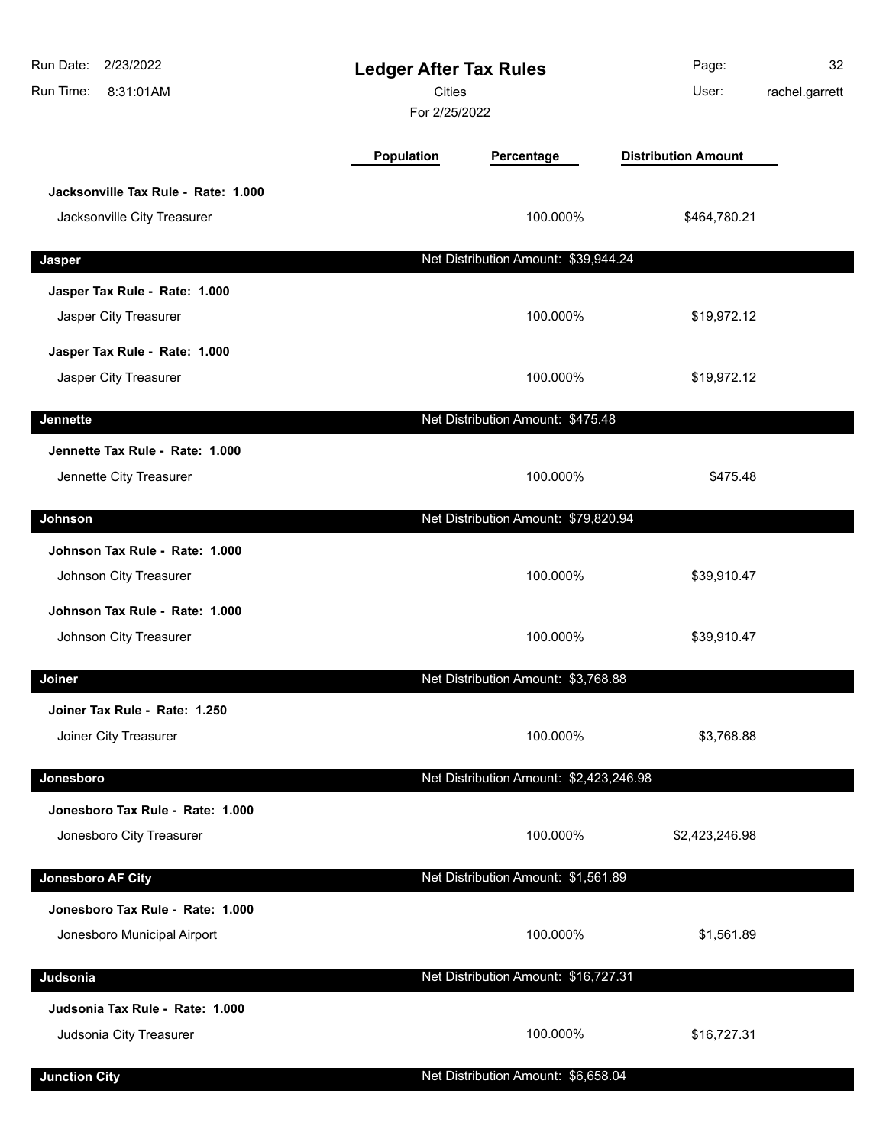| 2/23/2022<br>Run Date:<br>Run Time:<br>8:31:01AM                   |            | <b>Ledger After Tax Rules</b><br><b>Cities</b><br>For 2/25/2022 |                            | 32<br>rachel.garrett |
|--------------------------------------------------------------------|------------|-----------------------------------------------------------------|----------------------------|----------------------|
|                                                                    | Population | Percentage                                                      | <b>Distribution Amount</b> |                      |
| Jacksonville Tax Rule - Rate: 1.000<br>Jacksonville City Treasurer |            | 100.000%                                                        | \$464,780.21               |                      |
| Jasper                                                             |            | Net Distribution Amount: \$39,944.24                            |                            |                      |
| Jasper Tax Rule - Rate: 1.000<br>Jasper City Treasurer             |            | 100.000%                                                        | \$19,972.12                |                      |
| Jasper Tax Rule - Rate: 1.000<br>Jasper City Treasurer             |            | 100.000%                                                        | \$19,972.12                |                      |
| <b>Jennette</b>                                                    |            | Net Distribution Amount: \$475.48                               |                            |                      |
| Jennette Tax Rule - Rate: 1.000<br>Jennette City Treasurer         |            | 100.000%                                                        | \$475.48                   |                      |
| Johnson                                                            |            | Net Distribution Amount: \$79,820.94                            |                            |                      |
| Johnson Tax Rule - Rate: 1.000<br>Johnson City Treasurer           |            | 100.000%                                                        | \$39,910.47                |                      |
| Johnson Tax Rule - Rate: 1.000<br>Johnson City Treasurer           |            | 100.000%                                                        | \$39,910.47                |                      |
| Joiner                                                             |            | Net Distribution Amount: \$3,768.88                             |                            |                      |
| Joiner Tax Rule - Rate: 1.250<br>Joiner City Treasurer             |            | 100.000%                                                        | \$3,768.88                 |                      |
| Jonesboro                                                          |            | Net Distribution Amount: \$2,423,246.98                         |                            |                      |
| Jonesboro Tax Rule - Rate: 1.000<br>Jonesboro City Treasurer       |            | 100.000%                                                        | \$2,423,246.98             |                      |
| <b>Jonesboro AF City</b>                                           |            | Net Distribution Amount: \$1,561.89                             |                            |                      |
| Jonesboro Tax Rule - Rate: 1.000<br>Jonesboro Municipal Airport    |            | 100.000%                                                        | \$1,561.89                 |                      |
| Judsonia                                                           |            | Net Distribution Amount: \$16,727.31                            |                            |                      |
| Judsonia Tax Rule - Rate: 1.000<br>Judsonia City Treasurer         |            | 100.000%                                                        | \$16,727.31                |                      |
| <b>Junction City</b>                                               |            | Net Distribution Amount: \$6,658.04                             |                            |                      |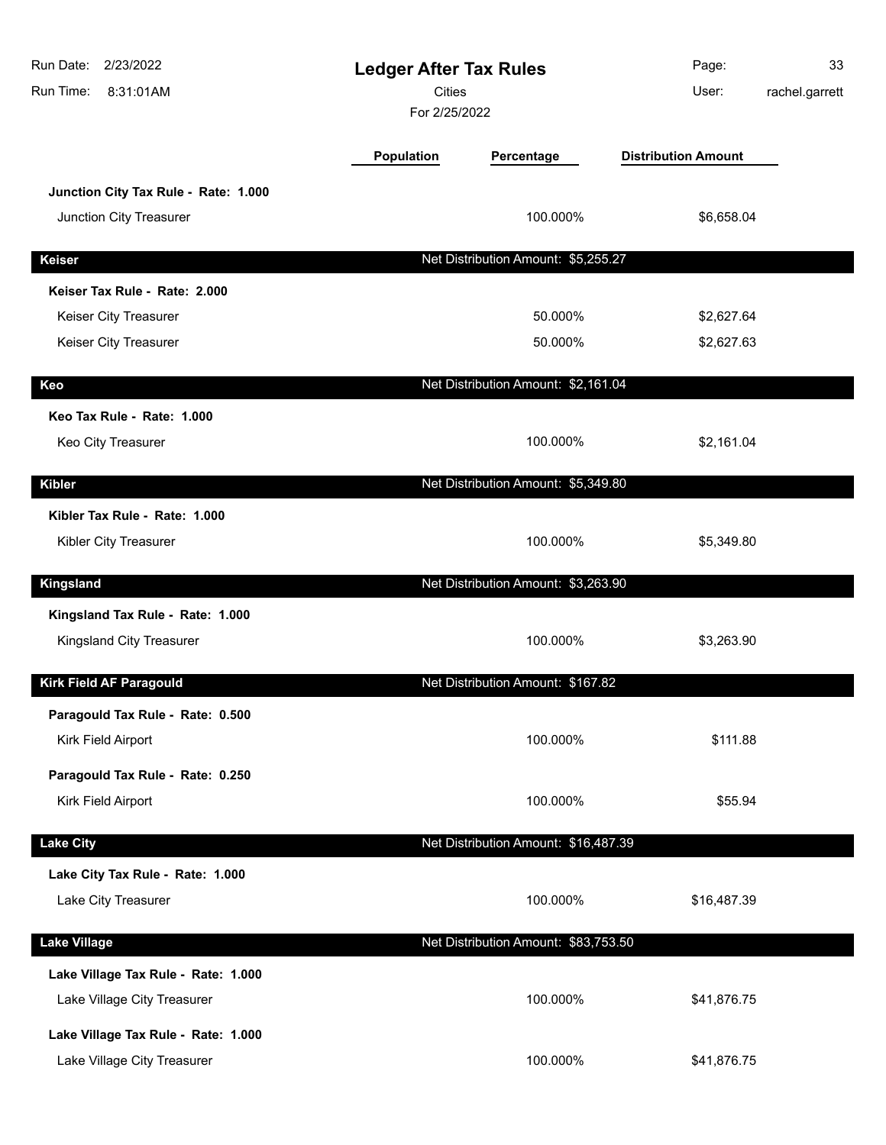| Run Date:<br>2/23/2022<br>Run Time:<br>8:31:01AM                   | <b>Ledger After Tax Rules</b><br><b>Cities</b><br>For 2/25/2022 |                                      | Page:<br>User:             | 33<br>rachel.garrett |
|--------------------------------------------------------------------|-----------------------------------------------------------------|--------------------------------------|----------------------------|----------------------|
|                                                                    | Population                                                      | Percentage                           | <b>Distribution Amount</b> |                      |
| Junction City Tax Rule - Rate: 1.000<br>Junction City Treasurer    |                                                                 | 100.000%                             | \$6,658.04                 |                      |
| <b>Keiser</b>                                                      |                                                                 | Net Distribution Amount: \$5,255.27  |                            |                      |
| Keiser Tax Rule - Rate: 2.000                                      |                                                                 |                                      |                            |                      |
| Keiser City Treasurer                                              |                                                                 | 50.000%                              | \$2,627.64                 |                      |
| Keiser City Treasurer                                              |                                                                 | 50.000%                              | \$2,627.63                 |                      |
| Keo                                                                |                                                                 | Net Distribution Amount: \$2,161.04  |                            |                      |
| Keo Tax Rule - Rate: 1.000<br>Keo City Treasurer                   |                                                                 | 100.000%                             | \$2,161.04                 |                      |
| <b>Kibler</b>                                                      |                                                                 | Net Distribution Amount: \$5,349.80  |                            |                      |
| Kibler Tax Rule - Rate: 1.000<br>Kibler City Treasurer             |                                                                 | 100.000%                             | \$5,349.80                 |                      |
| <b>Kingsland</b>                                                   |                                                                 | Net Distribution Amount: \$3,263.90  |                            |                      |
| Kingsland Tax Rule - Rate: 1.000<br>Kingsland City Treasurer       |                                                                 | 100.000%                             | \$3,263.90                 |                      |
| Kirk Field AF Paragould                                            |                                                                 | Net Distribution Amount: \$167.82    |                            |                      |
| Paragould Tax Rule - Rate: 0.500                                   |                                                                 |                                      |                            |                      |
| Kirk Field Airport                                                 |                                                                 | 100.000%                             | \$111.88                   |                      |
| Paragould Tax Rule - Rate: 0.250<br>Kirk Field Airport             |                                                                 | 100.000%                             | \$55.94                    |                      |
| <b>Lake City</b>                                                   |                                                                 | Net Distribution Amount: \$16,487.39 |                            |                      |
| Lake City Tax Rule - Rate: 1.000<br>Lake City Treasurer            |                                                                 | 100.000%                             | \$16,487.39                |                      |
| <b>Lake Village</b>                                                |                                                                 | Net Distribution Amount: \$83,753.50 |                            |                      |
| Lake Village Tax Rule - Rate: 1.000<br>Lake Village City Treasurer |                                                                 | 100.000%                             | \$41,876.75                |                      |
| Lake Village Tax Rule - Rate: 1.000<br>Lake Village City Treasurer |                                                                 | 100.000%                             | \$41,876.75                |                      |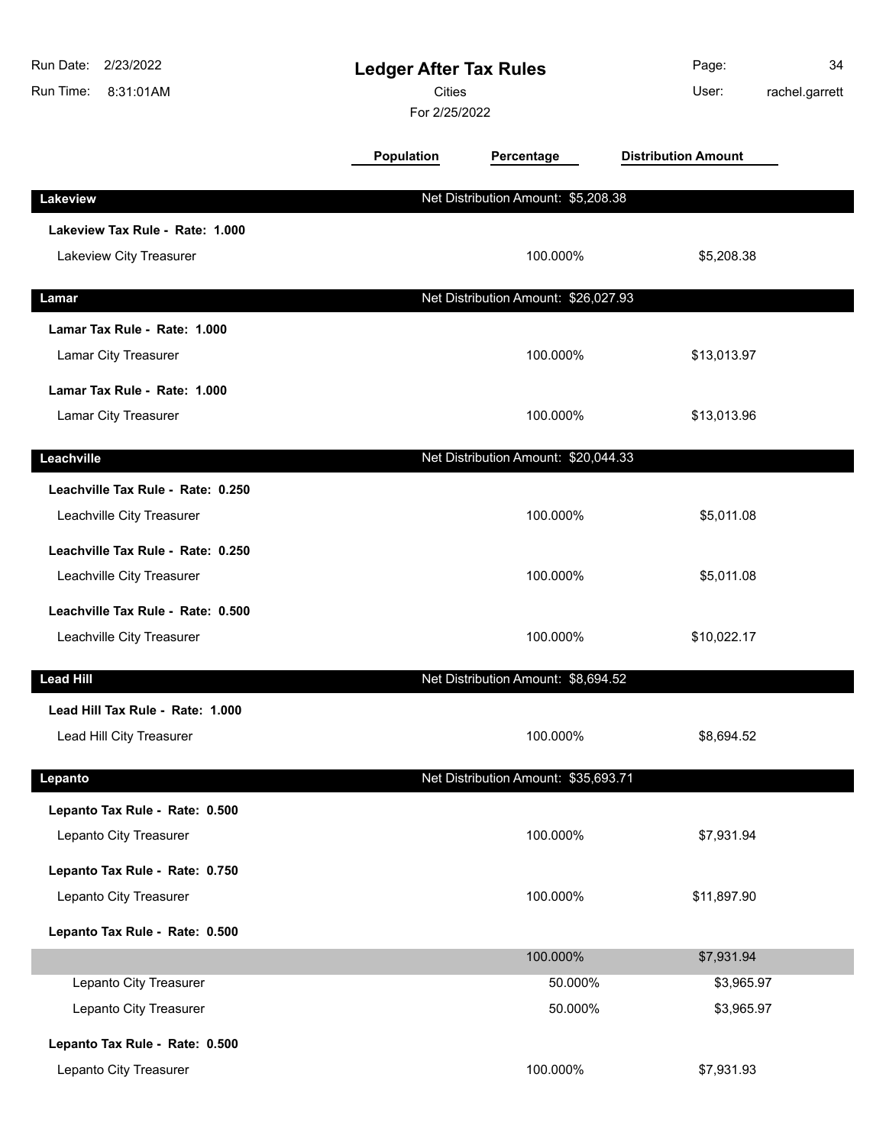| Run Date:<br>2/23/2022<br>Run Time:<br>8:31:01AM | <b>Ledger After Tax Rules</b><br><b>Cities</b><br>For 2/25/2022 |                                      | Page:<br>User:             | 34<br>rachel.garrett |
|--------------------------------------------------|-----------------------------------------------------------------|--------------------------------------|----------------------------|----------------------|
|                                                  | Population                                                      | Percentage                           | <b>Distribution Amount</b> |                      |
| Lakeview                                         |                                                                 | Net Distribution Amount: \$5,208.38  |                            |                      |
| Lakeview Tax Rule - Rate: 1.000                  |                                                                 |                                      |                            |                      |
| Lakeview City Treasurer                          |                                                                 | 100.000%                             | \$5,208.38                 |                      |
| Lamar                                            |                                                                 | Net Distribution Amount: \$26,027.93 |                            |                      |
| Lamar Tax Rule - Rate: 1.000                     |                                                                 |                                      |                            |                      |
| Lamar City Treasurer                             |                                                                 | 100.000%                             | \$13,013.97                |                      |
| Lamar Tax Rule - Rate: 1.000                     |                                                                 |                                      |                            |                      |
| Lamar City Treasurer                             |                                                                 | 100.000%                             | \$13,013.96                |                      |
| Leachville                                       |                                                                 | Net Distribution Amount: \$20,044.33 |                            |                      |
| Leachville Tax Rule - Rate: 0.250                |                                                                 |                                      |                            |                      |
| Leachville City Treasurer                        |                                                                 | 100.000%                             | \$5,011.08                 |                      |
| Leachville Tax Rule - Rate: 0.250                |                                                                 |                                      |                            |                      |
| Leachville City Treasurer                        |                                                                 | 100.000%                             | \$5,011.08                 |                      |
| Leachville Tax Rule - Rate: 0.500                |                                                                 |                                      |                            |                      |
| Leachville City Treasurer                        |                                                                 | 100.000%                             | \$10,022.17                |                      |
| <b>Lead Hill</b>                                 |                                                                 | Net Distribution Amount: \$8,694.52  |                            |                      |
| Lead Hill Tax Rule - Rate: 1.000                 |                                                                 |                                      |                            |                      |
| Lead Hill City Treasurer                         |                                                                 | 100.000%                             | \$8,694.52                 |                      |
| Lepanto                                          |                                                                 | Net Distribution Amount: \$35,693.71 |                            |                      |
| Lepanto Tax Rule - Rate: 0.500                   |                                                                 |                                      |                            |                      |
| Lepanto City Treasurer                           |                                                                 | 100.000%                             | \$7,931.94                 |                      |
| Lepanto Tax Rule - Rate: 0.750                   |                                                                 |                                      |                            |                      |
| Lepanto City Treasurer                           |                                                                 | 100.000%                             | \$11,897.90                |                      |
| Lepanto Tax Rule - Rate: 0.500                   |                                                                 |                                      |                            |                      |
|                                                  |                                                                 | 100.000%                             | \$7,931.94                 |                      |
| Lepanto City Treasurer                           |                                                                 | 50.000%                              | \$3,965.97                 |                      |
| Lepanto City Treasurer                           |                                                                 | 50.000%                              | \$3,965.97                 |                      |
| Lepanto Tax Rule - Rate: 0.500                   |                                                                 |                                      |                            |                      |
| Lepanto City Treasurer                           |                                                                 | 100.000%                             | \$7,931.93                 |                      |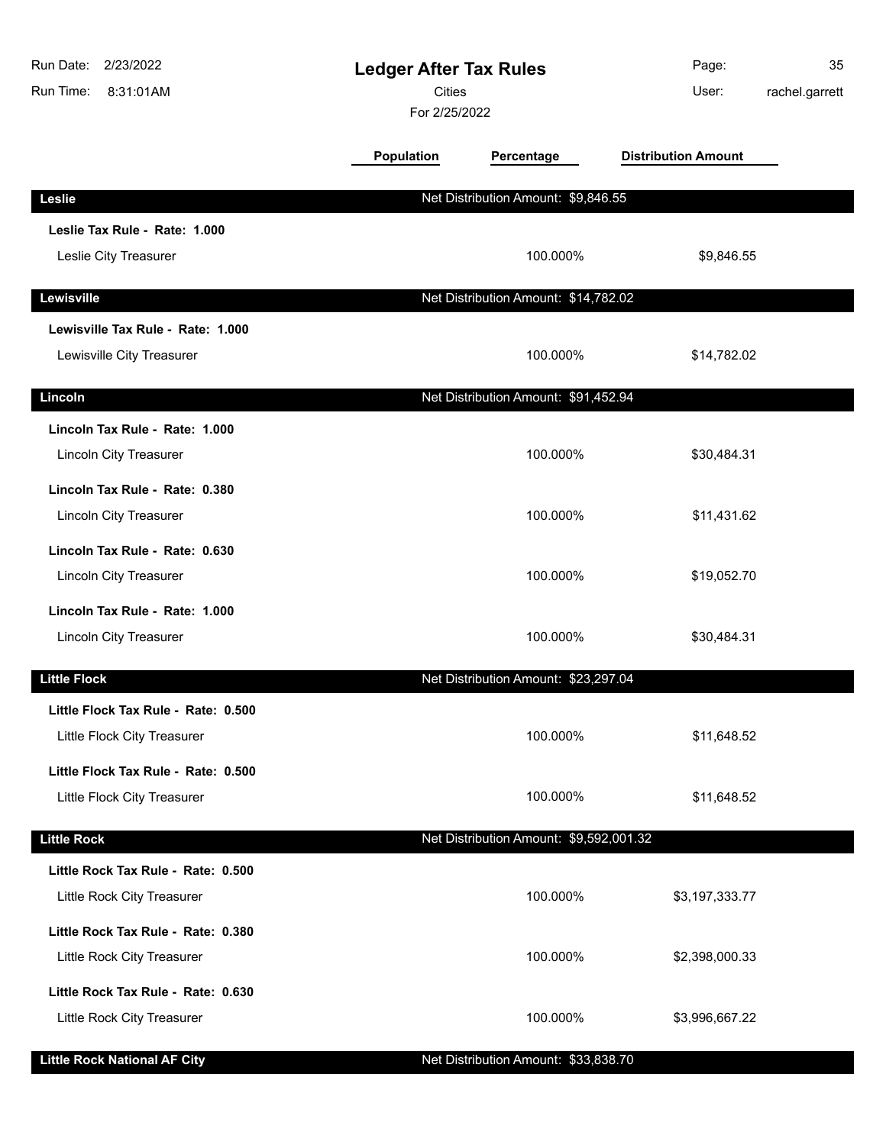| Run Date:<br>2/23/2022<br>Run Time:<br>8:31:01AM | <b>Ledger After Tax Rules</b><br><b>Cities</b><br>For 2/25/2022 |                                         | Page:<br>User:             | 35<br>rachel.garrett |
|--------------------------------------------------|-----------------------------------------------------------------|-----------------------------------------|----------------------------|----------------------|
|                                                  | Population                                                      | Percentage                              | <b>Distribution Amount</b> |                      |
| Leslie                                           |                                                                 | Net Distribution Amount: \$9,846.55     |                            |                      |
| Leslie Tax Rule - Rate: 1.000                    |                                                                 |                                         |                            |                      |
| Leslie City Treasurer                            |                                                                 | 100.000%                                | \$9,846.55                 |                      |
| Lewisville                                       |                                                                 | Net Distribution Amount: \$14,782.02    |                            |                      |
| Lewisville Tax Rule - Rate: 1.000                |                                                                 |                                         |                            |                      |
| Lewisville City Treasurer                        |                                                                 | 100.000%                                | \$14,782.02                |                      |
| Lincoln                                          |                                                                 | Net Distribution Amount: \$91,452.94    |                            |                      |
| Lincoln Tax Rule - Rate: 1.000                   |                                                                 |                                         |                            |                      |
| <b>Lincoln City Treasurer</b>                    |                                                                 | 100.000%                                | \$30,484.31                |                      |
| Lincoln Tax Rule - Rate: 0.380                   |                                                                 |                                         |                            |                      |
| <b>Lincoln City Treasurer</b>                    |                                                                 | 100.000%                                | \$11,431.62                |                      |
| Lincoln Tax Rule - Rate: 0.630                   |                                                                 |                                         |                            |                      |
| <b>Lincoln City Treasurer</b>                    |                                                                 | 100.000%                                | \$19,052.70                |                      |
| Lincoln Tax Rule - Rate: 1.000                   |                                                                 |                                         |                            |                      |
| <b>Lincoln City Treasurer</b>                    |                                                                 | 100.000%                                | \$30,484.31                |                      |
| <b>Little Flock</b>                              |                                                                 | Net Distribution Amount: \$23,297.04    |                            |                      |
| Little Flock Tax Rule - Rate: 0.500              |                                                                 |                                         |                            |                      |
| Little Flock City Treasurer                      |                                                                 | 100.000%                                | \$11,648.52                |                      |
| Little Flock Tax Rule - Rate: 0.500              |                                                                 |                                         |                            |                      |
| Little Flock City Treasurer                      |                                                                 | 100.000%                                | \$11,648.52                |                      |
| <b>Little Rock</b>                               |                                                                 | Net Distribution Amount: \$9,592,001.32 |                            |                      |
| Little Rock Tax Rule - Rate: 0.500               |                                                                 |                                         |                            |                      |
| Little Rock City Treasurer                       |                                                                 | 100.000%                                | \$3,197,333.77             |                      |
| Little Rock Tax Rule - Rate: 0.380               |                                                                 |                                         |                            |                      |
| Little Rock City Treasurer                       |                                                                 | 100.000%                                | \$2,398,000.33             |                      |
| Little Rock Tax Rule - Rate: 0.630               |                                                                 |                                         |                            |                      |
| Little Rock City Treasurer                       |                                                                 | 100.000%                                | \$3,996,667.22             |                      |
| <b>Little Rock National AF City</b>              |                                                                 | Net Distribution Amount: \$33,838.70    |                            |                      |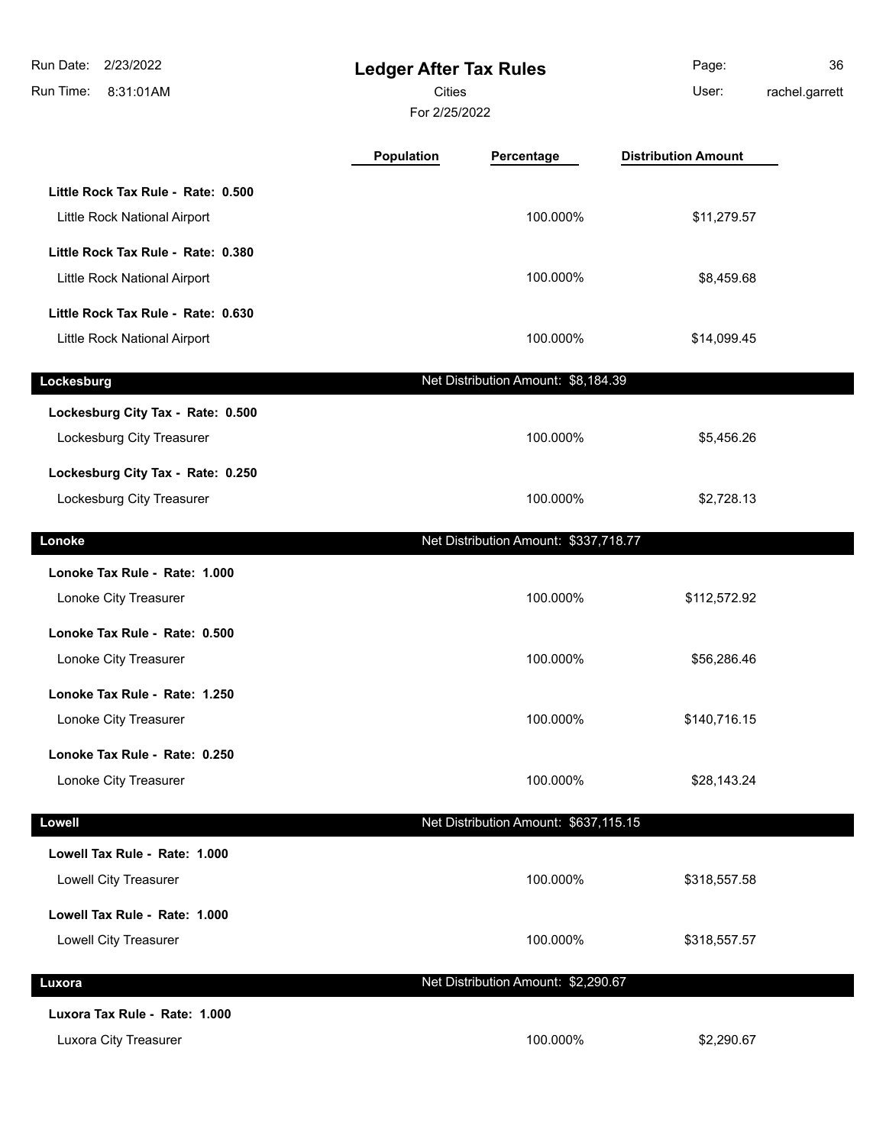| Run Date:<br>2/23/2022<br>Run Time:<br>8:31:01AM                   | <b>Ledger After Tax Rules</b><br><b>Cities</b><br>For 2/25/2022 |                                       | Page:<br>User:             | 36<br>rachel.garrett |
|--------------------------------------------------------------------|-----------------------------------------------------------------|---------------------------------------|----------------------------|----------------------|
|                                                                    | <b>Population</b>                                               | Percentage                            | <b>Distribution Amount</b> |                      |
| Little Rock Tax Rule - Rate: 0.500<br>Little Rock National Airport |                                                                 | 100.000%                              | \$11,279.57                |                      |
| Little Rock Tax Rule - Rate: 0.380<br>Little Rock National Airport |                                                                 | 100.000%                              | \$8,459.68                 |                      |
| Little Rock Tax Rule - Rate: 0.630<br>Little Rock National Airport |                                                                 | 100.000%                              | \$14,099.45                |                      |
| Lockesburg                                                         |                                                                 | Net Distribution Amount: \$8,184.39   |                            |                      |
| Lockesburg City Tax - Rate: 0.500<br>Lockesburg City Treasurer     |                                                                 | 100.000%                              | \$5,456.26                 |                      |
| Lockesburg City Tax - Rate: 0.250<br>Lockesburg City Treasurer     |                                                                 | 100.000%                              | \$2,728.13                 |                      |
| Lonoke                                                             |                                                                 | Net Distribution Amount: \$337,718.77 |                            |                      |
| Lonoke Tax Rule - Rate: 1.000<br>Lonoke City Treasurer             |                                                                 | 100.000%                              | \$112,572.92               |                      |
| Lonoke Tax Rule - Rate: 0.500<br>Lonoke City Treasurer             |                                                                 | 100.000%                              | \$56,286.46                |                      |
| Lonoke Tax Rule - Rate: 1.250<br>Lonoke City Treasurer             |                                                                 | 100.000%                              | \$140,716.15               |                      |
| Lonoke Tax Rule - Rate: 0.250<br>Lonoke City Treasurer             |                                                                 | 100.000%                              | \$28,143.24                |                      |
| Lowell                                                             |                                                                 | Net Distribution Amount: \$637,115.15 |                            |                      |
| Lowell Tax Rule - Rate: 1.000<br>Lowell City Treasurer             |                                                                 | 100.000%                              | \$318,557.58               |                      |
| Lowell Tax Rule - Rate: 1.000<br>Lowell City Treasurer             |                                                                 | 100.000%                              | \$318,557.57               |                      |
| Luxora                                                             |                                                                 | Net Distribution Amount: \$2,290.67   |                            |                      |
| Luxora Tax Rule - Rate: 1.000<br>Luxora City Treasurer             |                                                                 | 100.000%                              | \$2,290.67                 |                      |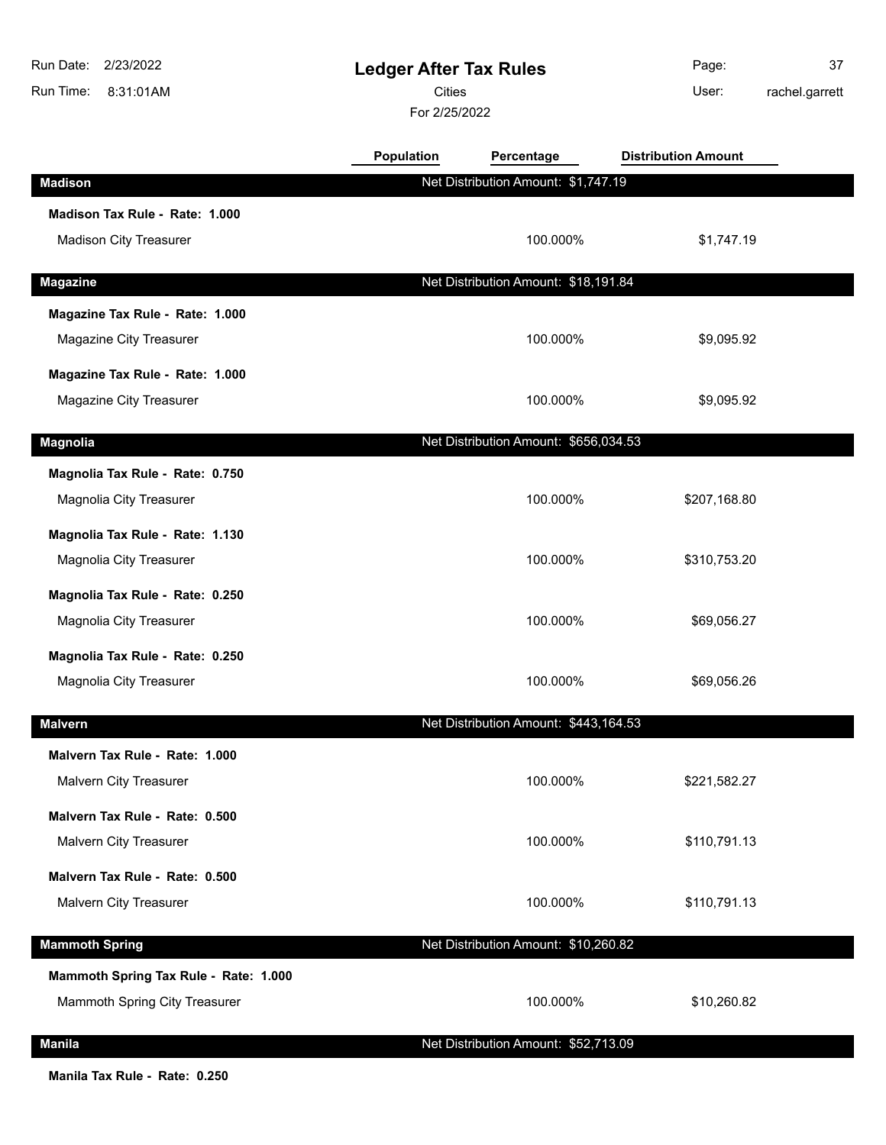| Run Date:<br>2/23/2022<br>Run Time:<br>8:31:01AM | <b>Ledger After Tax Rules</b><br><b>Cities</b><br>For 2/25/2022 |                                       | Page:<br>User:             | 37<br>rachel.garrett |
|--------------------------------------------------|-----------------------------------------------------------------|---------------------------------------|----------------------------|----------------------|
|                                                  | Population                                                      | Percentage                            | <b>Distribution Amount</b> |                      |
| <b>Madison</b>                                   |                                                                 | Net Distribution Amount: \$1,747.19   |                            |                      |
| Madison Tax Rule - Rate: 1.000                   |                                                                 |                                       |                            |                      |
| <b>Madison City Treasurer</b>                    |                                                                 | 100.000%                              | \$1,747.19                 |                      |
| <b>Magazine</b>                                  |                                                                 | Net Distribution Amount: \$18,191.84  |                            |                      |
| Magazine Tax Rule - Rate: 1.000                  |                                                                 |                                       |                            |                      |
| Magazine City Treasurer                          |                                                                 | 100.000%                              | \$9,095.92                 |                      |
| Magazine Tax Rule - Rate: 1.000                  |                                                                 |                                       |                            |                      |
| Magazine City Treasurer                          |                                                                 | 100.000%                              | \$9,095.92                 |                      |
| <b>Magnolia</b>                                  |                                                                 | Net Distribution Amount: \$656,034.53 |                            |                      |
| Magnolia Tax Rule - Rate: 0.750                  |                                                                 |                                       |                            |                      |
| Magnolia City Treasurer                          |                                                                 | 100.000%                              | \$207,168.80               |                      |
| Magnolia Tax Rule - Rate: 1.130                  |                                                                 |                                       |                            |                      |
| Magnolia City Treasurer                          |                                                                 | 100.000%                              | \$310,753.20               |                      |
| Magnolia Tax Rule - Rate: 0.250                  |                                                                 |                                       |                            |                      |
| Magnolia City Treasurer                          |                                                                 | 100.000%                              | \$69,056.27                |                      |
| Magnolia Tax Rule - Rate: 0.250                  |                                                                 |                                       |                            |                      |
| Magnolia City Treasurer                          |                                                                 | 100.000%                              | \$69,056.26                |                      |
| <b>Malvern</b>                                   |                                                                 | Net Distribution Amount: \$443,164.53 |                            |                      |
| Malvern Tax Rule - Rate: 1.000                   |                                                                 |                                       |                            |                      |
| Malvern City Treasurer                           |                                                                 | 100.000%                              | \$221,582.27               |                      |
| Malvern Tax Rule - Rate: 0.500                   |                                                                 |                                       |                            |                      |
| Malvern City Treasurer                           |                                                                 | 100.000%                              | \$110,791.13               |                      |
| Malvern Tax Rule - Rate: 0.500                   |                                                                 |                                       |                            |                      |
| Malvern City Treasurer                           |                                                                 | 100.000%                              | \$110,791.13               |                      |
| <b>Mammoth Spring</b>                            |                                                                 | Net Distribution Amount: \$10,260.82  |                            |                      |
| Mammoth Spring Tax Rule - Rate: 1.000            |                                                                 |                                       |                            |                      |
| Mammoth Spring City Treasurer                    |                                                                 | 100.000%                              | \$10,260.82                |                      |
| <b>Manila</b>                                    |                                                                 | Net Distribution Amount: \$52,713.09  |                            |                      |

**Manila Tax Rule - Rate: 0.250**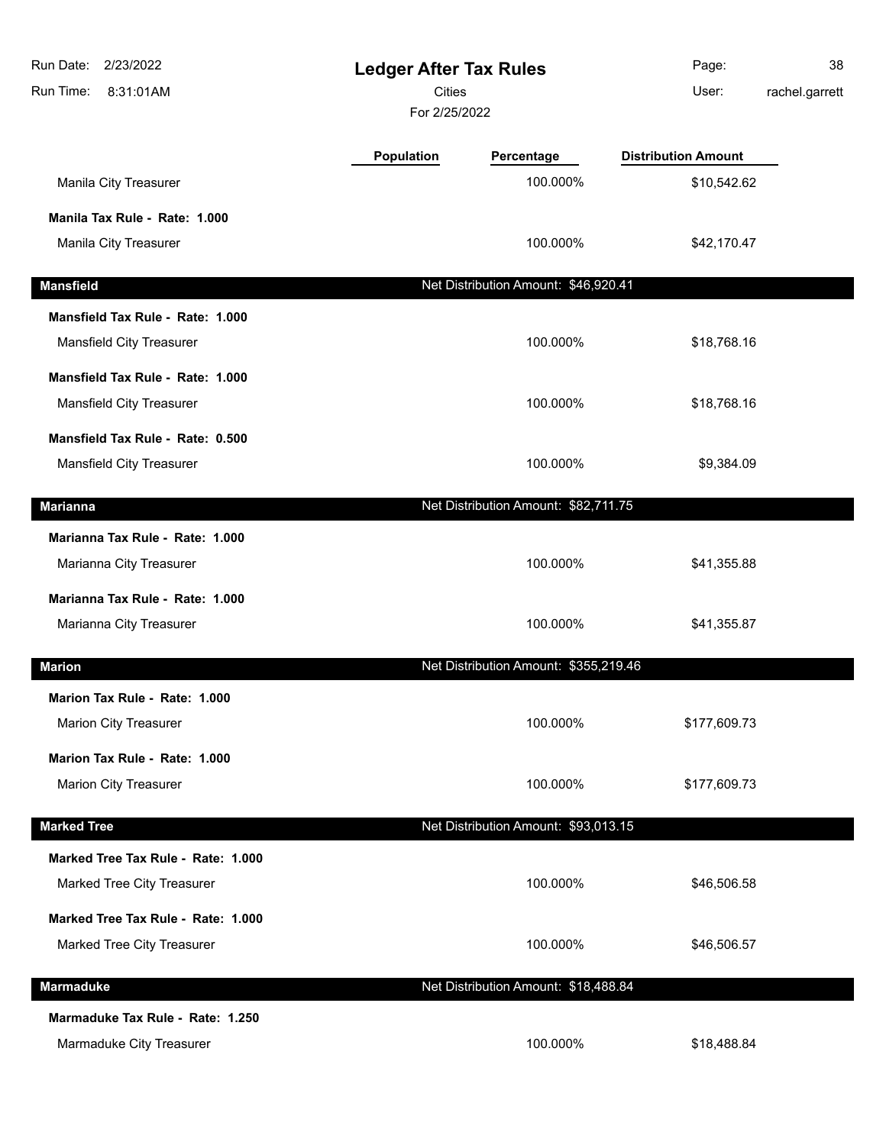| Run Date:<br>2/23/2022<br>Run Time:<br>8:31:01AM | <b>Ledger After Tax Rules</b><br>Cities<br>For 2/25/2022 |                                       | Page:<br>User:             | 38<br>rachel.garrett |
|--------------------------------------------------|----------------------------------------------------------|---------------------------------------|----------------------------|----------------------|
|                                                  | <b>Population</b>                                        | Percentage                            | <b>Distribution Amount</b> |                      |
| Manila City Treasurer                            |                                                          | 100.000%                              | \$10,542.62                |                      |
| Manila Tax Rule - Rate: 1.000                    |                                                          |                                       |                            |                      |
| Manila City Treasurer                            |                                                          | 100.000%                              | \$42,170.47                |                      |
| <b>Mansfield</b>                                 |                                                          | Net Distribution Amount: \$46,920.41  |                            |                      |
| Mansfield Tax Rule - Rate: 1.000                 |                                                          |                                       |                            |                      |
| Mansfield City Treasurer                         |                                                          | 100.000%                              | \$18,768.16                |                      |
| Mansfield Tax Rule - Rate: 1.000                 |                                                          |                                       |                            |                      |
| Mansfield City Treasurer                         |                                                          | 100.000%                              | \$18,768.16                |                      |
| Mansfield Tax Rule - Rate: 0.500                 |                                                          |                                       |                            |                      |
| <b>Mansfield City Treasurer</b>                  |                                                          | 100.000%                              | \$9,384.09                 |                      |
| <b>Marianna</b>                                  |                                                          | Net Distribution Amount: \$82,711.75  |                            |                      |
| Marianna Tax Rule - Rate: 1.000                  |                                                          |                                       |                            |                      |
| Marianna City Treasurer                          |                                                          | 100.000%                              | \$41,355.88                |                      |
| Marianna Tax Rule - Rate: 1.000                  |                                                          |                                       |                            |                      |
| Marianna City Treasurer                          |                                                          | 100.000%                              | \$41,355.87                |                      |
| <b>Marion</b>                                    |                                                          | Net Distribution Amount: \$355,219.46 |                            |                      |
| Marion Tax Rule - Rate: 1.000                    |                                                          |                                       |                            |                      |
| <b>Marion City Treasurer</b>                     |                                                          | 100.000%                              | \$177,609.73               |                      |
| Marion Tax Rule - Rate: 1.000                    |                                                          |                                       |                            |                      |
| Marion City Treasurer                            |                                                          | 100.000%                              | \$177,609.73               |                      |
| <b>Marked Tree</b>                               |                                                          | Net Distribution Amount: \$93,013.15  |                            |                      |
| Marked Tree Tax Rule - Rate: 1.000               |                                                          |                                       |                            |                      |
| Marked Tree City Treasurer                       |                                                          | 100.000%                              | \$46,506.58                |                      |
| Marked Tree Tax Rule - Rate: 1.000               |                                                          |                                       |                            |                      |
| Marked Tree City Treasurer                       |                                                          | 100.000%                              | \$46,506.57                |                      |
| Marmaduke                                        |                                                          | Net Distribution Amount: \$18,488.84  |                            |                      |
| Marmaduke Tax Rule - Rate: 1.250                 |                                                          |                                       |                            |                      |
| Marmaduke City Treasurer                         |                                                          | 100.000%                              | \$18,488.84                |                      |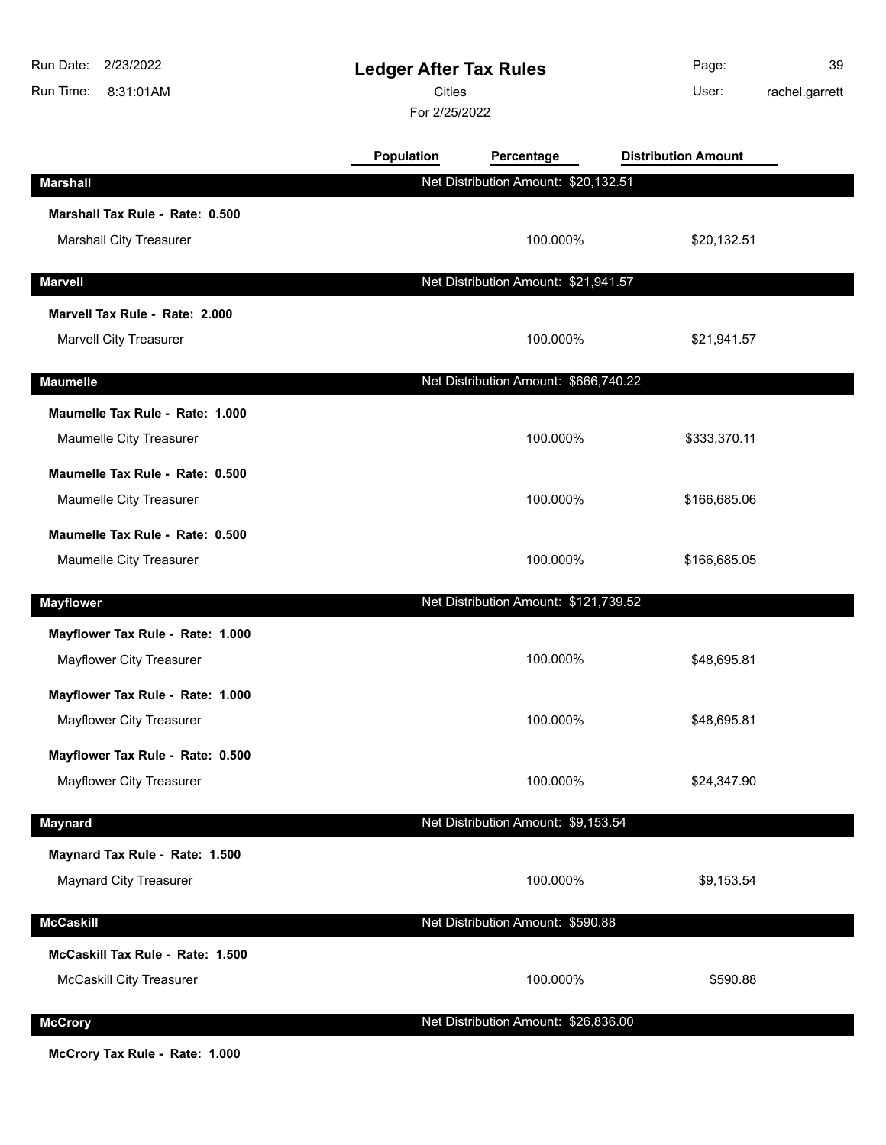| Run Date:<br>2/23/2022<br>Run Time:<br>8:31:01AM | <b>Ledger After Tax Rules</b><br>Cities<br>For 2/25/2022 |                                       | Page:<br>User:             | 39<br>rachel.garrett |
|--------------------------------------------------|----------------------------------------------------------|---------------------------------------|----------------------------|----------------------|
|                                                  | Population                                               | Percentage                            | <b>Distribution Amount</b> |                      |
| <b>Marshall</b>                                  |                                                          | Net Distribution Amount: \$20,132.51  |                            |                      |
| Marshall Tax Rule - Rate: 0.500                  |                                                          |                                       |                            |                      |
| <b>Marshall City Treasurer</b>                   |                                                          | 100.000%                              | \$20,132.51                |                      |
| <b>Marvell</b>                                   |                                                          | Net Distribution Amount: \$21,941.57  |                            |                      |
| Marvell Tax Rule - Rate: 2.000                   |                                                          |                                       |                            |                      |
| Marvell City Treasurer                           |                                                          | 100.000%                              | \$21,941.57                |                      |
| <b>Maumelle</b>                                  |                                                          | Net Distribution Amount: \$666,740.22 |                            |                      |
| Maumelle Tax Rule - Rate: 1.000                  |                                                          |                                       |                            |                      |
| Maumelle City Treasurer                          |                                                          | 100.000%                              | \$333,370.11               |                      |
| Maumelle Tax Rule - Rate: 0.500                  |                                                          |                                       |                            |                      |
| Maumelle City Treasurer                          |                                                          | 100.000%                              | \$166,685.06               |                      |
| Maumelle Tax Rule - Rate: 0.500                  |                                                          |                                       |                            |                      |
| Maumelle City Treasurer                          |                                                          | 100.000%                              | \$166,685.05               |                      |
| <b>Mayflower</b>                                 |                                                          | Net Distribution Amount: \$121,739.52 |                            |                      |
| Mayflower Tax Rule - Rate: 1.000                 |                                                          |                                       |                            |                      |
| Mayflower City Treasurer                         |                                                          | 100.000%                              | \$48,695.81                |                      |
| Mayflower Tax Rule - Rate: 1.000                 |                                                          |                                       |                            |                      |
| Mayflower City Treasurer                         |                                                          | 100.000%                              | \$48,695.81                |                      |
| Mayflower Tax Rule - Rate: 0.500                 |                                                          |                                       |                            |                      |
| Mayflower City Treasurer                         |                                                          | 100.000%                              | \$24,347.90                |                      |
| <b>Maynard</b>                                   |                                                          | Net Distribution Amount: \$9,153.54   |                            |                      |
| Maynard Tax Rule - Rate: 1.500                   |                                                          |                                       |                            |                      |
| Maynard City Treasurer                           |                                                          | 100.000%                              | \$9,153.54                 |                      |
| <b>McCaskill</b>                                 |                                                          | Net Distribution Amount: \$590.88     |                            |                      |
| McCaskill Tax Rule - Rate: 1.500                 |                                                          |                                       |                            |                      |
| <b>McCaskill City Treasurer</b>                  |                                                          | 100.000%                              | \$590.88                   |                      |
| <b>McCrory</b>                                   |                                                          | Net Distribution Amount: \$26,836.00  |                            |                      |
|                                                  |                                                          |                                       |                            |                      |

**McCrory Tax Rule - Rate: 1.000**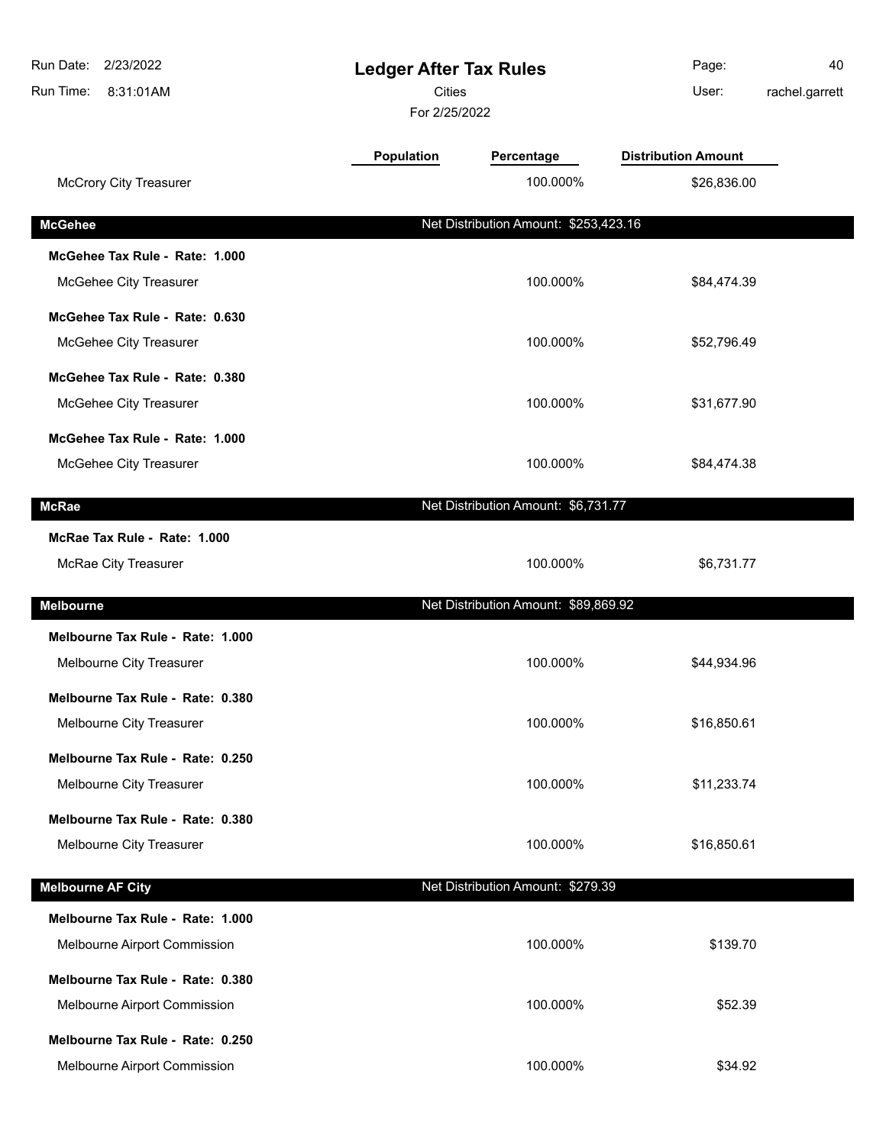| Run Date: 2/23/2022<br>Run Time:<br>8:31:01AM |            | <b>Ledger After Tax Rules</b><br><b>Cities</b><br>For 2/25/2022 |                            | 40<br>rachel.garrett |
|-----------------------------------------------|------------|-----------------------------------------------------------------|----------------------------|----------------------|
|                                               | Population | Percentage                                                      | <b>Distribution Amount</b> |                      |
| <b>McCrory City Treasurer</b>                 |            | 100.000%                                                        | \$26,836.00                |                      |
| <b>McGehee</b>                                |            | Net Distribution Amount: \$253,423.16                           |                            |                      |
| McGehee Tax Rule - Rate: 1.000                |            |                                                                 |                            |                      |
| McGehee City Treasurer                        |            | 100.000%                                                        | \$84,474.39                |                      |
| McGehee Tax Rule - Rate: 0.630                |            |                                                                 |                            |                      |
| McGehee City Treasurer                        |            | 100.000%                                                        | \$52,796.49                |                      |
| McGehee Tax Rule - Rate: 0.380                |            |                                                                 |                            |                      |
| McGehee City Treasurer                        |            | 100.000%                                                        | \$31,677.90                |                      |
| McGehee Tax Rule - Rate: 1.000                |            |                                                                 |                            |                      |
| McGehee City Treasurer                        |            | 100.000%                                                        | \$84,474.38                |                      |
| <b>McRae</b>                                  |            | Net Distribution Amount: \$6,731.77                             |                            |                      |
| McRae Tax Rule - Rate: 1.000                  |            |                                                                 |                            |                      |
| McRae City Treasurer                          |            | 100.000%                                                        | \$6,731.77                 |                      |
| <b>Melbourne</b>                              |            | Net Distribution Amount: \$89,869.92                            |                            |                      |
| Melbourne Tax Rule - Rate: 1.000              |            |                                                                 |                            |                      |
| Melbourne City Treasurer                      |            | 100.000%                                                        | \$44,934.96                |                      |
| Melbourne Tax Rule - Rate: 0.380              |            |                                                                 |                            |                      |
| Melbourne City Treasurer                      |            | 100.000%                                                        | \$16,850.61                |                      |
| Melbourne Tax Rule - Rate: 0.250              |            |                                                                 |                            |                      |
| Melbourne City Treasurer                      |            | 100.000%                                                        | \$11,233.74                |                      |
| Melbourne Tax Rule - Rate: 0.380              |            |                                                                 |                            |                      |
| Melbourne City Treasurer                      |            | 100.000%                                                        | \$16,850.61                |                      |
| <b>Melbourne AF City</b>                      |            | Net Distribution Amount: \$279.39                               |                            |                      |
| Melbourne Tax Rule - Rate: 1.000              |            |                                                                 |                            |                      |
| Melbourne Airport Commission                  |            | 100.000%                                                        | \$139.70                   |                      |
| Melbourne Tax Rule - Rate: 0.380              |            |                                                                 |                            |                      |
| Melbourne Airport Commission                  |            | 100.000%                                                        | \$52.39                    |                      |
| Melbourne Tax Rule - Rate: 0.250              |            |                                                                 |                            |                      |
| Melbourne Airport Commission                  |            | 100.000%                                                        | \$34.92                    |                      |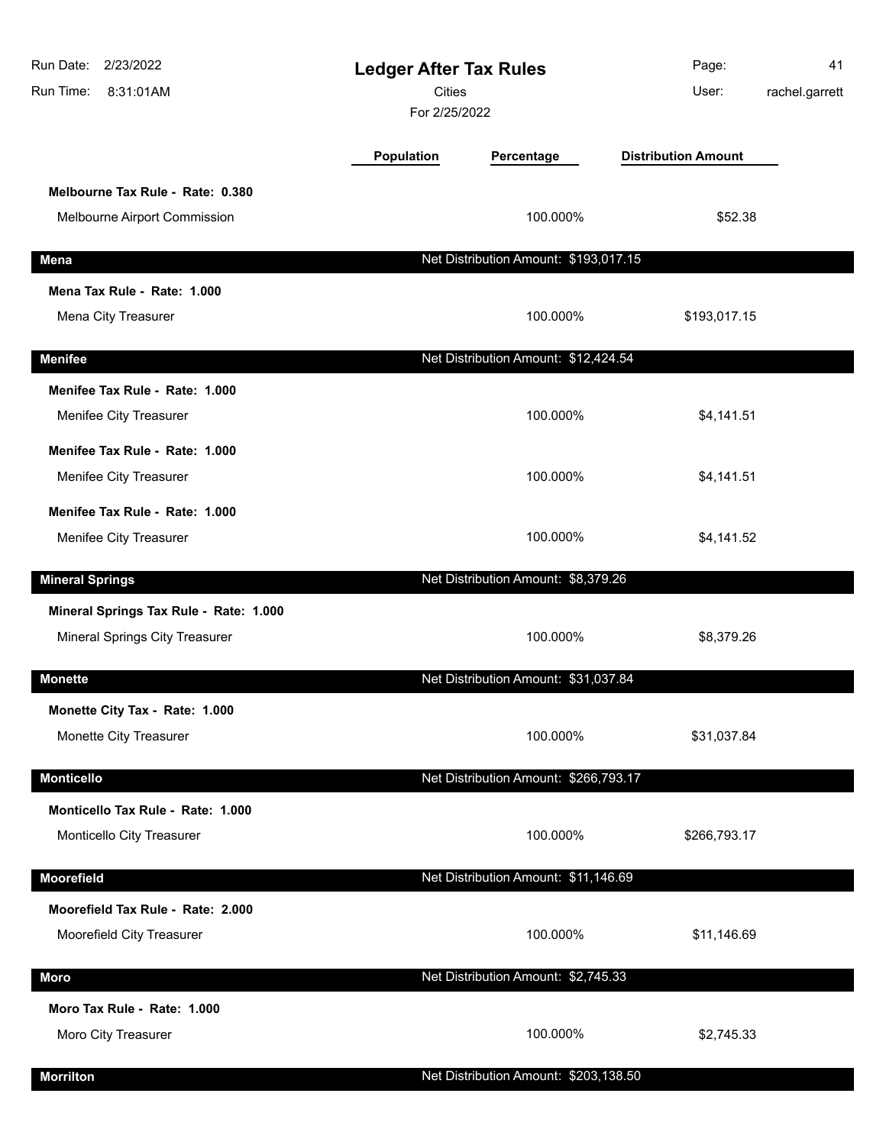| Run Date:<br>2/23/2022<br>Run Time:<br>8:31:01AM | <b>Ledger After Tax Rules</b><br><b>Cities</b><br>For 2/25/2022 |                                       | Page:<br>User:             | 41<br>rachel.garrett |
|--------------------------------------------------|-----------------------------------------------------------------|---------------------------------------|----------------------------|----------------------|
|                                                  | Population                                                      | Percentage                            | <b>Distribution Amount</b> |                      |
| Melbourne Tax Rule - Rate: 0.380                 |                                                                 |                                       |                            |                      |
| Melbourne Airport Commission                     |                                                                 | 100.000%                              | \$52.38                    |                      |
| <b>Mena</b>                                      |                                                                 | Net Distribution Amount: \$193,017.15 |                            |                      |
| Mena Tax Rule - Rate: 1.000                      |                                                                 |                                       |                            |                      |
| Mena City Treasurer                              |                                                                 | 100.000%                              | \$193,017.15               |                      |
| <b>Menifee</b>                                   |                                                                 | Net Distribution Amount: \$12,424.54  |                            |                      |
| Menifee Tax Rule - Rate: 1.000                   |                                                                 |                                       |                            |                      |
| Menifee City Treasurer                           |                                                                 | 100.000%                              | \$4,141.51                 |                      |
| Menifee Tax Rule - Rate: 1.000                   |                                                                 |                                       |                            |                      |
| Menifee City Treasurer                           |                                                                 | 100.000%                              | \$4,141.51                 |                      |
| Menifee Tax Rule - Rate: 1.000                   |                                                                 |                                       |                            |                      |
| Menifee City Treasurer                           |                                                                 | 100.000%                              | \$4,141.52                 |                      |
| <b>Mineral Springs</b>                           |                                                                 | Net Distribution Amount: \$8,379.26   |                            |                      |
| Mineral Springs Tax Rule - Rate: 1.000           |                                                                 |                                       |                            |                      |
| Mineral Springs City Treasurer                   |                                                                 | 100.000%                              | \$8,379.26                 |                      |
| <b>Monette</b>                                   |                                                                 | Net Distribution Amount: \$31,037.84  |                            |                      |
| Monette City Tax - Rate: 1.000                   |                                                                 |                                       |                            |                      |
| Monette City Treasurer                           |                                                                 | 100.000%                              | \$31,037.84                |                      |
| <b>Monticello</b>                                |                                                                 | Net Distribution Amount: \$266,793.17 |                            |                      |
| Monticello Tax Rule - Rate: 1.000                |                                                                 |                                       |                            |                      |
| Monticello City Treasurer                        |                                                                 | 100.000%                              | \$266,793.17               |                      |
| Moorefield                                       |                                                                 | Net Distribution Amount: \$11,146.69  |                            |                      |
| Moorefield Tax Rule - Rate: 2.000                |                                                                 |                                       |                            |                      |
| Moorefield City Treasurer                        |                                                                 | 100.000%                              | \$11,146.69                |                      |
| Moro                                             |                                                                 | Net Distribution Amount: \$2,745.33   |                            |                      |
| Moro Tax Rule - Rate: 1.000                      |                                                                 |                                       |                            |                      |
| Moro City Treasurer                              |                                                                 | 100.000%                              | \$2,745.33                 |                      |
| <b>Morrilton</b>                                 |                                                                 | Net Distribution Amount: \$203,138.50 |                            |                      |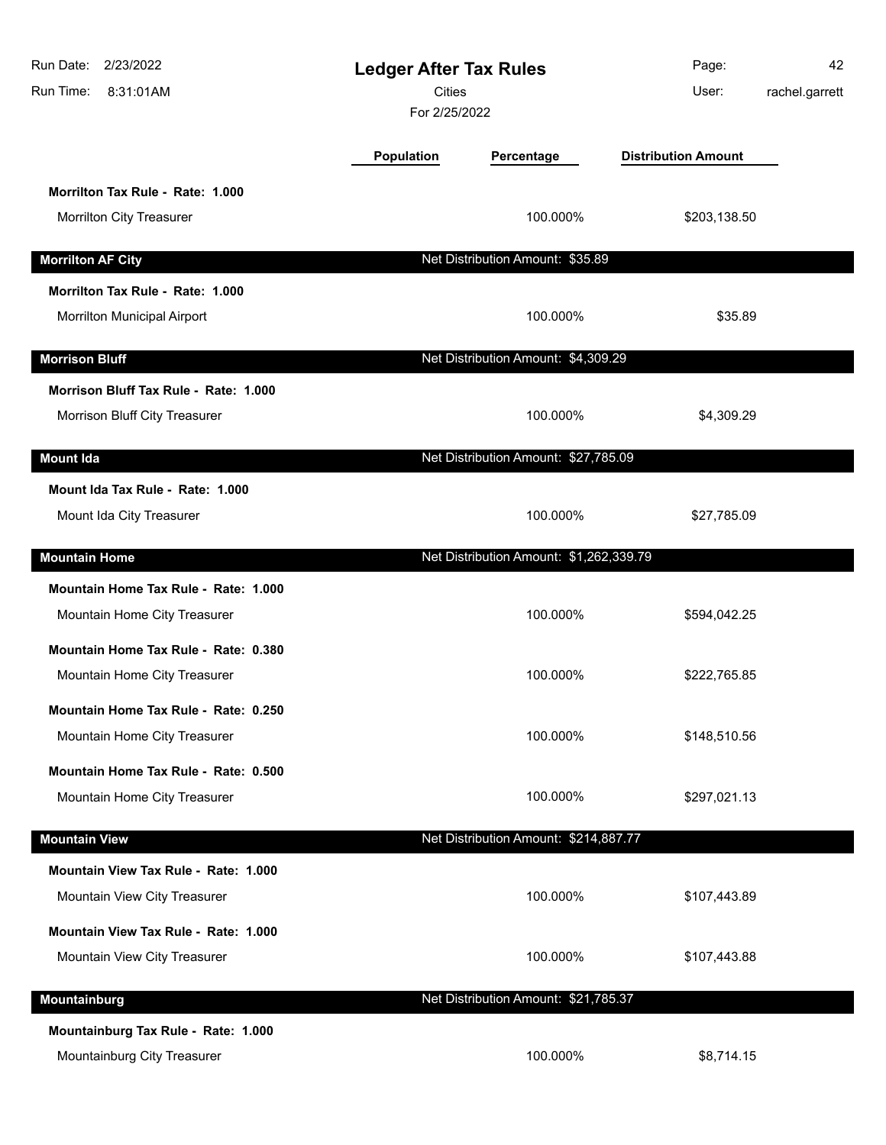| Run Date: 2/23/2022<br>Run Time:<br>8:31:01AM | <b>Ledger After Tax Rules</b><br><b>Cities</b><br>For 2/25/2022 |                                         | Page:<br>User:             | 42<br>rachel.garrett |
|-----------------------------------------------|-----------------------------------------------------------------|-----------------------------------------|----------------------------|----------------------|
|                                               | Population                                                      | Percentage                              | <b>Distribution Amount</b> |                      |
| Morrilton Tax Rule - Rate: 1.000              |                                                                 |                                         |                            |                      |
| Morrilton City Treasurer                      |                                                                 | 100.000%                                | \$203,138.50               |                      |
| <b>Morrilton AF City</b>                      |                                                                 | Net Distribution Amount: \$35.89        |                            |                      |
| Morrilton Tax Rule - Rate: 1.000              |                                                                 |                                         |                            |                      |
| Morrilton Municipal Airport                   |                                                                 | 100.000%                                | \$35.89                    |                      |
| <b>Morrison Bluff</b>                         |                                                                 | Net Distribution Amount: \$4,309.29     |                            |                      |
| Morrison Bluff Tax Rule - Rate: 1.000         |                                                                 |                                         |                            |                      |
| Morrison Bluff City Treasurer                 |                                                                 | 100.000%                                | \$4,309.29                 |                      |
| <b>Mount Ida</b>                              |                                                                 | Net Distribution Amount: \$27,785.09    |                            |                      |
| Mount Ida Tax Rule - Rate: 1.000              |                                                                 |                                         |                            |                      |
| Mount Ida City Treasurer                      |                                                                 | 100.000%                                | \$27,785.09                |                      |
| <b>Mountain Home</b>                          |                                                                 | Net Distribution Amount: \$1,262,339.79 |                            |                      |
| Mountain Home Tax Rule - Rate: 1.000          |                                                                 |                                         |                            |                      |
| Mountain Home City Treasurer                  |                                                                 | 100.000%                                | \$594,042.25               |                      |
| Mountain Home Tax Rule - Rate: 0.380          |                                                                 |                                         |                            |                      |
| Mountain Home City Treasurer                  |                                                                 | 100.000%                                | \$222,765.85               |                      |
| Mountain Home Tax Rule - Rate: 0.250          |                                                                 |                                         |                            |                      |
| Mountain Home City Treasurer                  |                                                                 | 100.000%                                | \$148,510.56               |                      |
| Mountain Home Tax Rule - Rate: 0.500          |                                                                 |                                         |                            |                      |
| Mountain Home City Treasurer                  |                                                                 | 100.000%                                | \$297,021.13               |                      |
| <b>Mountain View</b>                          |                                                                 | Net Distribution Amount: \$214,887.77   |                            |                      |
| Mountain View Tax Rule - Rate: 1.000          |                                                                 |                                         |                            |                      |
| Mountain View City Treasurer                  |                                                                 | 100.000%                                | \$107,443.89               |                      |
| Mountain View Tax Rule - Rate: 1.000          |                                                                 |                                         |                            |                      |
| Mountain View City Treasurer                  |                                                                 | 100.000%                                | \$107,443.88               |                      |
| Mountainburg                                  |                                                                 | Net Distribution Amount: \$21,785.37    |                            |                      |
| Mountainburg Tax Rule - Rate: 1.000           |                                                                 |                                         |                            |                      |
| Mountainburg City Treasurer                   |                                                                 | 100.000%                                | \$8,714.15                 |                      |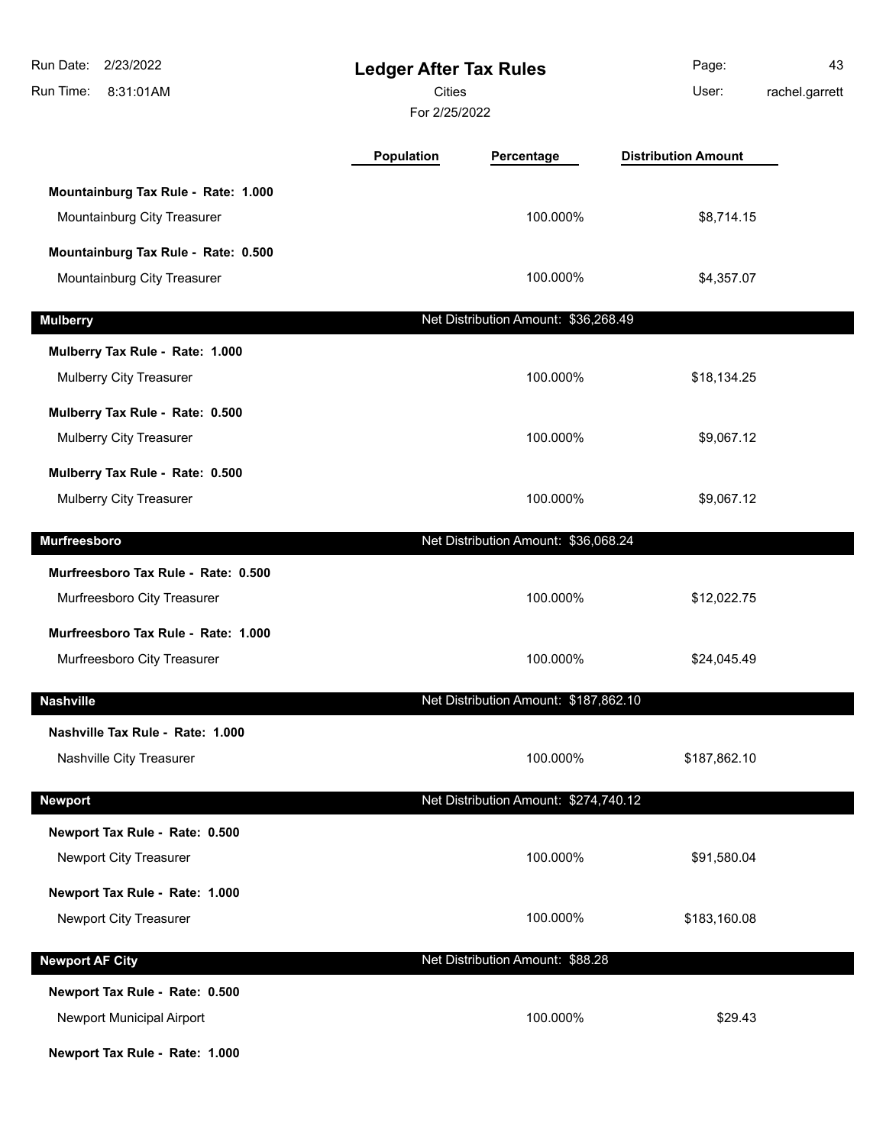| 2/23/2022<br>Run Date:<br>Run Time:<br>8:31:01AM                                              | <b>Ledger After Tax Rules</b><br>Cities<br>For 2/25/2022 |                                       | Page:<br>User:             | 43<br>rachel.garrett |
|-----------------------------------------------------------------------------------------------|----------------------------------------------------------|---------------------------------------|----------------------------|----------------------|
|                                                                                               | Population                                               | Percentage                            | <b>Distribution Amount</b> |                      |
| Mountainburg Tax Rule - Rate: 1.000<br>Mountainburg City Treasurer                            |                                                          | 100.000%                              | \$8,714.15                 |                      |
| Mountainburg Tax Rule - Rate: 0.500<br>Mountainburg City Treasurer                            |                                                          | 100.000%                              | \$4,357.07                 |                      |
| <b>Mulberry</b>                                                                               |                                                          | Net Distribution Amount: \$36,268.49  |                            |                      |
| Mulberry Tax Rule - Rate: 1.000<br>Mulberry City Treasurer                                    |                                                          | 100.000%                              | \$18,134.25                |                      |
| Mulberry Tax Rule - Rate: 0.500<br>Mulberry City Treasurer                                    |                                                          | 100.000%                              | \$9,067.12                 |                      |
| Mulberry Tax Rule - Rate: 0.500<br>Mulberry City Treasurer                                    |                                                          | 100.000%                              | \$9,067.12                 |                      |
| <b>Murfreesboro</b>                                                                           |                                                          | Net Distribution Amount: \$36,068.24  |                            |                      |
| Murfreesboro Tax Rule - Rate: 0.500<br>Murfreesboro City Treasurer                            |                                                          | 100.000%                              | \$12,022.75                |                      |
| Murfreesboro Tax Rule - Rate: 1.000<br>Murfreesboro City Treasurer                            |                                                          | 100.000%                              | \$24,045.49                |                      |
| <b>Nashville</b>                                                                              |                                                          | Net Distribution Amount: \$187,862.10 |                            |                      |
| Nashville Tax Rule - Rate: 1.000<br>Nashville City Treasurer                                  |                                                          | 100.000%                              | \$187,862.10               |                      |
| <b>Newport</b>                                                                                |                                                          | Net Distribution Amount: \$274,740.12 |                            |                      |
| Newport Tax Rule - Rate: 0.500<br>Newport City Treasurer                                      |                                                          | 100.000%                              | \$91,580.04                |                      |
| Newport Tax Rule - Rate: 1.000<br>Newport City Treasurer                                      |                                                          | 100.000%                              | \$183,160.08               |                      |
| <b>Newport AF City</b>                                                                        |                                                          | Net Distribution Amount: \$88.28      |                            |                      |
| Newport Tax Rule - Rate: 0.500<br>Newport Municipal Airport<br>Newport Tax Rule - Rate: 1.000 |                                                          | 100.000%                              | \$29.43                    |                      |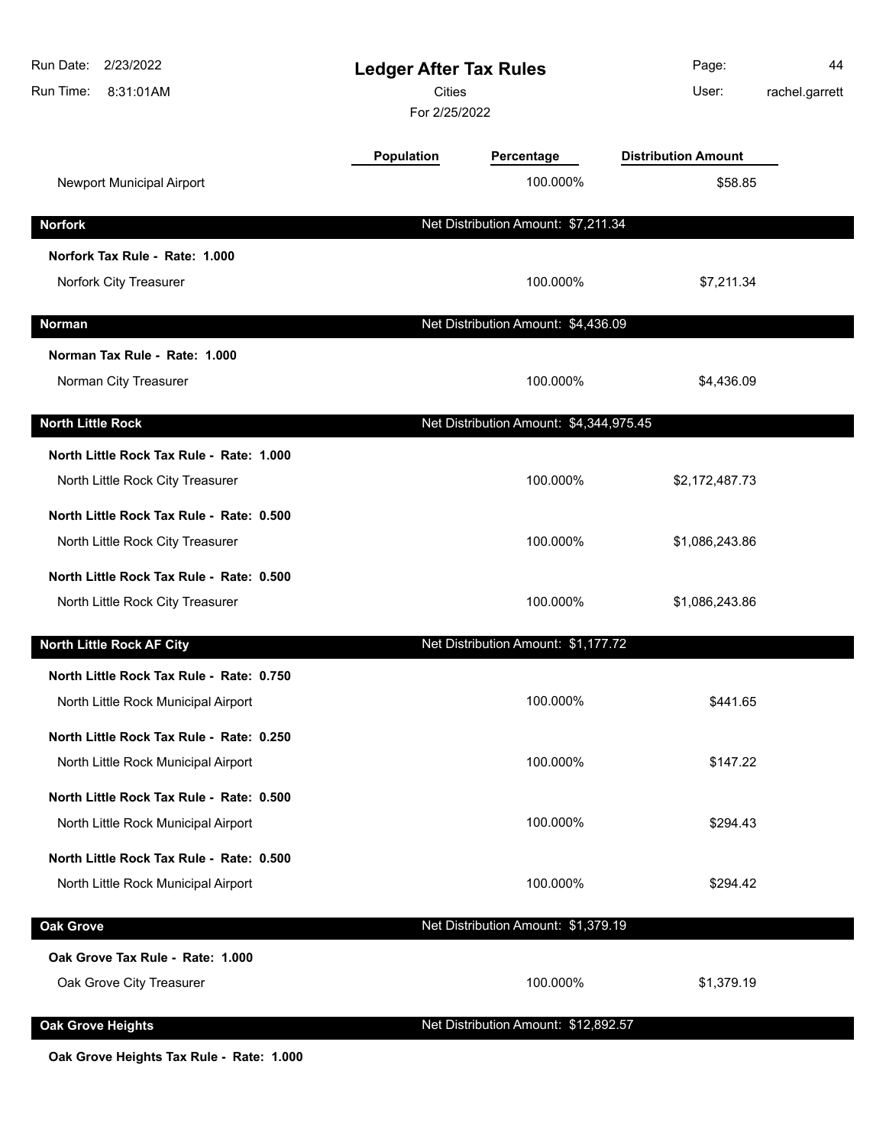| Run Date: 2/23/2022<br>Run Time:<br>8:31:01AM | <b>Ledger After Tax Rules</b><br><b>Cities</b><br>For 2/25/2022 |                                         | Page:<br>User:             | 44<br>rachel.garrett |
|-----------------------------------------------|-----------------------------------------------------------------|-----------------------------------------|----------------------------|----------------------|
|                                               | <b>Population</b>                                               | Percentage                              | <b>Distribution Amount</b> |                      |
| Newport Municipal Airport                     |                                                                 | 100.000%                                | \$58.85                    |                      |
| <b>Norfork</b>                                |                                                                 | Net Distribution Amount: \$7,211.34     |                            |                      |
| Norfork Tax Rule - Rate: 1.000                |                                                                 |                                         |                            |                      |
| Norfork City Treasurer                        |                                                                 | 100.000%                                | \$7,211.34                 |                      |
| <b>Norman</b>                                 |                                                                 | Net Distribution Amount: \$4,436.09     |                            |                      |
| Norman Tax Rule - Rate: 1.000                 |                                                                 |                                         |                            |                      |
| Norman City Treasurer                         |                                                                 | 100.000%                                | \$4,436.09                 |                      |
| <b>North Little Rock</b>                      |                                                                 | Net Distribution Amount: \$4,344,975.45 |                            |                      |
| North Little Rock Tax Rule - Rate: 1.000      |                                                                 |                                         |                            |                      |
| North Little Rock City Treasurer              |                                                                 | 100.000%                                | \$2,172,487.73             |                      |
| North Little Rock Tax Rule - Rate: 0.500      |                                                                 |                                         |                            |                      |
| North Little Rock City Treasurer              |                                                                 | 100.000%                                | \$1,086,243.86             |                      |
| North Little Rock Tax Rule - Rate: 0.500      |                                                                 |                                         |                            |                      |
| North Little Rock City Treasurer              |                                                                 | 100.000%                                | \$1,086,243.86             |                      |
| North Little Rock AF City                     |                                                                 | Net Distribution Amount: \$1,177.72     |                            |                      |
| North Little Rock Tax Rule - Rate: 0.750      |                                                                 |                                         |                            |                      |
| North Little Rock Municipal Airport           |                                                                 | 100.000%                                | \$441.65                   |                      |
| North Little Rock Tax Rule - Rate: 0.250      |                                                                 |                                         |                            |                      |
| North Little Rock Municipal Airport           |                                                                 | 100.000%                                | \$147.22                   |                      |
| North Little Rock Tax Rule - Rate: 0.500      |                                                                 |                                         |                            |                      |
| North Little Rock Municipal Airport           |                                                                 | 100.000%                                | \$294.43                   |                      |
| North Little Rock Tax Rule - Rate: 0.500      |                                                                 |                                         |                            |                      |
| North Little Rock Municipal Airport           |                                                                 | 100.000%                                | \$294.42                   |                      |
| <b>Oak Grove</b>                              |                                                                 | Net Distribution Amount: \$1,379.19     |                            |                      |
| Oak Grove Tax Rule - Rate: 1.000              |                                                                 |                                         |                            |                      |
| Oak Grove City Treasurer                      |                                                                 | 100.000%                                | \$1,379.19                 |                      |
| <b>Oak Grove Heights</b>                      |                                                                 | Net Distribution Amount: \$12,892.57    |                            |                      |
|                                               |                                                                 |                                         |                            |                      |

**Oak Grove Heights Tax Rule - Rate: 1.000**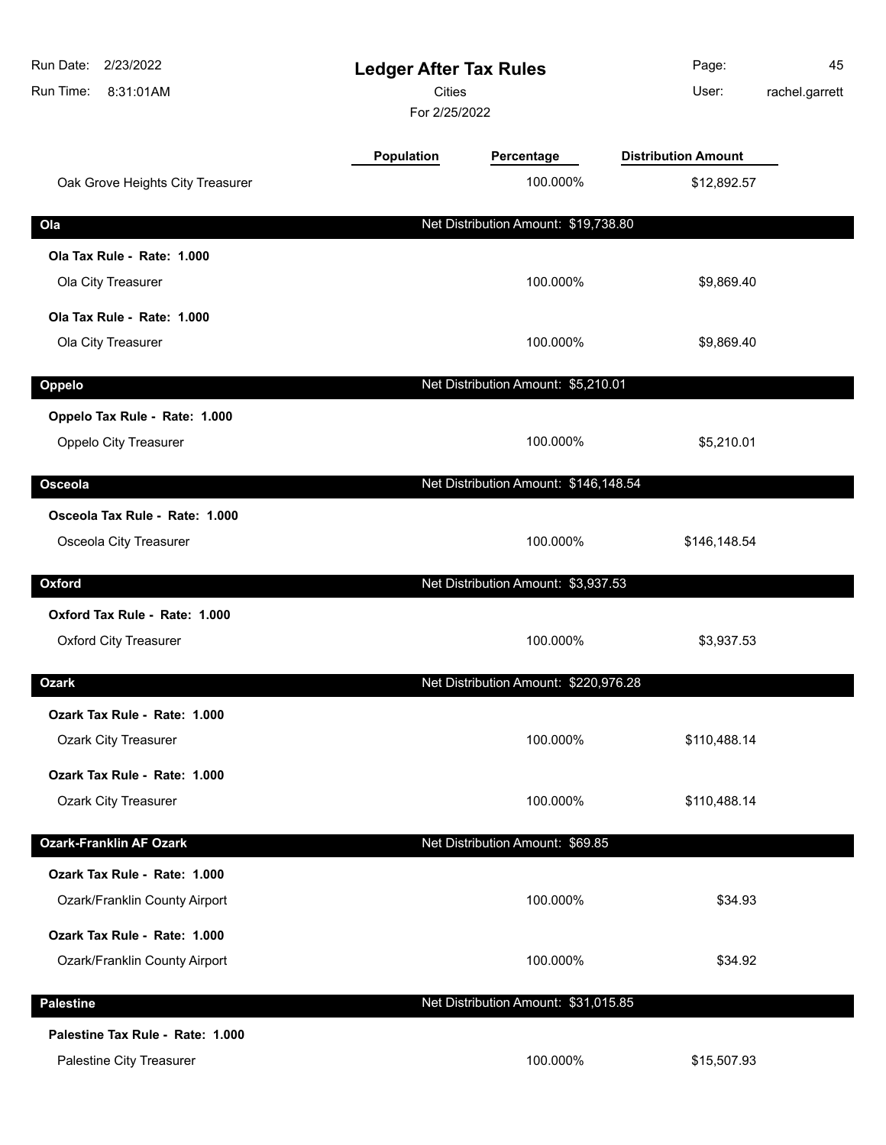| Run Date: 2/23/2022<br>Run Time:<br>8:31:01AM            | <b>Ledger After Tax Rules</b><br>Cities<br>For 2/25/2022 |                                       | Page:<br>User:             | 45<br>rachel.garrett |
|----------------------------------------------------------|----------------------------------------------------------|---------------------------------------|----------------------------|----------------------|
|                                                          | Population                                               | Percentage                            | <b>Distribution Amount</b> |                      |
| Oak Grove Heights City Treasurer                         |                                                          | 100.000%                              | \$12,892.57                |                      |
| Ola                                                      |                                                          | Net Distribution Amount: \$19,738.80  |                            |                      |
| Ola Tax Rule - Rate: 1.000                               |                                                          |                                       |                            |                      |
| Ola City Treasurer                                       |                                                          | 100.000%                              | \$9,869.40                 |                      |
| Ola Tax Rule - Rate: 1.000                               |                                                          |                                       |                            |                      |
| Ola City Treasurer                                       |                                                          | 100.000%                              | \$9,869.40                 |                      |
| Oppelo                                                   |                                                          | Net Distribution Amount: \$5,210.01   |                            |                      |
| Oppelo Tax Rule - Rate: 1.000                            |                                                          |                                       |                            |                      |
| Oppelo City Treasurer                                    |                                                          | 100.000%                              | \$5,210.01                 |                      |
|                                                          |                                                          |                                       |                            |                      |
| Osceola                                                  |                                                          | Net Distribution Amount: \$146,148.54 |                            |                      |
| Osceola Tax Rule - Rate: 1.000<br>Osceola City Treasurer |                                                          | 100.000%                              | \$146,148.54               |                      |
|                                                          |                                                          |                                       |                            |                      |
| Oxford                                                   |                                                          | Net Distribution Amount: \$3,937.53   |                            |                      |
| Oxford Tax Rule - Rate: 1.000                            |                                                          |                                       |                            |                      |
| <b>Oxford City Treasurer</b>                             |                                                          | 100.000%                              | \$3,937.53                 |                      |
| <b>Ozark</b>                                             |                                                          | Net Distribution Amount: \$220,976.28 |                            |                      |
| Ozark Tax Rule - Rate: 1.000                             |                                                          |                                       |                            |                      |
| <b>Ozark City Treasurer</b>                              |                                                          | 100.000%                              | \$110,488.14               |                      |
| Ozark Tax Rule - Rate: 1.000                             |                                                          |                                       |                            |                      |
| <b>Ozark City Treasurer</b>                              |                                                          | 100.000%                              | \$110,488.14               |                      |
| <b>Ozark-Franklin AF Ozark</b>                           |                                                          | Net Distribution Amount: \$69.85      |                            |                      |
| Ozark Tax Rule - Rate: 1.000                             |                                                          |                                       |                            |                      |
| Ozark/Franklin County Airport                            |                                                          | 100.000%                              | \$34.93                    |                      |
| Ozark Tax Rule - Rate: 1.000                             |                                                          |                                       |                            |                      |
| Ozark/Franklin County Airport                            |                                                          | 100.000%                              | \$34.92                    |                      |
| <b>Palestine</b>                                         |                                                          | Net Distribution Amount: \$31,015.85  |                            |                      |
| Palestine Tax Rule - Rate: 1.000                         |                                                          |                                       |                            |                      |
| Palestine City Treasurer                                 |                                                          | 100.000%                              | \$15,507.93                |                      |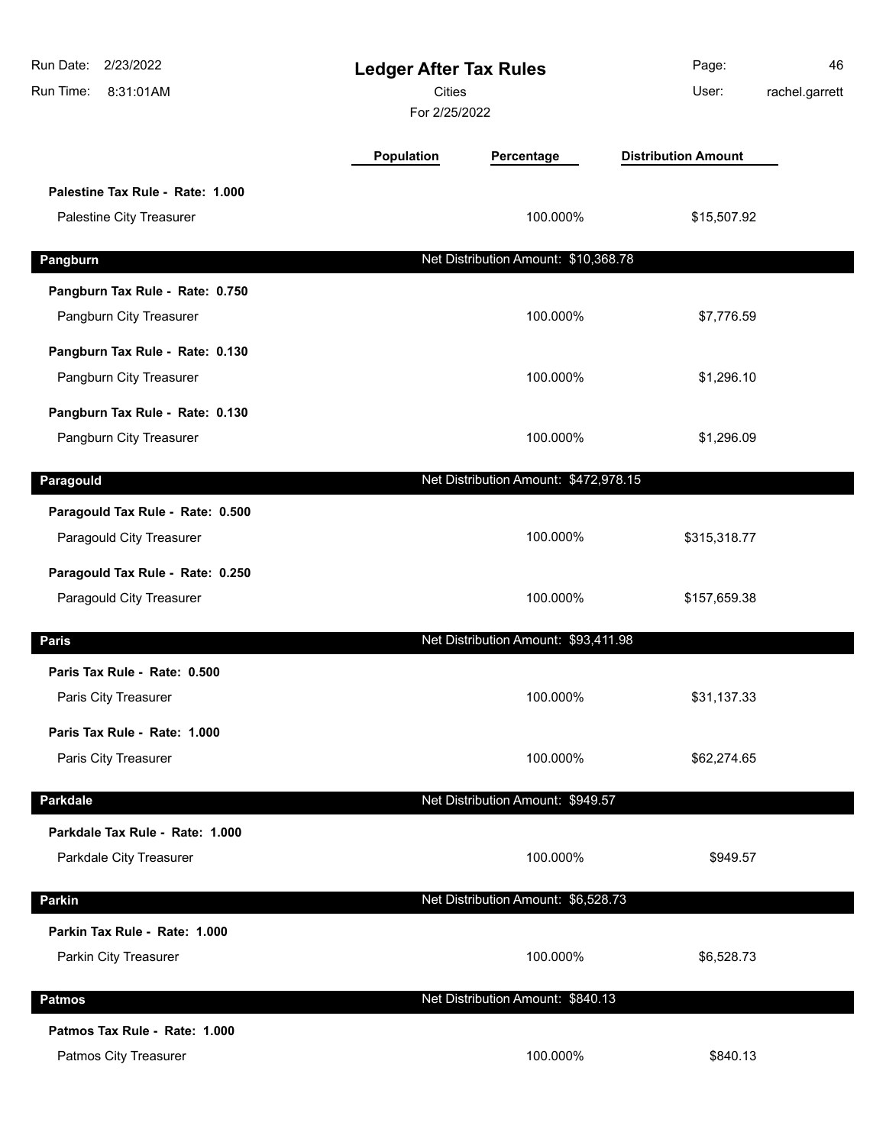| Run Date:<br>2/23/2022<br>Run Time:<br>8:31:01AM             | <b>Ledger After Tax Rules</b><br><b>Cities</b><br>For 2/25/2022 |                                       | Page:<br>User:             | 46<br>rachel.garrett |
|--------------------------------------------------------------|-----------------------------------------------------------------|---------------------------------------|----------------------------|----------------------|
|                                                              | Population                                                      | Percentage                            | <b>Distribution Amount</b> |                      |
| Palestine Tax Rule - Rate: 1.000<br>Palestine City Treasurer |                                                                 | 100.000%                              | \$15,507.92                |                      |
| Pangburn                                                     |                                                                 | Net Distribution Amount: \$10,368.78  |                            |                      |
| Pangburn Tax Rule - Rate: 0.750<br>Pangburn City Treasurer   |                                                                 | 100.000%                              | \$7,776.59                 |                      |
| Pangburn Tax Rule - Rate: 0.130<br>Pangburn City Treasurer   |                                                                 | 100.000%                              | \$1,296.10                 |                      |
| Pangburn Tax Rule - Rate: 0.130<br>Pangburn City Treasurer   |                                                                 | 100.000%                              | \$1,296.09                 |                      |
| Paragould                                                    |                                                                 | Net Distribution Amount: \$472,978.15 |                            |                      |
| Paragould Tax Rule - Rate: 0.500<br>Paragould City Treasurer |                                                                 | 100.000%                              | \$315,318.77               |                      |
| Paragould Tax Rule - Rate: 0.250<br>Paragould City Treasurer |                                                                 | 100.000%                              | \$157,659.38               |                      |
| <b>Paris</b>                                                 |                                                                 | Net Distribution Amount: \$93,411.98  |                            |                      |
| Paris Tax Rule - Rate: 0.500<br>Paris City Treasurer         |                                                                 | 100.000%                              | \$31,137.33                |                      |
| Paris Tax Rule - Rate: 1.000<br>Paris City Treasurer         |                                                                 | 100.000%                              | \$62,274.65                |                      |
| <b>Parkdale</b>                                              |                                                                 | Net Distribution Amount: \$949.57     |                            |                      |
| Parkdale Tax Rule - Rate: 1.000<br>Parkdale City Treasurer   |                                                                 | 100.000%                              | \$949.57                   |                      |
| Parkin                                                       |                                                                 | Net Distribution Amount: \$6,528.73   |                            |                      |
| Parkin Tax Rule - Rate: 1.000<br>Parkin City Treasurer       |                                                                 | 100.000%                              | \$6,528.73                 |                      |
| <b>Patmos</b>                                                |                                                                 | Net Distribution Amount: \$840.13     |                            |                      |
| Patmos Tax Rule - Rate: 1.000<br>Patmos City Treasurer       |                                                                 | 100.000%                              | \$840.13                   |                      |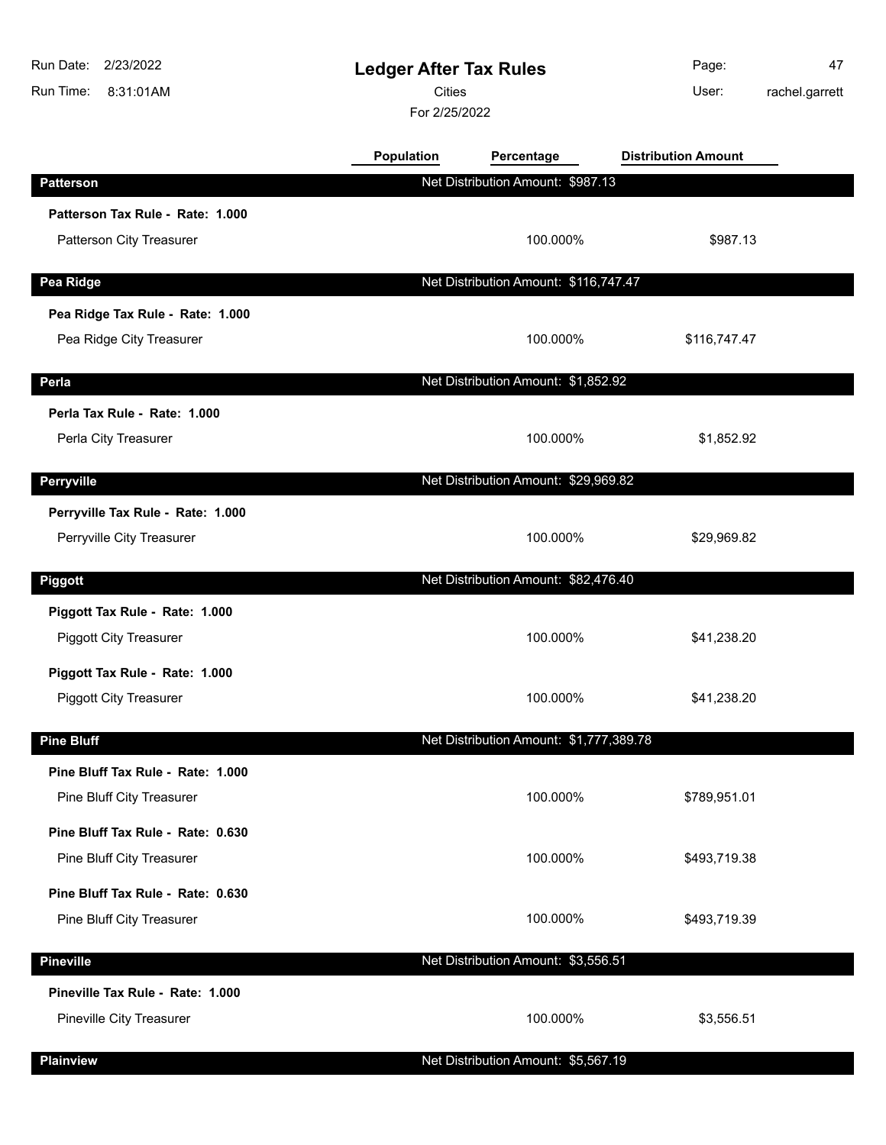| Run Date:<br>2/23/2022<br>Run Time:<br>8:31:01AM | <b>Ledger After Tax Rules</b><br><b>Cities</b><br>For 2/25/2022 |                                         | Page:<br>User:             | 47<br>rachel.garrett |
|--------------------------------------------------|-----------------------------------------------------------------|-----------------------------------------|----------------------------|----------------------|
|                                                  | Population                                                      | Percentage                              | <b>Distribution Amount</b> |                      |
| <b>Patterson</b>                                 |                                                                 | Net Distribution Amount: \$987.13       |                            |                      |
| Patterson Tax Rule - Rate: 1.000                 |                                                                 |                                         |                            |                      |
| Patterson City Treasurer                         |                                                                 | 100.000%                                | \$987.13                   |                      |
| Pea Ridge                                        |                                                                 | Net Distribution Amount: \$116,747.47   |                            |                      |
| Pea Ridge Tax Rule - Rate: 1.000                 |                                                                 |                                         |                            |                      |
| Pea Ridge City Treasurer                         |                                                                 | 100.000%                                | \$116,747.47               |                      |
| Perla                                            |                                                                 | Net Distribution Amount: \$1,852.92     |                            |                      |
| Perla Tax Rule - Rate: 1.000                     |                                                                 |                                         |                            |                      |
| Perla City Treasurer                             |                                                                 | 100.000%                                | \$1,852.92                 |                      |
| Perryville                                       |                                                                 | Net Distribution Amount: \$29,969.82    |                            |                      |
| Perryville Tax Rule - Rate: 1.000                |                                                                 |                                         |                            |                      |
| Perryville City Treasurer                        |                                                                 | 100.000%                                | \$29,969.82                |                      |
| <b>Piggott</b>                                   |                                                                 | Net Distribution Amount: \$82,476.40    |                            |                      |
| Piggott Tax Rule - Rate: 1.000                   |                                                                 |                                         |                            |                      |
| <b>Piggott City Treasurer</b>                    |                                                                 | 100.000%                                | \$41,238.20                |                      |
| Piggott Tax Rule - Rate: 1.000                   |                                                                 |                                         |                            |                      |
| <b>Piggott City Treasurer</b>                    |                                                                 | 100.000%                                | \$41,238.20                |                      |
| <b>Pine Bluff</b>                                |                                                                 | Net Distribution Amount: \$1,777,389.78 |                            |                      |
| Pine Bluff Tax Rule - Rate: 1.000                |                                                                 |                                         |                            |                      |
| Pine Bluff City Treasurer                        |                                                                 | 100.000%                                | \$789,951.01               |                      |
| Pine Bluff Tax Rule - Rate: 0.630                |                                                                 |                                         |                            |                      |
| Pine Bluff City Treasurer                        |                                                                 | 100.000%                                | \$493,719.38               |                      |
| Pine Bluff Tax Rule - Rate: 0.630                |                                                                 |                                         |                            |                      |
| Pine Bluff City Treasurer                        |                                                                 | 100.000%                                | \$493,719.39               |                      |
| <b>Pineville</b>                                 |                                                                 | Net Distribution Amount: \$3,556.51     |                            |                      |
| Pineville Tax Rule - Rate: 1.000                 |                                                                 |                                         |                            |                      |
| Pineville City Treasurer                         |                                                                 | 100.000%                                | \$3,556.51                 |                      |
| <b>Plainview</b>                                 |                                                                 | Net Distribution Amount: \$5,567.19     |                            |                      |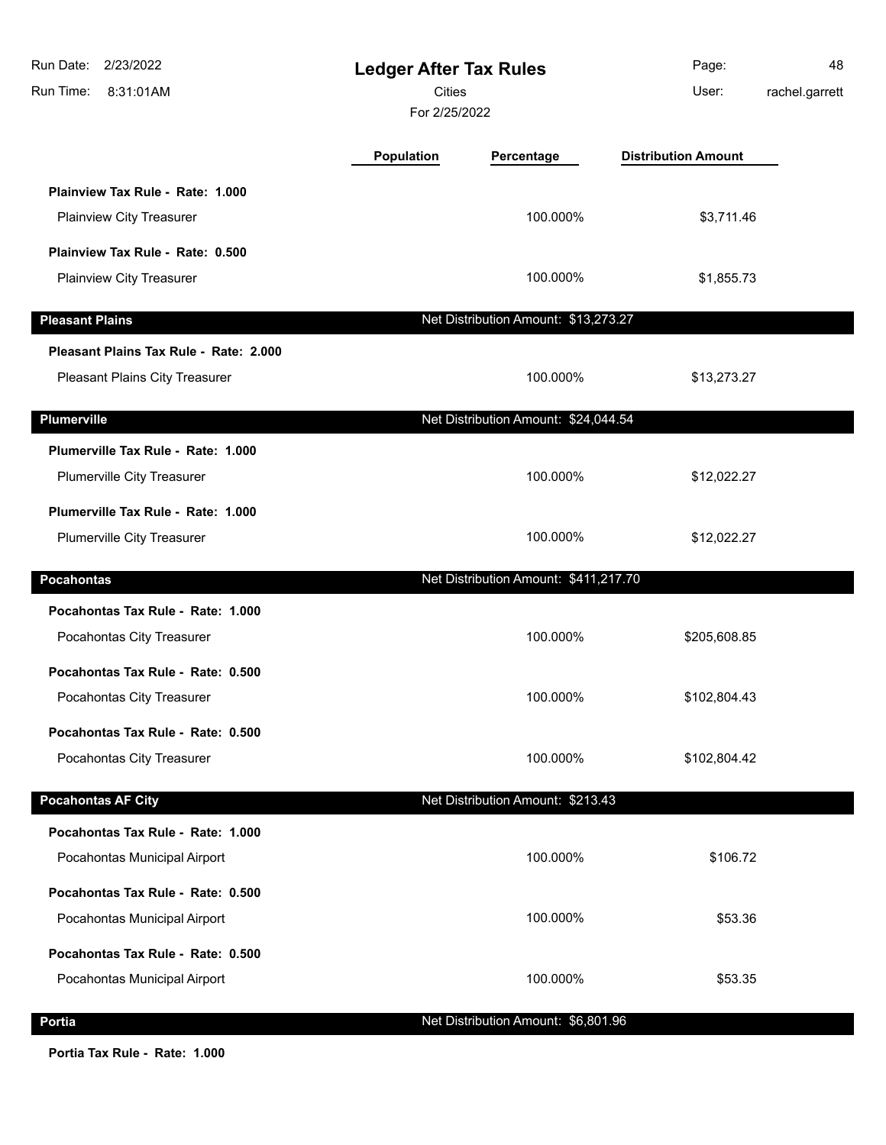| Run Date: 2/23/2022<br>Run Time:<br>8:31:01AM | <b>Ledger After Tax Rules</b><br><b>Cities</b><br>For 2/25/2022 |                                       | Page:<br>User:             | 48<br>rachel.garrett |
|-----------------------------------------------|-----------------------------------------------------------------|---------------------------------------|----------------------------|----------------------|
|                                               | <b>Population</b>                                               | Percentage                            | <b>Distribution Amount</b> |                      |
| Plainview Tax Rule - Rate: 1.000              |                                                                 |                                       |                            |                      |
| Plainview City Treasurer                      |                                                                 | 100.000%                              | \$3,711.46                 |                      |
| Plainview Tax Rule - Rate: 0.500              |                                                                 |                                       |                            |                      |
| Plainview City Treasurer                      |                                                                 | 100.000%                              | \$1,855.73                 |                      |
| <b>Pleasant Plains</b>                        |                                                                 | Net Distribution Amount: \$13,273.27  |                            |                      |
| Pleasant Plains Tax Rule - Rate: 2.000        |                                                                 |                                       |                            |                      |
| Pleasant Plains City Treasurer                |                                                                 | 100.000%                              | \$13,273.27                |                      |
| <b>Plumerville</b>                            |                                                                 | Net Distribution Amount: \$24,044.54  |                            |                      |
| Plumerville Tax Rule - Rate: 1.000            |                                                                 |                                       |                            |                      |
| Plumerville City Treasurer                    |                                                                 | 100.000%                              | \$12,022.27                |                      |
| Plumerville Tax Rule - Rate: 1.000            |                                                                 |                                       |                            |                      |
| Plumerville City Treasurer                    |                                                                 | 100.000%                              | \$12,022.27                |                      |
| <b>Pocahontas</b>                             |                                                                 | Net Distribution Amount: \$411,217.70 |                            |                      |
| Pocahontas Tax Rule - Rate: 1.000             |                                                                 |                                       |                            |                      |
| Pocahontas City Treasurer                     |                                                                 | 100.000%                              | \$205,608.85               |                      |
| Pocahontas Tax Rule - Rate: 0.500             |                                                                 |                                       |                            |                      |
| Pocahontas City Treasurer                     |                                                                 | 100.000%                              | \$102,804.43               |                      |
| Pocahontas Tax Rule - Rate: 0.500             |                                                                 |                                       |                            |                      |
| Pocahontas City Treasurer                     |                                                                 | 100.000%                              | \$102,804.42               |                      |
| <b>Pocahontas AF City</b>                     |                                                                 | Net Distribution Amount: \$213.43     |                            |                      |
| Pocahontas Tax Rule - Rate: 1.000             |                                                                 |                                       |                            |                      |
| Pocahontas Municipal Airport                  |                                                                 | 100.000%                              | \$106.72                   |                      |
| Pocahontas Tax Rule - Rate: 0.500             |                                                                 |                                       |                            |                      |
| Pocahontas Municipal Airport                  |                                                                 | 100.000%                              | \$53.36                    |                      |
| Pocahontas Tax Rule - Rate: 0.500             |                                                                 |                                       |                            |                      |
| Pocahontas Municipal Airport                  |                                                                 | 100.000%                              | \$53.35                    |                      |
| Portia                                        |                                                                 | Net Distribution Amount: \$6,801.96   |                            |                      |

**Portia Tax Rule - Rate: 1.000**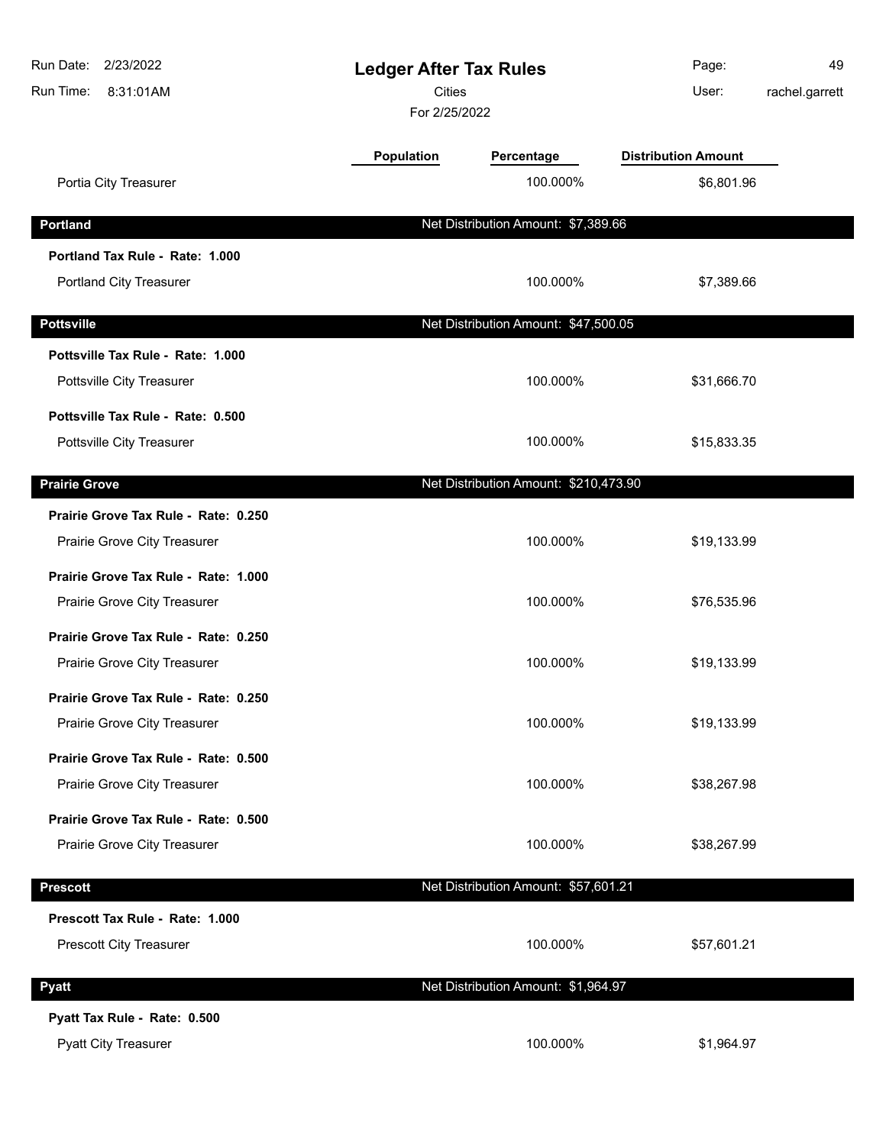| Run Date:<br>2/23/2022<br>Run Time:<br>8:31:01AM | <b>Ledger After Tax Rules</b><br><b>Cities</b><br>For 2/25/2022 |                                       | Page:<br>User:             | 49<br>rachel.garrett |
|--------------------------------------------------|-----------------------------------------------------------------|---------------------------------------|----------------------------|----------------------|
|                                                  | Population                                                      | Percentage                            | <b>Distribution Amount</b> |                      |
| Portia City Treasurer                            |                                                                 | 100.000%                              | \$6,801.96                 |                      |
| <b>Portland</b>                                  |                                                                 | Net Distribution Amount: \$7,389.66   |                            |                      |
| Portland Tax Rule - Rate: 1.000                  |                                                                 |                                       |                            |                      |
| Portland City Treasurer                          |                                                                 | 100.000%                              | \$7,389.66                 |                      |
| <b>Pottsville</b>                                |                                                                 | Net Distribution Amount: \$47,500.05  |                            |                      |
| Pottsville Tax Rule - Rate: 1.000                |                                                                 |                                       |                            |                      |
| Pottsville City Treasurer                        |                                                                 | 100.000%                              | \$31,666.70                |                      |
| Pottsville Tax Rule - Rate: 0.500                |                                                                 |                                       |                            |                      |
| Pottsville City Treasurer                        |                                                                 | 100.000%                              | \$15,833.35                |                      |
| <b>Prairie Grove</b>                             |                                                                 | Net Distribution Amount: \$210,473.90 |                            |                      |
| Prairie Grove Tax Rule - Rate: 0.250             |                                                                 |                                       |                            |                      |
| Prairie Grove City Treasurer                     |                                                                 | 100.000%                              | \$19,133.99                |                      |
| Prairie Grove Tax Rule - Rate: 1.000             |                                                                 |                                       |                            |                      |
| Prairie Grove City Treasurer                     |                                                                 | 100.000%                              | \$76,535.96                |                      |
| Prairie Grove Tax Rule - Rate: 0.250             |                                                                 |                                       |                            |                      |
| Prairie Grove City Treasurer                     |                                                                 | 100.000%                              | \$19,133.99                |                      |
| Prairie Grove Tax Rule - Rate: 0.250             |                                                                 |                                       |                            |                      |
| Prairie Grove City Treasurer                     |                                                                 | 100.000%                              | \$19,133.99                |                      |
| Prairie Grove Tax Rule - Rate: 0.500             |                                                                 |                                       |                            |                      |
| Prairie Grove City Treasurer                     |                                                                 | 100.000%                              | \$38,267.98                |                      |
| Prairie Grove Tax Rule - Rate: 0.500             |                                                                 |                                       |                            |                      |
| Prairie Grove City Treasurer                     |                                                                 | 100.000%                              | \$38,267.99                |                      |
| <b>Prescott</b>                                  |                                                                 | Net Distribution Amount: \$57,601.21  |                            |                      |
| Prescott Tax Rule - Rate: 1.000                  |                                                                 |                                       |                            |                      |
| Prescott City Treasurer                          |                                                                 | 100.000%                              | \$57,601.21                |                      |
| <b>Pyatt</b>                                     |                                                                 | Net Distribution Amount: \$1,964.97   |                            |                      |
| Pyatt Tax Rule - Rate: 0.500                     |                                                                 |                                       |                            |                      |
| <b>Pyatt City Treasurer</b>                      |                                                                 | 100.000%                              | \$1,964.97                 |                      |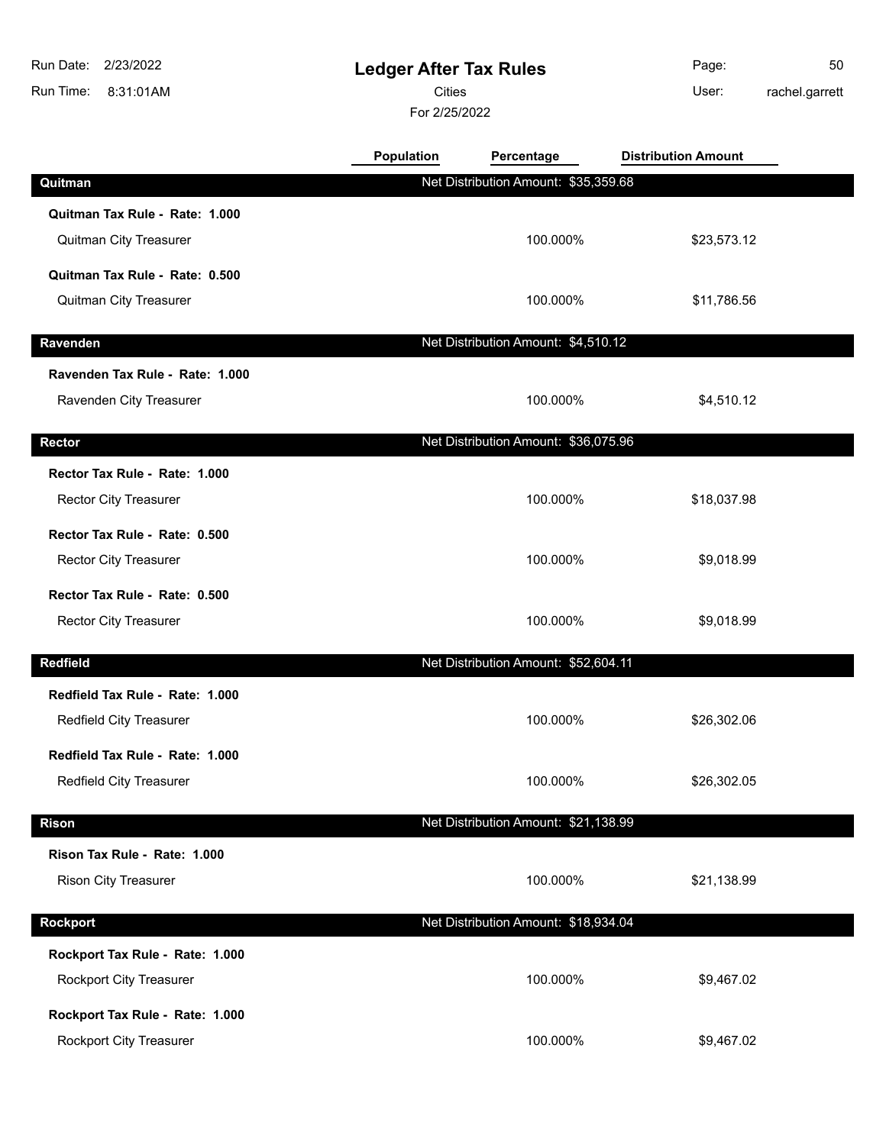| 2/23/2022<br>Run Date:          | <b>Ledger After Tax Rules</b> |                                      | Page:                      | 50             |
|---------------------------------|-------------------------------|--------------------------------------|----------------------------|----------------|
| Run Time:<br>8:31:01AM          | Cities                        |                                      | User:                      | rachel.garrett |
|                                 | For 2/25/2022                 |                                      |                            |                |
|                                 | <b>Population</b>             | Percentage                           | <b>Distribution Amount</b> |                |
| Quitman                         |                               | Net Distribution Amount: \$35,359.68 |                            |                |
| Quitman Tax Rule - Rate: 1.000  |                               |                                      |                            |                |
| <b>Quitman City Treasurer</b>   |                               | 100.000%                             | \$23,573.12                |                |
| Quitman Tax Rule - Rate: 0.500  |                               |                                      |                            |                |
| Quitman City Treasurer          |                               | 100.000%                             | \$11,786.56                |                |
| Ravenden                        |                               | Net Distribution Amount: \$4,510.12  |                            |                |
| Ravenden Tax Rule - Rate: 1.000 |                               |                                      |                            |                |
| Ravenden City Treasurer         |                               | 100.000%                             | \$4,510.12                 |                |
|                                 |                               |                                      |                            |                |
| <b>Rector</b>                   |                               | Net Distribution Amount: \$36,075.96 |                            |                |
| Rector Tax Rule - Rate: 1.000   |                               |                                      |                            |                |
| <b>Rector City Treasurer</b>    |                               | 100.000%                             | \$18,037.98                |                |
| Rector Tax Rule - Rate: 0.500   |                               |                                      |                            |                |
| <b>Rector City Treasurer</b>    |                               | 100.000%                             | \$9,018.99                 |                |
| Rector Tax Rule - Rate: 0.500   |                               |                                      |                            |                |
| <b>Rector City Treasurer</b>    |                               | 100.000%                             | \$9,018.99                 |                |
| <b>Redfield</b>                 |                               | Net Distribution Amount: \$52,604.11 |                            |                |
| Redfield Tax Rule - Rate: 1.000 |                               |                                      |                            |                |
| Redfield City Treasurer         |                               | 100.000%                             | \$26,302.06                |                |
| Redfield Tax Rule - Rate: 1.000 |                               |                                      |                            |                |
| Redfield City Treasurer         |                               | 100.000%                             | \$26,302.05                |                |
| <b>Rison</b>                    |                               | Net Distribution Amount: \$21,138.99 |                            |                |
| Rison Tax Rule - Rate: 1.000    |                               |                                      |                            |                |
| <b>Rison City Treasurer</b>     |                               | 100.000%                             | \$21,138.99                |                |
|                                 |                               |                                      |                            |                |
| <b>Rockport</b>                 |                               | Net Distribution Amount: \$18,934.04 |                            |                |
| Rockport Tax Rule - Rate: 1.000 |                               |                                      |                            |                |
| <b>Rockport City Treasurer</b>  |                               | 100.000%                             | \$9,467.02                 |                |
| Rockport Tax Rule - Rate: 1.000 |                               |                                      |                            |                |
| Rockport City Treasurer         |                               | 100.000%                             | \$9,467.02                 |                |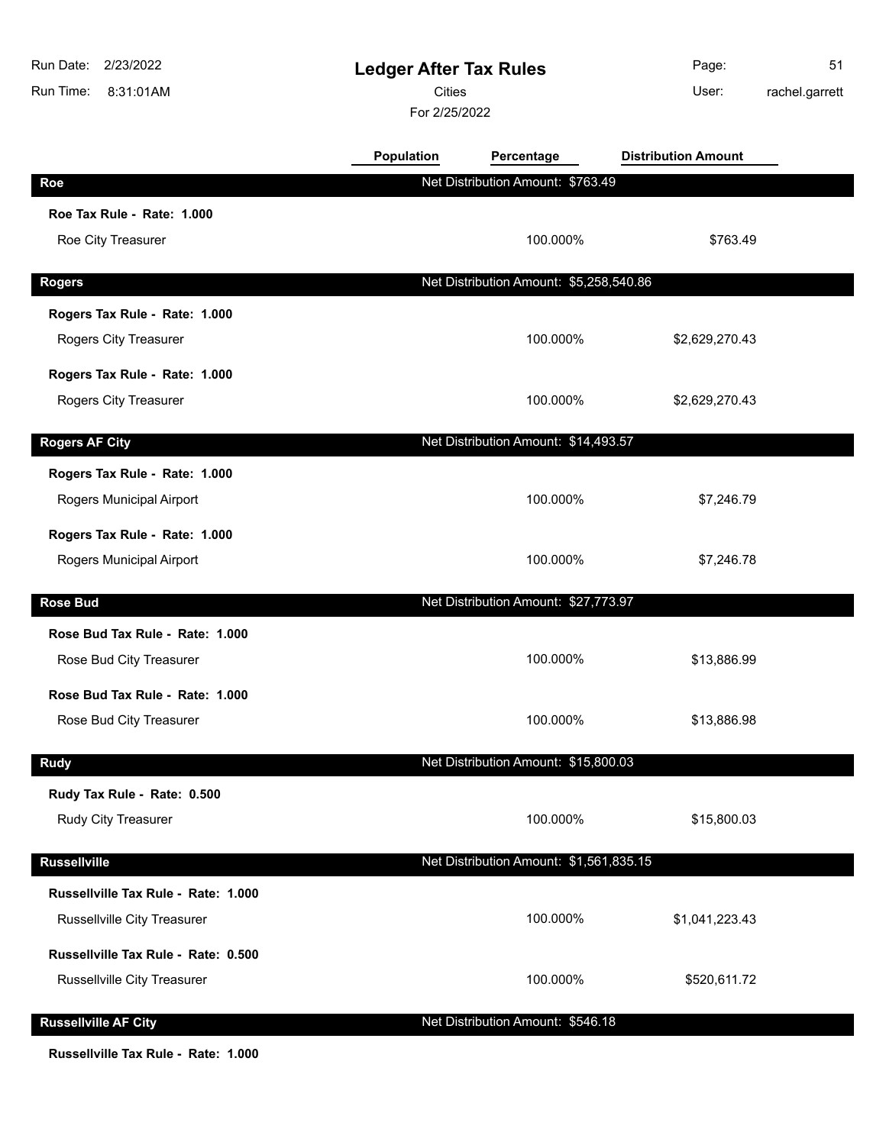| <b>Distribution Amount</b><br><b>Population</b><br>Percentage<br>Net Distribution Amount: \$763.49<br>Roe<br>Roe Tax Rule - Rate: 1.000 |             |
|-----------------------------------------------------------------------------------------------------------------------------------------|-------------|
|                                                                                                                                         |             |
|                                                                                                                                         |             |
|                                                                                                                                         |             |
| Roe City Treasurer<br>100.000%                                                                                                          | \$763.49    |
| Net Distribution Amount: \$5,258,540.86<br><b>Rogers</b>                                                                                |             |
| Rogers Tax Rule - Rate: 1.000                                                                                                           |             |
| 100.000%<br>Rogers City Treasurer<br>\$2,629,270.43                                                                                     |             |
| Rogers Tax Rule - Rate: 1.000                                                                                                           |             |
| Rogers City Treasurer<br>100.000%<br>\$2,629,270.43                                                                                     |             |
| <b>Rogers AF City</b><br>Net Distribution Amount: \$14,493.57                                                                           |             |
| Rogers Tax Rule - Rate: 1.000                                                                                                           |             |
| Rogers Municipal Airport<br>100.000%                                                                                                    | \$7,246.79  |
| Rogers Tax Rule - Rate: 1.000                                                                                                           |             |
| Rogers Municipal Airport<br>100.000%                                                                                                    | \$7,246.78  |
| Net Distribution Amount: \$27,773.97<br><b>Rose Bud</b>                                                                                 |             |
| Rose Bud Tax Rule - Rate: 1.000                                                                                                         |             |
| 100.000%<br>Rose Bud City Treasurer                                                                                                     | \$13,886.99 |
| Rose Bud Tax Rule - Rate: 1.000                                                                                                         |             |
| 100.000%<br>Rose Bud City Treasurer                                                                                                     | \$13,886.98 |
| Net Distribution Amount: \$15,800.03<br><b>Rudy</b>                                                                                     |             |
| Rudy Tax Rule - Rate: 0.500                                                                                                             |             |
| Rudy City Treasurer<br>100.000%                                                                                                         | \$15,800.03 |
| Net Distribution Amount: \$1,561,835.15<br><b>Russellville</b>                                                                          |             |
| Russellville Tax Rule - Rate: 1.000                                                                                                     |             |
| 100.000%<br>Russellville City Treasurer<br>\$1,041,223.43                                                                               |             |
| Russellville Tax Rule - Rate: 0.500                                                                                                     |             |
| 100.000%<br>Russellville City Treasurer<br>\$520,611.72                                                                                 |             |
| <b>Russellville AF City</b><br>Net Distribution Amount: \$546.18                                                                        |             |

**Russellville Tax Rule - Rate: 1.000**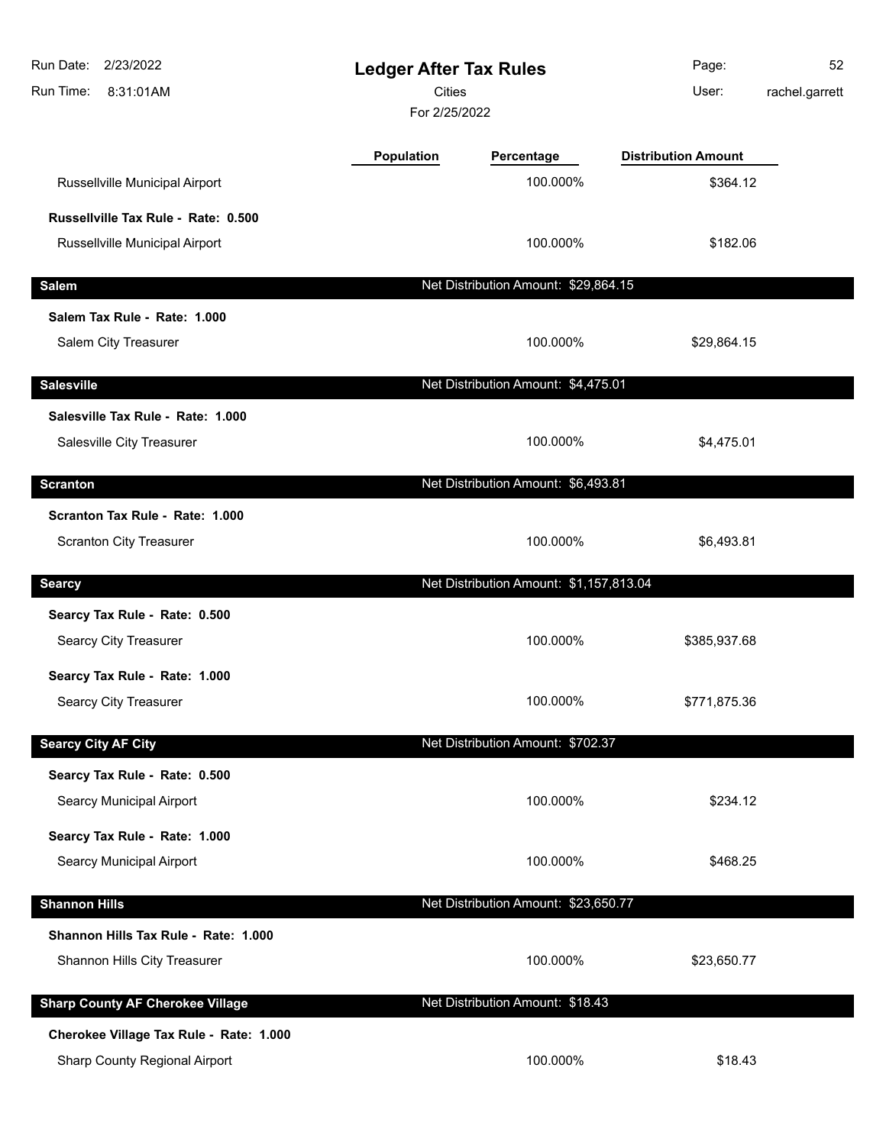| 2/23/2022<br>Run Date:<br>Run Time:<br>8:31:01AM | <b>Ledger After Tax Rules</b><br><b>Cities</b><br>For 2/25/2022 |                                         | Page:<br>User:             | 52<br>rachel.garrett |
|--------------------------------------------------|-----------------------------------------------------------------|-----------------------------------------|----------------------------|----------------------|
|                                                  | Population                                                      | Percentage                              | <b>Distribution Amount</b> |                      |
| Russellville Municipal Airport                   |                                                                 | 100.000%                                | \$364.12                   |                      |
| Russellville Tax Rule - Rate: 0.500              |                                                                 |                                         |                            |                      |
| Russellville Municipal Airport                   |                                                                 | 100.000%                                | \$182.06                   |                      |
| <b>Salem</b>                                     |                                                                 | Net Distribution Amount: \$29,864.15    |                            |                      |
| Salem Tax Rule - Rate: 1.000                     |                                                                 |                                         |                            |                      |
| <b>Salem City Treasurer</b>                      |                                                                 | 100.000%                                | \$29,864.15                |                      |
| <b>Salesville</b>                                |                                                                 | Net Distribution Amount: \$4,475.01     |                            |                      |
| Salesville Tax Rule - Rate: 1.000                |                                                                 |                                         |                            |                      |
| Salesville City Treasurer                        |                                                                 | 100.000%                                | \$4,475.01                 |                      |
| <b>Scranton</b>                                  |                                                                 | Net Distribution Amount: \$6,493.81     |                            |                      |
| Scranton Tax Rule - Rate: 1.000                  |                                                                 |                                         |                            |                      |
| <b>Scranton City Treasurer</b>                   |                                                                 | 100.000%                                | \$6,493.81                 |                      |
| <b>Searcy</b>                                    |                                                                 | Net Distribution Amount: \$1,157,813.04 |                            |                      |
| Searcy Tax Rule - Rate: 0.500                    |                                                                 |                                         |                            |                      |
| Searcy City Treasurer                            |                                                                 | 100.000%                                | \$385,937.68               |                      |
| Searcy Tax Rule - Rate: 1.000                    |                                                                 |                                         |                            |                      |
| Searcy City Treasurer                            |                                                                 | 100.000%                                | \$771,875.36               |                      |
| <b>Searcy City AF City</b>                       |                                                                 | Net Distribution Amount: \$702.37       |                            |                      |
| Searcy Tax Rule - Rate: 0.500                    |                                                                 |                                         |                            |                      |
| <b>Searcy Municipal Airport</b>                  |                                                                 | 100.000%                                | \$234.12                   |                      |
| Searcy Tax Rule - Rate: 1.000                    |                                                                 |                                         |                            |                      |
| <b>Searcy Municipal Airport</b>                  |                                                                 | 100.000%                                | \$468.25                   |                      |
| <b>Shannon Hills</b>                             |                                                                 | Net Distribution Amount: \$23,650.77    |                            |                      |
| Shannon Hills Tax Rule - Rate: 1.000             |                                                                 |                                         |                            |                      |
| Shannon Hills City Treasurer                     |                                                                 | 100.000%                                | \$23,650.77                |                      |
| <b>Sharp County AF Cherokee Village</b>          |                                                                 | Net Distribution Amount: \$18.43        |                            |                      |
| Cherokee Village Tax Rule - Rate: 1.000          |                                                                 |                                         |                            |                      |
| Sharp County Regional Airport                    |                                                                 | 100.000%                                | \$18.43                    |                      |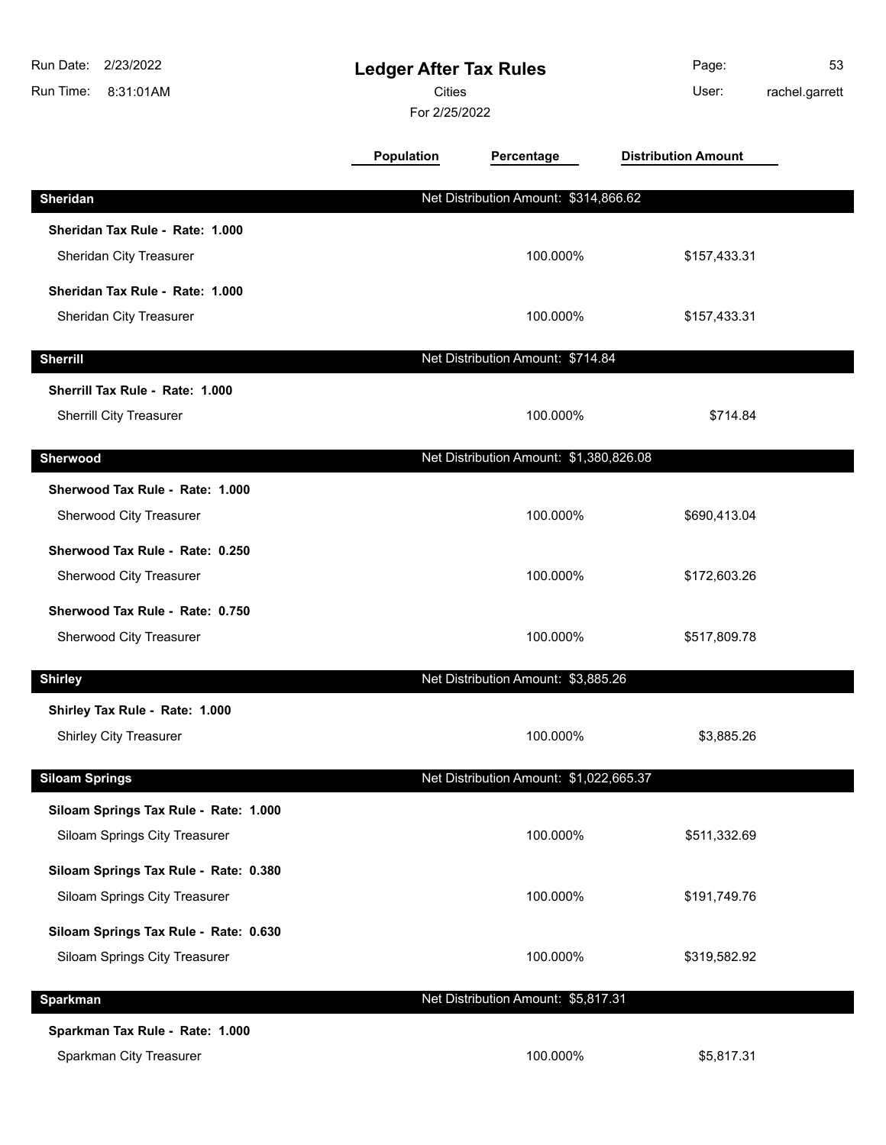| Run Date:<br>2/23/2022<br>Run Time:<br>8:31:01AM | <b>Ledger After Tax Rules</b><br><b>Cities</b><br>For 2/25/2022 |                                         | Page:<br>User:             | 53<br>rachel.garrett |
|--------------------------------------------------|-----------------------------------------------------------------|-----------------------------------------|----------------------------|----------------------|
|                                                  | <b>Population</b>                                               | Percentage                              | <b>Distribution Amount</b> |                      |
| Sheridan                                         |                                                                 | Net Distribution Amount: \$314,866.62   |                            |                      |
| Sheridan Tax Rule - Rate: 1.000                  |                                                                 |                                         |                            |                      |
| Sheridan City Treasurer                          |                                                                 | 100.000%                                | \$157,433.31               |                      |
| Sheridan Tax Rule - Rate: 1.000                  |                                                                 |                                         |                            |                      |
| Sheridan City Treasurer                          |                                                                 | 100.000%                                | \$157,433.31               |                      |
| <b>Sherrill</b>                                  |                                                                 | Net Distribution Amount: \$714.84       |                            |                      |
| Sherrill Tax Rule - Rate: 1.000                  |                                                                 |                                         |                            |                      |
| <b>Sherrill City Treasurer</b>                   |                                                                 | 100.000%                                | \$714.84                   |                      |
| Sherwood                                         |                                                                 | Net Distribution Amount: \$1,380,826.08 |                            |                      |
| Sherwood Tax Rule - Rate: 1.000                  |                                                                 |                                         |                            |                      |
| Sherwood City Treasurer                          |                                                                 | 100.000%                                | \$690,413.04               |                      |
| Sherwood Tax Rule - Rate: 0.250                  |                                                                 |                                         |                            |                      |
| Sherwood City Treasurer                          |                                                                 | 100.000%                                | \$172,603.26               |                      |
| Sherwood Tax Rule - Rate: 0.750                  |                                                                 |                                         |                            |                      |
| Sherwood City Treasurer                          |                                                                 | 100.000%                                | \$517,809.78               |                      |
| <b>Shirley</b>                                   |                                                                 | Net Distribution Amount: \$3,885.26     |                            |                      |
| Shirley Tax Rule - Rate: 1.000                   |                                                                 |                                         |                            |                      |
| <b>Shirley City Treasurer</b>                    |                                                                 | 100.000%                                | \$3,885.26                 |                      |
| <b>Siloam Springs</b>                            |                                                                 | Net Distribution Amount: \$1,022,665.37 |                            |                      |
| Siloam Springs Tax Rule - Rate: 1.000            |                                                                 |                                         |                            |                      |
| Siloam Springs City Treasurer                    |                                                                 | 100.000%                                | \$511,332.69               |                      |
| Siloam Springs Tax Rule - Rate: 0.380            |                                                                 |                                         |                            |                      |
| Siloam Springs City Treasurer                    |                                                                 | 100.000%                                | \$191,749.76               |                      |
| Siloam Springs Tax Rule - Rate: 0.630            |                                                                 |                                         |                            |                      |
| Siloam Springs City Treasurer                    |                                                                 | 100.000%                                | \$319,582.92               |                      |
| <b>Sparkman</b>                                  |                                                                 | Net Distribution Amount: \$5,817.31     |                            |                      |
| Sparkman Tax Rule - Rate: 1.000                  |                                                                 |                                         |                            |                      |
| Sparkman City Treasurer                          |                                                                 | 100.000%                                | \$5,817.31                 |                      |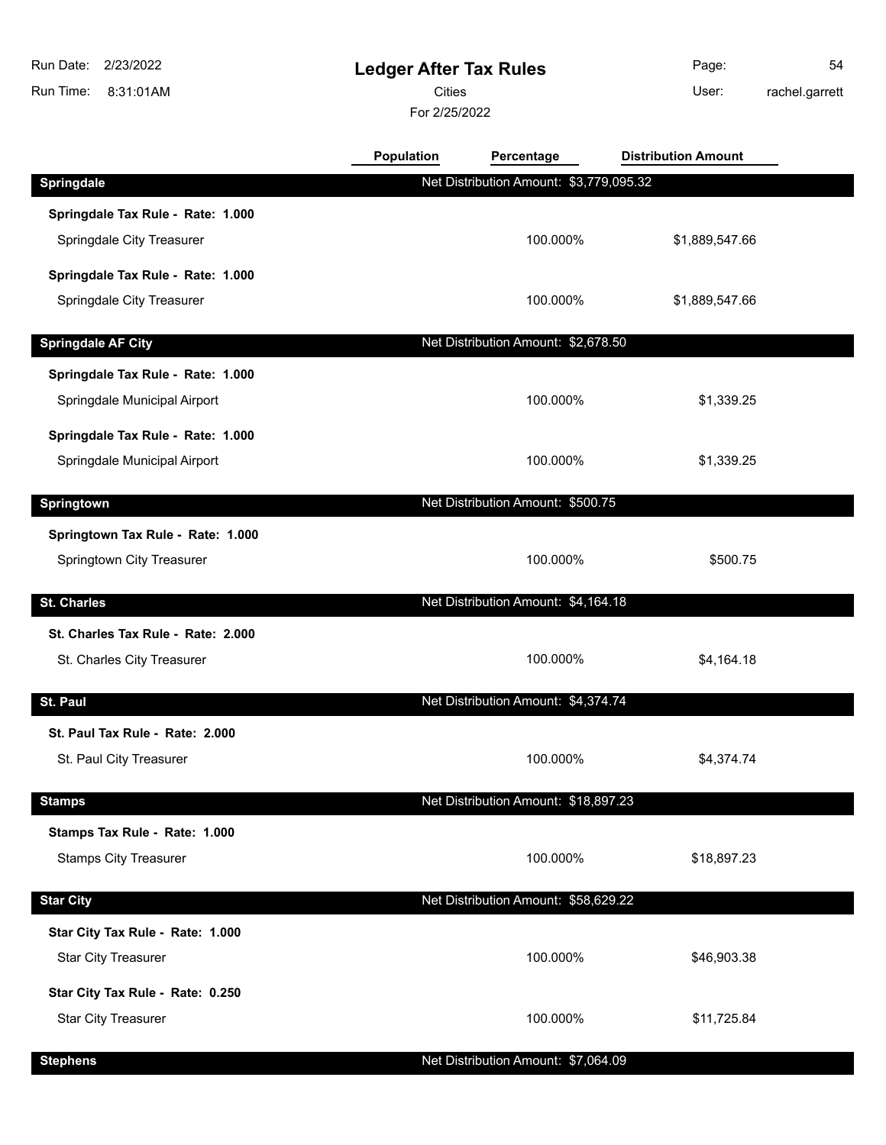8:31:01AM Run Time: Run Date: 2/23/2022

## **Ledger After Tax Rules**

Cities User:

For 2/25/2022

Page: 54

rachel.garrett

|                                    | <b>Population</b> | Percentage                              | <b>Distribution Amount</b> |
|------------------------------------|-------------------|-----------------------------------------|----------------------------|
| <b>Springdale</b>                  |                   | Net Distribution Amount: \$3,779,095.32 |                            |
| Springdale Tax Rule - Rate: 1.000  |                   |                                         |                            |
| Springdale City Treasurer          |                   | 100.000%                                | \$1,889,547.66             |
| Springdale Tax Rule - Rate: 1.000  |                   |                                         |                            |
| Springdale City Treasurer          |                   | 100.000%                                | \$1,889,547.66             |
|                                    |                   |                                         |                            |
| <b>Springdale AF City</b>          |                   | Net Distribution Amount: \$2,678.50     |                            |
| Springdale Tax Rule - Rate: 1.000  |                   |                                         |                            |
| Springdale Municipal Airport       |                   | 100.000%                                | \$1,339.25                 |
| Springdale Tax Rule - Rate: 1.000  |                   |                                         |                            |
| Springdale Municipal Airport       |                   | 100.000%                                | \$1,339.25                 |
| <b>Springtown</b>                  |                   | Net Distribution Amount: \$500.75       |                            |
|                                    |                   |                                         |                            |
| Springtown Tax Rule - Rate: 1.000  |                   |                                         |                            |
| Springtown City Treasurer          |                   | 100.000%                                | \$500.75                   |
| <b>St. Charles</b>                 |                   | Net Distribution Amount: \$4,164.18     |                            |
| St. Charles Tax Rule - Rate: 2.000 |                   |                                         |                            |
| St. Charles City Treasurer         |                   | 100.000%                                | \$4,164.18                 |
|                                    |                   |                                         |                            |
| St. Paul                           |                   | Net Distribution Amount: \$4,374.74     |                            |
| St. Paul Tax Rule - Rate: 2.000    |                   |                                         |                            |
| St. Paul City Treasurer            |                   | 100.000%                                | \$4,374.74                 |
|                                    |                   |                                         |                            |
| <b>Stamps</b>                      |                   | Net Distribution Amount: \$18,897.23    |                            |

**Stamps Tax Rule - Rate: 1.000**

Stamps City Treasurer **100.000%** \$18,897.23

**Star City Net Distribution Amount: \$58,629.22 Star City Tax Rule - Rate: 1.000** Star City Treasurer **100.000%** \$46,903.38 **Star City Tax Rule - Rate: 0.250** Star City Treasurer **100.000%** \$11,725.84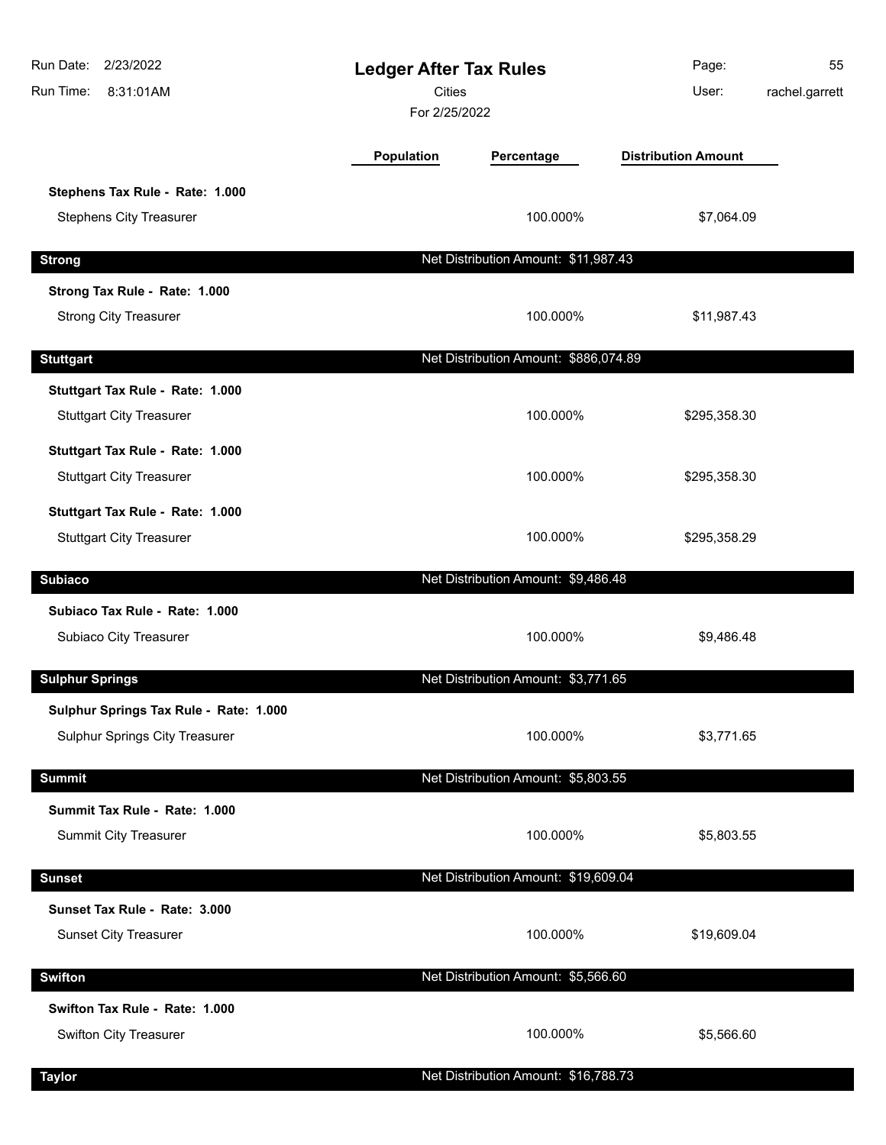| 2/23/2022<br>Run Date:<br>Run Time:<br>8:31:01AM | <b>Ledger After Tax Rules</b><br><b>Cities</b><br>For 2/25/2022 |                                       | Page:<br>User:             | 55<br>rachel.garrett |
|--------------------------------------------------|-----------------------------------------------------------------|---------------------------------------|----------------------------|----------------------|
|                                                  | Population                                                      | Percentage                            | <b>Distribution Amount</b> |                      |
| Stephens Tax Rule - Rate: 1.000                  |                                                                 |                                       |                            |                      |
| <b>Stephens City Treasurer</b>                   |                                                                 | 100.000%                              | \$7,064.09                 |                      |
| <b>Strong</b>                                    |                                                                 | Net Distribution Amount: \$11,987.43  |                            |                      |
| Strong Tax Rule - Rate: 1.000                    |                                                                 |                                       |                            |                      |
| <b>Strong City Treasurer</b>                     |                                                                 | 100.000%                              | \$11,987.43                |                      |
| <b>Stuttgart</b>                                 |                                                                 | Net Distribution Amount: \$886,074.89 |                            |                      |
| Stuttgart Tax Rule - Rate: 1.000                 |                                                                 |                                       |                            |                      |
| <b>Stuttgart City Treasurer</b>                  |                                                                 | 100.000%                              | \$295,358.30               |                      |
| Stuttgart Tax Rule - Rate: 1.000                 |                                                                 |                                       |                            |                      |
| <b>Stuttgart City Treasurer</b>                  |                                                                 | 100.000%                              | \$295,358.30               |                      |
| Stuttgart Tax Rule - Rate: 1.000                 |                                                                 |                                       |                            |                      |
| <b>Stuttgart City Treasurer</b>                  |                                                                 | 100.000%                              | \$295,358.29               |                      |
| <b>Subiaco</b>                                   |                                                                 | Net Distribution Amount: \$9,486.48   |                            |                      |
| Subiaco Tax Rule - Rate: 1.000                   |                                                                 |                                       |                            |                      |
| Subiaco City Treasurer                           |                                                                 | 100.000%                              | \$9,486.48                 |                      |
| <b>Sulphur Springs</b>                           |                                                                 | Net Distribution Amount: \$3,771.65   |                            |                      |
| Sulphur Springs Tax Rule - Rate: 1.000           |                                                                 |                                       |                            |                      |
| Sulphur Springs City Treasurer                   |                                                                 | 100.000%                              | \$3,771.65                 |                      |
| <b>Summit</b>                                    |                                                                 | Net Distribution Amount: \$5,803.55   |                            |                      |
| Summit Tax Rule - Rate: 1.000                    |                                                                 |                                       |                            |                      |
| <b>Summit City Treasurer</b>                     |                                                                 | 100.000%                              | \$5,803.55                 |                      |
| <b>Sunset</b>                                    |                                                                 | Net Distribution Amount: \$19,609.04  |                            |                      |
| Sunset Tax Rule - Rate: 3.000                    |                                                                 |                                       |                            |                      |
| <b>Sunset City Treasurer</b>                     |                                                                 | 100.000%                              | \$19,609.04                |                      |
| <b>Swifton</b>                                   |                                                                 | Net Distribution Amount: \$5,566.60   |                            |                      |
| Swifton Tax Rule - Rate: 1.000                   |                                                                 |                                       |                            |                      |
| Swifton City Treasurer                           |                                                                 | 100.000%                              | \$5,566.60                 |                      |
| <b>Taylor</b>                                    |                                                                 | Net Distribution Amount: \$16,788.73  |                            |                      |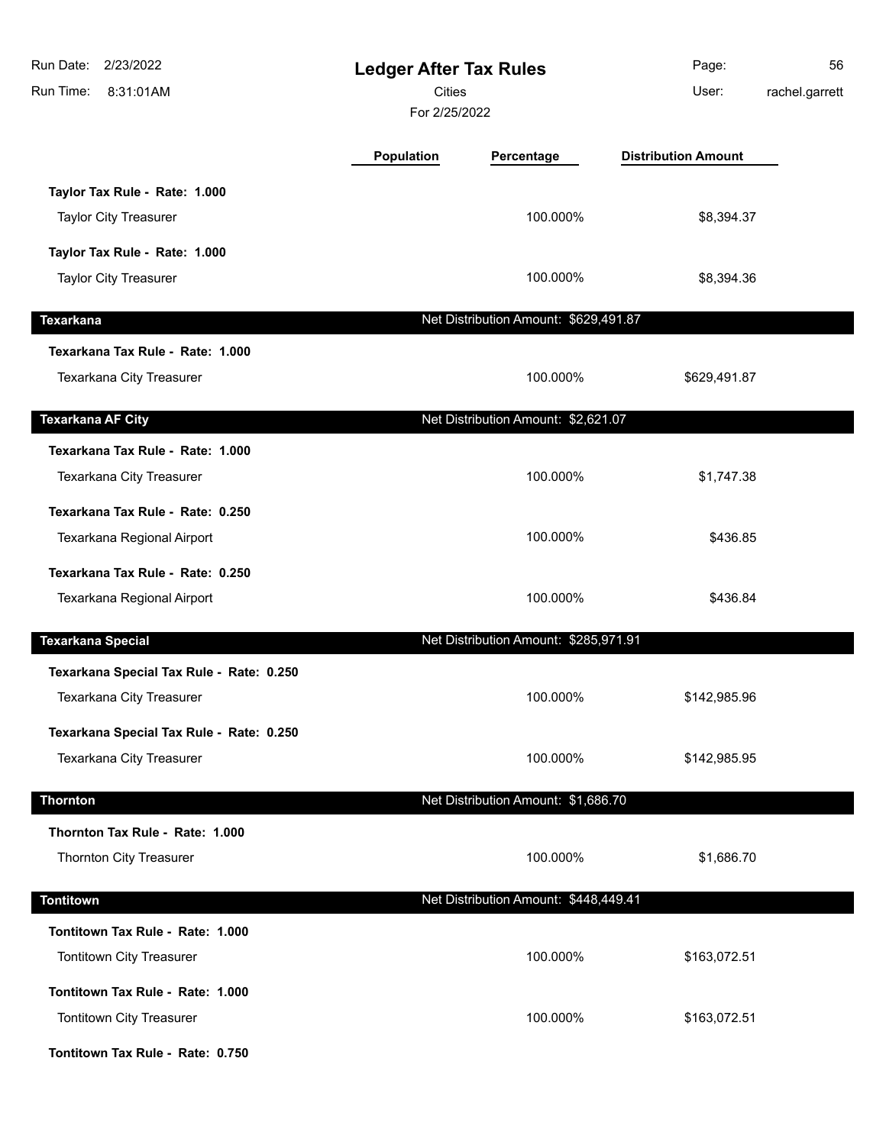| Run Date: 2/23/2022<br>Run Time:<br>8:31:01AM                        | <b>Ledger After Tax Rules</b><br><b>Cities</b><br>For 2/25/2022 |                                       | Page:<br>User:             | 56<br>rachel.garrett |
|----------------------------------------------------------------------|-----------------------------------------------------------------|---------------------------------------|----------------------------|----------------------|
|                                                                      | Population                                                      | Percentage                            | <b>Distribution Amount</b> |                      |
| Taylor Tax Rule - Rate: 1.000<br><b>Taylor City Treasurer</b>        |                                                                 | 100.000%                              | \$8,394.37                 |                      |
| Taylor Tax Rule - Rate: 1.000<br><b>Taylor City Treasurer</b>        |                                                                 | 100.000%                              | \$8,394.36                 |                      |
| <b>Texarkana</b>                                                     |                                                                 | Net Distribution Amount: \$629,491.87 |                            |                      |
| Texarkana Tax Rule - Rate: 1.000<br>Texarkana City Treasurer         |                                                                 | 100.000%                              | \$629,491.87               |                      |
| <b>Texarkana AF City</b>                                             |                                                                 | Net Distribution Amount: \$2,621.07   |                            |                      |
| Texarkana Tax Rule - Rate: 1.000<br>Texarkana City Treasurer         |                                                                 | 100.000%                              | \$1,747.38                 |                      |
| Texarkana Tax Rule - Rate: 0.250<br>Texarkana Regional Airport       |                                                                 | 100.000%                              | \$436.85                   |                      |
| Texarkana Tax Rule - Rate: 0.250<br>Texarkana Regional Airport       |                                                                 | 100.000%                              | \$436.84                   |                      |
| <b>Texarkana Special</b>                                             |                                                                 | Net Distribution Amount: \$285,971.91 |                            |                      |
| Texarkana Special Tax Rule - Rate: 0.250<br>Texarkana City Treasurer |                                                                 | 100.000%                              | \$142,985.96               |                      |
| Texarkana Special Tax Rule - Rate: 0.250<br>Texarkana City Treasurer |                                                                 | 100.000%                              | \$142,985.95               |                      |
| <b>Thornton</b>                                                      |                                                                 | Net Distribution Amount: \$1,686.70   |                            |                      |
| Thornton Tax Rule - Rate: 1.000<br>Thornton City Treasurer           |                                                                 | 100.000%                              | \$1,686.70                 |                      |
| <b>Tontitown</b>                                                     |                                                                 | Net Distribution Amount: \$448,449.41 |                            |                      |
| Tontitown Tax Rule - Rate: 1.000<br>Tontitown City Treasurer         |                                                                 | 100.000%                              | \$163,072.51               |                      |
| Tontitown Tax Rule - Rate: 1.000<br>Tontitown City Treasurer         |                                                                 | 100.000%                              | \$163,072.51               |                      |
| Tontitown Tax Rule - Rate: 0.750                                     |                                                                 |                                       |                            |                      |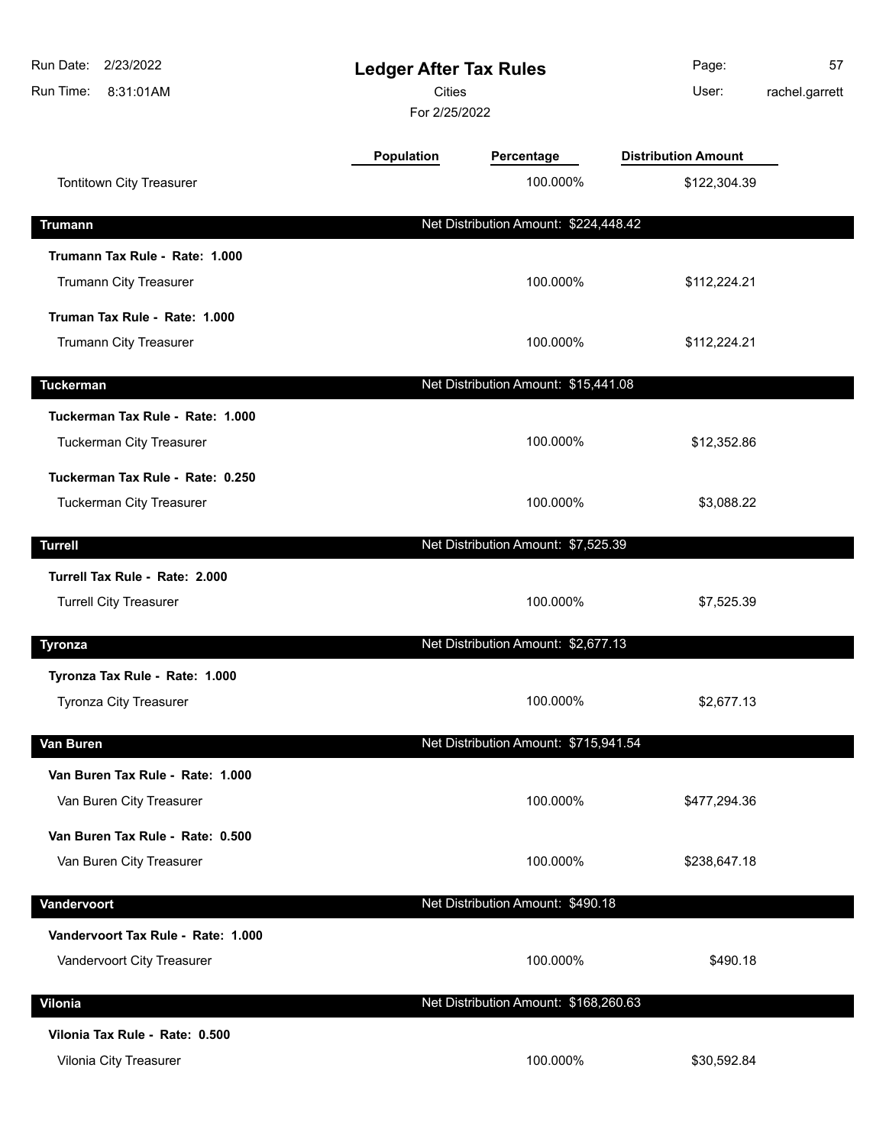| Run Date: 2/23/2022<br>8:31:01AM<br>Run Time:            | <b>Ledger After Tax Rules</b><br><b>Cities</b><br>For 2/25/2022 |                                       | Page:<br>User:             | 57<br>rachel.garrett |
|----------------------------------------------------------|-----------------------------------------------------------------|---------------------------------------|----------------------------|----------------------|
|                                                          | <b>Population</b>                                               | Percentage                            | <b>Distribution Amount</b> |                      |
| Tontitown City Treasurer                                 |                                                                 | 100.000%                              | \$122,304.39               |                      |
| <b>Trumann</b>                                           |                                                                 | Net Distribution Amount: \$224,448.42 |                            |                      |
| Trumann Tax Rule - Rate: 1.000                           |                                                                 |                                       |                            |                      |
| Trumann City Treasurer                                   |                                                                 | 100.000%                              | \$112,224.21               |                      |
| Truman Tax Rule - Rate: 1.000                            |                                                                 |                                       |                            |                      |
| Trumann City Treasurer                                   |                                                                 | 100.000%                              | \$112,224.21               |                      |
| <b>Tuckerman</b>                                         |                                                                 | Net Distribution Amount: \$15,441.08  |                            |                      |
| Tuckerman Tax Rule - Rate: 1.000                         |                                                                 |                                       |                            |                      |
| Tuckerman City Treasurer                                 |                                                                 | 100.000%                              | \$12,352.86                |                      |
| Tuckerman Tax Rule - Rate: 0.250                         |                                                                 |                                       |                            |                      |
| <b>Tuckerman City Treasurer</b>                          |                                                                 | 100.000%                              | \$3,088.22                 |                      |
| <b>Turrell</b>                                           |                                                                 | Net Distribution Amount: \$7,525.39   |                            |                      |
| Turrell Tax Rule - Rate: 2.000                           |                                                                 |                                       |                            |                      |
| <b>Turrell City Treasurer</b>                            |                                                                 | 100.000%                              | \$7,525.39                 |                      |
|                                                          |                                                                 |                                       |                            |                      |
| <b>Tyronza</b>                                           |                                                                 | Net Distribution Amount: \$2,677.13   |                            |                      |
| Tyronza Tax Rule - Rate: 1.000<br>Tyronza City Treasurer |                                                                 | 100.000%                              | \$2,677.13                 |                      |
|                                                          |                                                                 |                                       |                            |                      |
| Van Buren                                                |                                                                 | Net Distribution Amount: \$715,941.54 |                            |                      |
| Van Buren Tax Rule - Rate: 1.000                         |                                                                 |                                       |                            |                      |
| Van Buren City Treasurer                                 |                                                                 | 100.000%                              | \$477,294.36               |                      |
| Van Buren Tax Rule - Rate: 0.500                         |                                                                 |                                       |                            |                      |
| Van Buren City Treasurer                                 |                                                                 | 100.000%                              | \$238,647.18               |                      |
| Vandervoort                                              |                                                                 | Net Distribution Amount: \$490.18     |                            |                      |
| Vandervoort Tax Rule - Rate: 1.000                       |                                                                 |                                       |                            |                      |
| Vandervoort City Treasurer                               |                                                                 | 100.000%                              | \$490.18                   |                      |
| Vilonia                                                  |                                                                 | Net Distribution Amount: \$168,260.63 |                            |                      |
| Vilonia Tax Rule - Rate: 0.500                           |                                                                 |                                       |                            |                      |
| Vilonia City Treasurer                                   |                                                                 | 100.000%                              | \$30,592.84                |                      |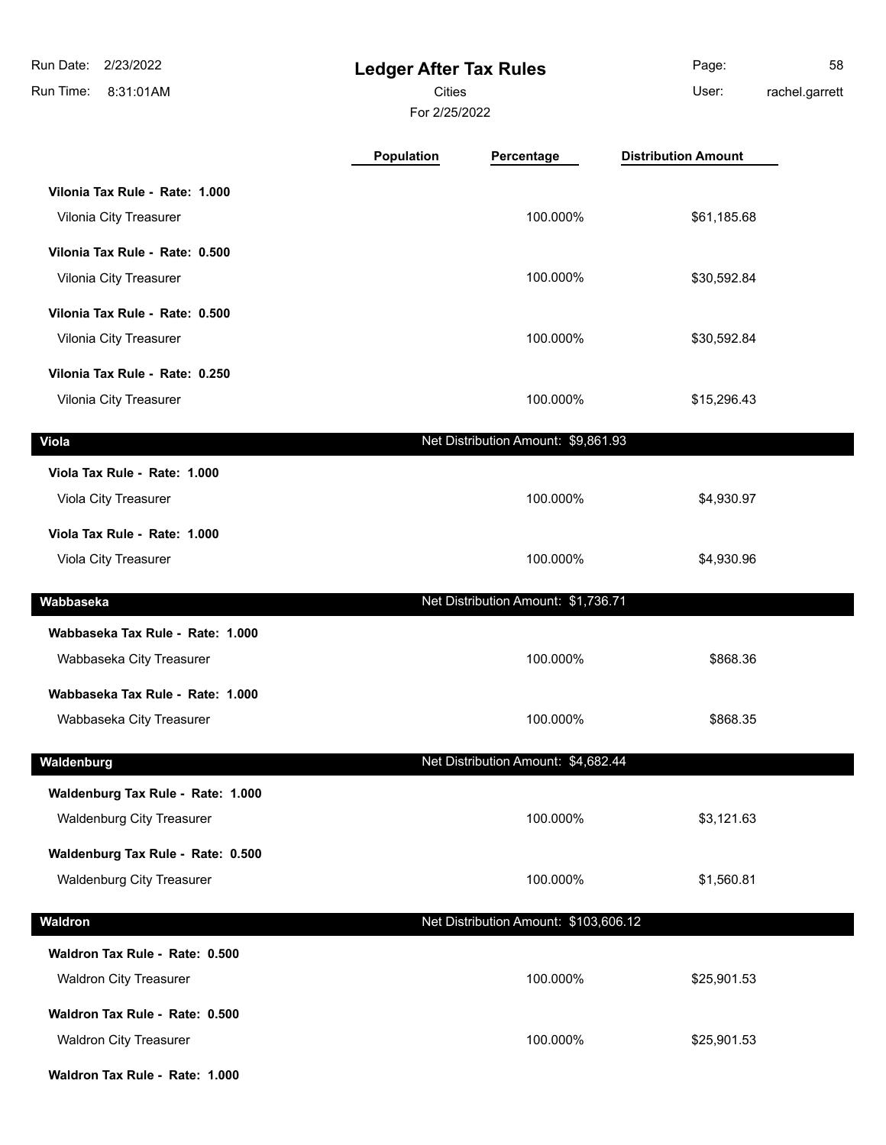| 2/23/2022<br>Run Date:            | <b>Ledger After Tax Rules</b> |                                       | Page:                      | 58             |
|-----------------------------------|-------------------------------|---------------------------------------|----------------------------|----------------|
| Run Time:<br>8:31:01AM            | <b>Cities</b>                 |                                       | User:                      | rachel.garrett |
|                                   | For 2/25/2022                 |                                       |                            |                |
|                                   | Population                    | Percentage                            | <b>Distribution Amount</b> |                |
| Vilonia Tax Rule - Rate: 1.000    |                               |                                       |                            |                |
| Vilonia City Treasurer            |                               | 100.000%                              | \$61,185.68                |                |
| Vilonia Tax Rule - Rate: 0.500    |                               |                                       |                            |                |
| Vilonia City Treasurer            |                               | 100.000%                              | \$30,592.84                |                |
| Vilonia Tax Rule - Rate: 0.500    |                               |                                       |                            |                |
| Vilonia City Treasurer            |                               | 100.000%                              | \$30,592.84                |                |
| Vilonia Tax Rule - Rate: 0.250    |                               |                                       |                            |                |
| Vilonia City Treasurer            |                               | 100.000%                              | \$15,296.43                |                |
| <b>Viola</b>                      |                               | Net Distribution Amount: \$9,861.93   |                            |                |
| Viola Tax Rule - Rate: 1.000      |                               |                                       |                            |                |
| Viola City Treasurer              |                               | 100.000%                              | \$4,930.97                 |                |
| Viola Tax Rule - Rate: 1.000      |                               |                                       |                            |                |
| Viola City Treasurer              |                               | 100.000%                              | \$4,930.96                 |                |
| Wabbaseka                         |                               | Net Distribution Amount: \$1,736.71   |                            |                |
| Wabbaseka Tax Rule - Rate: 1.000  |                               |                                       |                            |                |
| Wabbaseka City Treasurer          |                               | 100.000%                              | \$868.36                   |                |
| Wabbaseka Tax Rule - Rate: 1.000  |                               |                                       |                            |                |
| Wabbaseka City Treasurer          |                               | 100.000%                              | \$868.35                   |                |
| Waldenburg                        |                               | Net Distribution Amount: \$4,682.44   |                            |                |
| Waldenburg Tax Rule - Rate: 1.000 |                               |                                       |                            |                |
| <b>Waldenburg City Treasurer</b>  |                               | 100.000%                              | \$3,121.63                 |                |
| Waldenburg Tax Rule - Rate: 0.500 |                               |                                       |                            |                |
| <b>Waldenburg City Treasurer</b>  |                               | 100.000%                              | \$1,560.81                 |                |
| Waldron                           |                               | Net Distribution Amount: \$103,606.12 |                            |                |
| Waldron Tax Rule - Rate: 0.500    |                               |                                       |                            |                |
| <b>Waldron City Treasurer</b>     |                               | 100.000%                              | \$25,901.53                |                |
| Waldron Tax Rule - Rate: 0.500    |                               |                                       |                            |                |
| <b>Waldron City Treasurer</b>     |                               | 100.000%                              | \$25,901.53                |                |
| Waldron Tax Rule - Rate: 1.000    |                               |                                       |                            |                |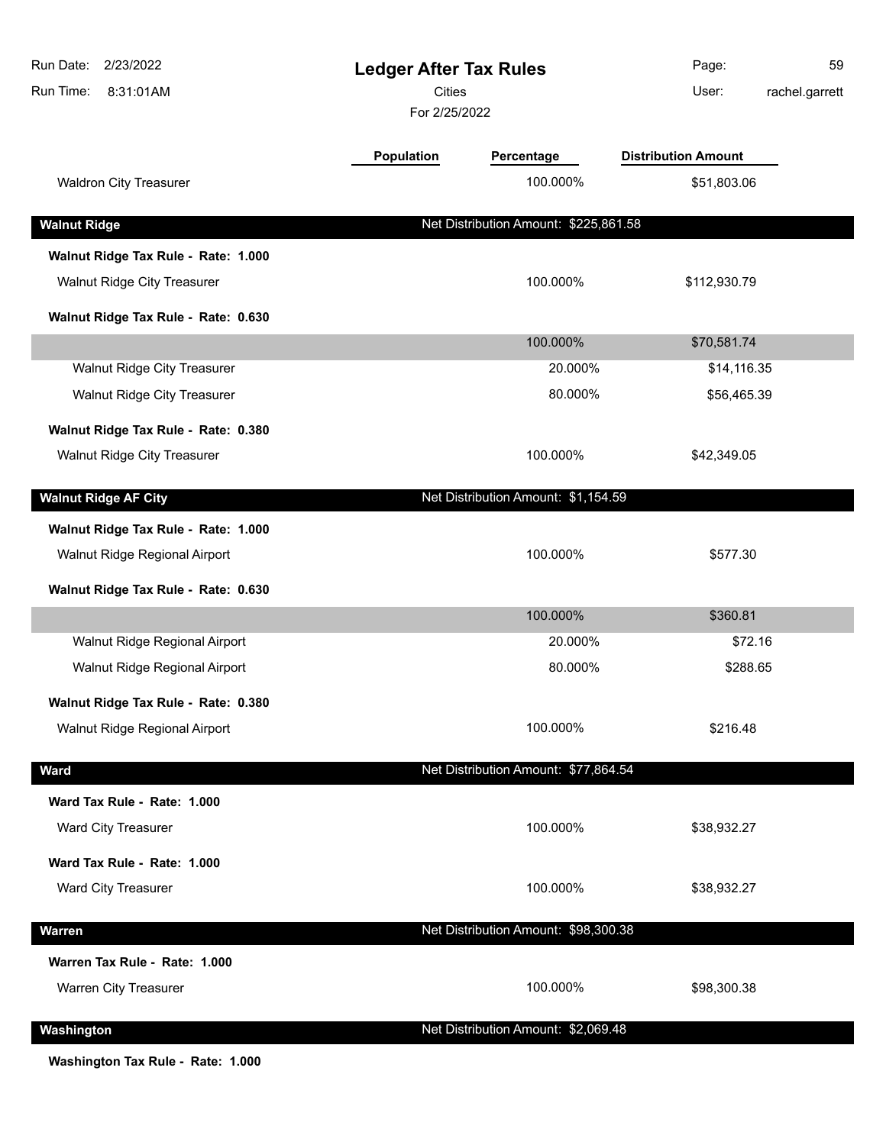| <b>Population</b><br><b>Distribution Amount</b><br>Percentage<br><b>Waldron City Treasurer</b><br>100.000%<br>\$51,803.06<br>Net Distribution Amount: \$225,861.58<br><b>Walnut Ridge</b><br>Walnut Ridge Tax Rule - Rate: 1.000<br>100.000%<br>Walnut Ridge City Treasurer<br>\$112,930.79<br>Walnut Ridge Tax Rule - Rate: 0.630<br>100.000%<br>\$70,581.74<br>Walnut Ridge City Treasurer<br>20.000%<br>\$14,116.35<br>Walnut Ridge City Treasurer<br>80.000%<br>\$56,465.39<br>Walnut Ridge Tax Rule - Rate: 0.380<br>100.000%<br>Walnut Ridge City Treasurer<br>\$42,349.05<br>Net Distribution Amount: \$1,154.59<br>Walnut Ridge Tax Rule - Rate: 1.000<br>100.000%<br>Walnut Ridge Regional Airport<br>\$577.30<br>Walnut Ridge Tax Rule - Rate: 0.630<br>100.000%<br>\$360.81<br>Walnut Ridge Regional Airport<br>20.000%<br>\$72.16<br>Walnut Ridge Regional Airport<br>80.000%<br>\$288.65<br>Walnut Ridge Tax Rule - Rate: 0.380<br>100.000%<br>Walnut Ridge Regional Airport<br>\$216.48<br>Net Distribution Amount: \$77,864.54<br>Ward<br>Ward Tax Rule - Rate: 1.000<br>Ward City Treasurer<br>100.000%<br>\$38,932.27<br>Ward Tax Rule - Rate: 1.000<br>Ward City Treasurer<br>100.000%<br>\$38,932.27<br>Net Distribution Amount: \$98,300.38<br><b>Warren</b><br>Warren Tax Rule - Rate: 1.000<br>100.000%<br>Warren City Treasurer<br>\$98,300.38<br>Net Distribution Amount: \$2,069.48<br>Washington | Run Date: 2/23/2022<br>Run Time:<br>8:31:01AM | <b>Ledger After Tax Rules</b><br><b>Cities</b><br>For 2/25/2022 |  | Page:<br>59<br>User:<br>rachel.garrett |
|----------------------------------------------------------------------------------------------------------------------------------------------------------------------------------------------------------------------------------------------------------------------------------------------------------------------------------------------------------------------------------------------------------------------------------------------------------------------------------------------------------------------------------------------------------------------------------------------------------------------------------------------------------------------------------------------------------------------------------------------------------------------------------------------------------------------------------------------------------------------------------------------------------------------------------------------------------------------------------------------------------------------------------------------------------------------------------------------------------------------------------------------------------------------------------------------------------------------------------------------------------------------------------------------------------------------------------------------------------------------------------------------------------------------------|-----------------------------------------------|-----------------------------------------------------------------|--|----------------------------------------|
|                                                                                                                                                                                                                                                                                                                                                                                                                                                                                                                                                                                                                                                                                                                                                                                                                                                                                                                                                                                                                                                                                                                                                                                                                                                                                                                                                                                                                            |                                               |                                                                 |  |                                        |
|                                                                                                                                                                                                                                                                                                                                                                                                                                                                                                                                                                                                                                                                                                                                                                                                                                                                                                                                                                                                                                                                                                                                                                                                                                                                                                                                                                                                                            |                                               |                                                                 |  |                                        |
|                                                                                                                                                                                                                                                                                                                                                                                                                                                                                                                                                                                                                                                                                                                                                                                                                                                                                                                                                                                                                                                                                                                                                                                                                                                                                                                                                                                                                            |                                               |                                                                 |  |                                        |
|                                                                                                                                                                                                                                                                                                                                                                                                                                                                                                                                                                                                                                                                                                                                                                                                                                                                                                                                                                                                                                                                                                                                                                                                                                                                                                                                                                                                                            |                                               |                                                                 |  |                                        |
|                                                                                                                                                                                                                                                                                                                                                                                                                                                                                                                                                                                                                                                                                                                                                                                                                                                                                                                                                                                                                                                                                                                                                                                                                                                                                                                                                                                                                            |                                               |                                                                 |  |                                        |
|                                                                                                                                                                                                                                                                                                                                                                                                                                                                                                                                                                                                                                                                                                                                                                                                                                                                                                                                                                                                                                                                                                                                                                                                                                                                                                                                                                                                                            |                                               |                                                                 |  |                                        |
|                                                                                                                                                                                                                                                                                                                                                                                                                                                                                                                                                                                                                                                                                                                                                                                                                                                                                                                                                                                                                                                                                                                                                                                                                                                                                                                                                                                                                            |                                               |                                                                 |  |                                        |
|                                                                                                                                                                                                                                                                                                                                                                                                                                                                                                                                                                                                                                                                                                                                                                                                                                                                                                                                                                                                                                                                                                                                                                                                                                                                                                                                                                                                                            |                                               |                                                                 |  |                                        |
|                                                                                                                                                                                                                                                                                                                                                                                                                                                                                                                                                                                                                                                                                                                                                                                                                                                                                                                                                                                                                                                                                                                                                                                                                                                                                                                                                                                                                            |                                               |                                                                 |  |                                        |
|                                                                                                                                                                                                                                                                                                                                                                                                                                                                                                                                                                                                                                                                                                                                                                                                                                                                                                                                                                                                                                                                                                                                                                                                                                                                                                                                                                                                                            |                                               |                                                                 |  |                                        |
|                                                                                                                                                                                                                                                                                                                                                                                                                                                                                                                                                                                                                                                                                                                                                                                                                                                                                                                                                                                                                                                                                                                                                                                                                                                                                                                                                                                                                            |                                               |                                                                 |  |                                        |
|                                                                                                                                                                                                                                                                                                                                                                                                                                                                                                                                                                                                                                                                                                                                                                                                                                                                                                                                                                                                                                                                                                                                                                                                                                                                                                                                                                                                                            | <b>Walnut Ridge AF City</b>                   |                                                                 |  |                                        |
|                                                                                                                                                                                                                                                                                                                                                                                                                                                                                                                                                                                                                                                                                                                                                                                                                                                                                                                                                                                                                                                                                                                                                                                                                                                                                                                                                                                                                            |                                               |                                                                 |  |                                        |
|                                                                                                                                                                                                                                                                                                                                                                                                                                                                                                                                                                                                                                                                                                                                                                                                                                                                                                                                                                                                                                                                                                                                                                                                                                                                                                                                                                                                                            |                                               |                                                                 |  |                                        |
|                                                                                                                                                                                                                                                                                                                                                                                                                                                                                                                                                                                                                                                                                                                                                                                                                                                                                                                                                                                                                                                                                                                                                                                                                                                                                                                                                                                                                            |                                               |                                                                 |  |                                        |
|                                                                                                                                                                                                                                                                                                                                                                                                                                                                                                                                                                                                                                                                                                                                                                                                                                                                                                                                                                                                                                                                                                                                                                                                                                                                                                                                                                                                                            |                                               |                                                                 |  |                                        |
|                                                                                                                                                                                                                                                                                                                                                                                                                                                                                                                                                                                                                                                                                                                                                                                                                                                                                                                                                                                                                                                                                                                                                                                                                                                                                                                                                                                                                            |                                               |                                                                 |  |                                        |
|                                                                                                                                                                                                                                                                                                                                                                                                                                                                                                                                                                                                                                                                                                                                                                                                                                                                                                                                                                                                                                                                                                                                                                                                                                                                                                                                                                                                                            |                                               |                                                                 |  |                                        |
|                                                                                                                                                                                                                                                                                                                                                                                                                                                                                                                                                                                                                                                                                                                                                                                                                                                                                                                                                                                                                                                                                                                                                                                                                                                                                                                                                                                                                            |                                               |                                                                 |  |                                        |
|                                                                                                                                                                                                                                                                                                                                                                                                                                                                                                                                                                                                                                                                                                                                                                                                                                                                                                                                                                                                                                                                                                                                                                                                                                                                                                                                                                                                                            |                                               |                                                                 |  |                                        |
|                                                                                                                                                                                                                                                                                                                                                                                                                                                                                                                                                                                                                                                                                                                                                                                                                                                                                                                                                                                                                                                                                                                                                                                                                                                                                                                                                                                                                            |                                               |                                                                 |  |                                        |
|                                                                                                                                                                                                                                                                                                                                                                                                                                                                                                                                                                                                                                                                                                                                                                                                                                                                                                                                                                                                                                                                                                                                                                                                                                                                                                                                                                                                                            |                                               |                                                                 |  |                                        |
|                                                                                                                                                                                                                                                                                                                                                                                                                                                                                                                                                                                                                                                                                                                                                                                                                                                                                                                                                                                                                                                                                                                                                                                                                                                                                                                                                                                                                            |                                               |                                                                 |  |                                        |
|                                                                                                                                                                                                                                                                                                                                                                                                                                                                                                                                                                                                                                                                                                                                                                                                                                                                                                                                                                                                                                                                                                                                                                                                                                                                                                                                                                                                                            |                                               |                                                                 |  |                                        |
|                                                                                                                                                                                                                                                                                                                                                                                                                                                                                                                                                                                                                                                                                                                                                                                                                                                                                                                                                                                                                                                                                                                                                                                                                                                                                                                                                                                                                            |                                               |                                                                 |  |                                        |
|                                                                                                                                                                                                                                                                                                                                                                                                                                                                                                                                                                                                                                                                                                                                                                                                                                                                                                                                                                                                                                                                                                                                                                                                                                                                                                                                                                                                                            |                                               |                                                                 |  |                                        |
|                                                                                                                                                                                                                                                                                                                                                                                                                                                                                                                                                                                                                                                                                                                                                                                                                                                                                                                                                                                                                                                                                                                                                                                                                                                                                                                                                                                                                            |                                               |                                                                 |  |                                        |
|                                                                                                                                                                                                                                                                                                                                                                                                                                                                                                                                                                                                                                                                                                                                                                                                                                                                                                                                                                                                                                                                                                                                                                                                                                                                                                                                                                                                                            |                                               |                                                                 |  |                                        |
|                                                                                                                                                                                                                                                                                                                                                                                                                                                                                                                                                                                                                                                                                                                                                                                                                                                                                                                                                                                                                                                                                                                                                                                                                                                                                                                                                                                                                            |                                               |                                                                 |  |                                        |

**Washington Tax Rule - Rate: 1.000**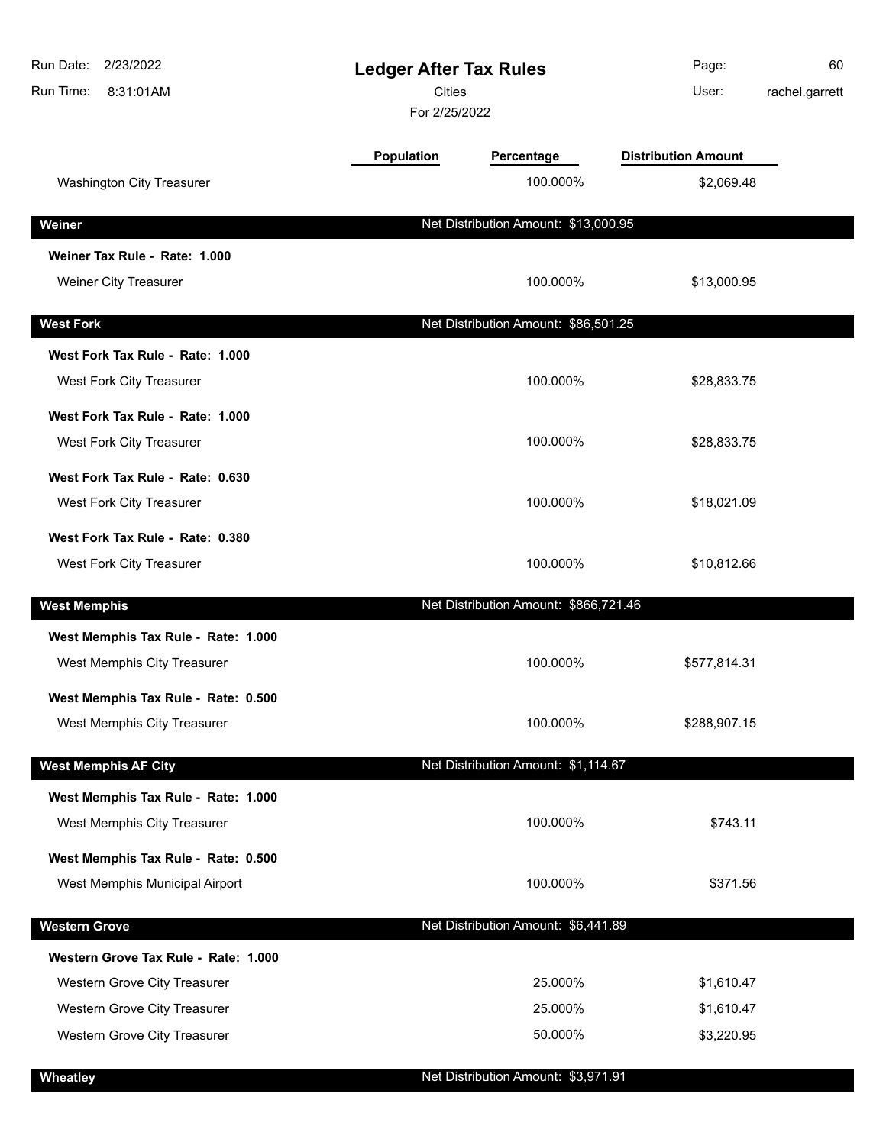| Run Date:<br>2/23/2022<br>Run Time:<br>8:31:01AM | <b>Ledger After Tax Rules</b><br><b>Cities</b><br>For 2/25/2022 |                                       | Page:<br>User:             | 60<br>rachel.garrett |
|--------------------------------------------------|-----------------------------------------------------------------|---------------------------------------|----------------------------|----------------------|
|                                                  | <b>Population</b>                                               | Percentage                            | <b>Distribution Amount</b> |                      |
| <b>Washington City Treasurer</b>                 |                                                                 | 100.000%                              | \$2,069.48                 |                      |
| Weiner                                           |                                                                 | Net Distribution Amount: \$13,000.95  |                            |                      |
| Weiner Tax Rule - Rate: 1.000                    |                                                                 |                                       |                            |                      |
| Weiner City Treasurer                            |                                                                 | 100.000%                              | \$13,000.95                |                      |
| <b>West Fork</b>                                 |                                                                 | Net Distribution Amount: \$86,501.25  |                            |                      |
| West Fork Tax Rule - Rate: 1.000                 |                                                                 |                                       |                            |                      |
| West Fork City Treasurer                         |                                                                 | 100.000%                              | \$28,833.75                |                      |
| West Fork Tax Rule - Rate: 1.000                 |                                                                 |                                       |                            |                      |
| West Fork City Treasurer                         |                                                                 | 100.000%                              | \$28,833.75                |                      |
| West Fork Tax Rule - Rate: 0.630                 |                                                                 |                                       |                            |                      |
| West Fork City Treasurer                         |                                                                 | 100.000%                              | \$18,021.09                |                      |
| West Fork Tax Rule - Rate: 0.380                 |                                                                 |                                       |                            |                      |
| West Fork City Treasurer                         |                                                                 | 100.000%                              | \$10,812.66                |                      |
| <b>West Memphis</b>                              |                                                                 | Net Distribution Amount: \$866,721.46 |                            |                      |
| West Memphis Tax Rule - Rate: 1.000              |                                                                 |                                       |                            |                      |
| West Memphis City Treasurer                      |                                                                 | 100.000%                              | \$577,814.31               |                      |
| West Memphis Tax Rule - Rate: 0.500              |                                                                 |                                       |                            |                      |
| West Memphis City Treasurer                      |                                                                 | 100.000%                              | \$288,907.15               |                      |
| <b>West Memphis AF City</b>                      |                                                                 | Net Distribution Amount: \$1,114.67   |                            |                      |
| West Memphis Tax Rule - Rate: 1.000              |                                                                 |                                       |                            |                      |
| West Memphis City Treasurer                      |                                                                 | 100.000%                              | \$743.11                   |                      |
| West Memphis Tax Rule - Rate: 0.500              |                                                                 |                                       |                            |                      |
| West Memphis Municipal Airport                   |                                                                 | 100.000%                              | \$371.56                   |                      |
| <b>Western Grove</b>                             |                                                                 | Net Distribution Amount: \$6,441.89   |                            |                      |
| Western Grove Tax Rule - Rate: 1.000             |                                                                 |                                       |                            |                      |
| Western Grove City Treasurer                     |                                                                 | 25.000%                               | \$1,610.47                 |                      |
| Western Grove City Treasurer                     |                                                                 | 25.000%                               | \$1,610.47                 |                      |
| Western Grove City Treasurer                     |                                                                 | 50.000%                               | \$3,220.95                 |                      |
| Wheatley                                         |                                                                 | Net Distribution Amount: \$3,971.91   |                            |                      |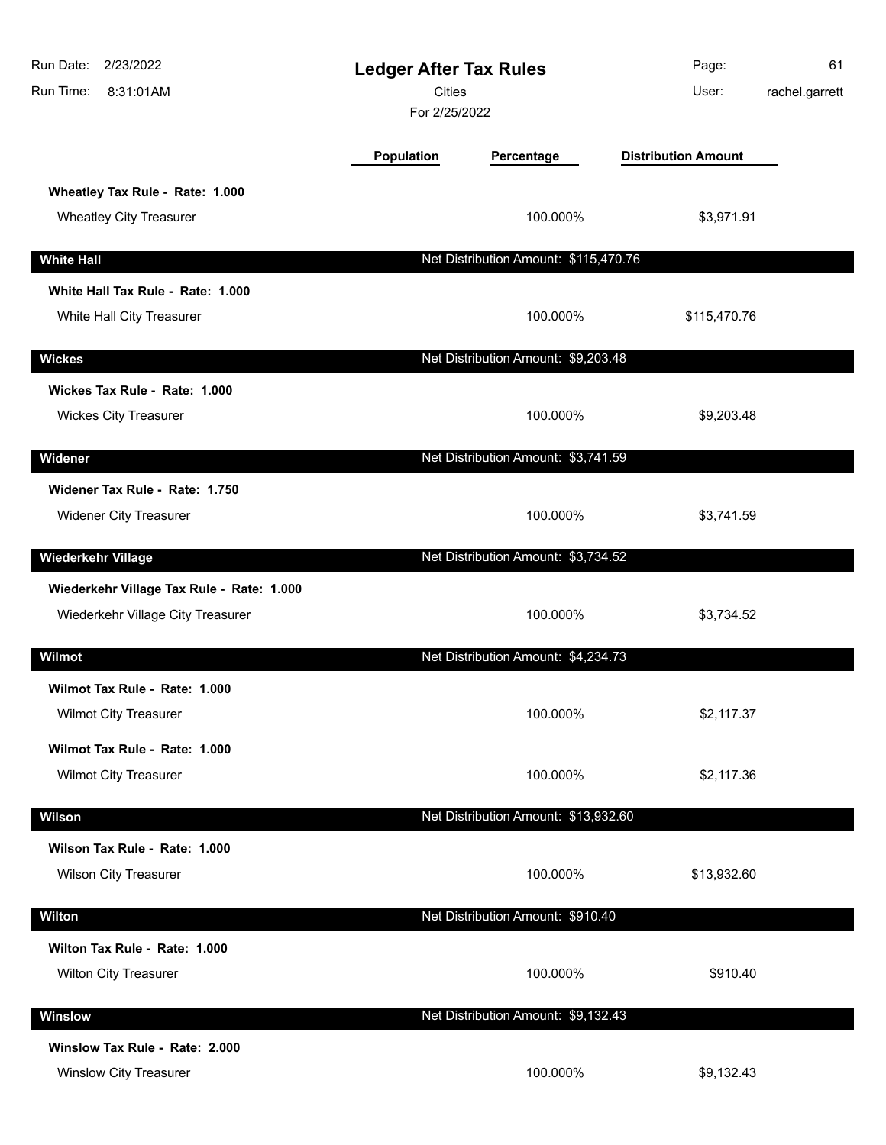| Run Date: 2/23/2022<br>8:31:01AM<br>Run Time:                                  | <b>Ledger After Tax Rules</b><br><b>Cities</b><br>For 2/25/2022 |                                       | Page:<br>User:             | 61<br>rachel.garrett |
|--------------------------------------------------------------------------------|-----------------------------------------------------------------|---------------------------------------|----------------------------|----------------------|
|                                                                                | Population                                                      | Percentage                            | <b>Distribution Amount</b> |                      |
| Wheatley Tax Rule - Rate: 1.000<br><b>Wheatley City Treasurer</b>              |                                                                 | 100.000%                              | \$3,971.91                 |                      |
| <b>White Hall</b>                                                              |                                                                 | Net Distribution Amount: \$115,470.76 |                            |                      |
| White Hall Tax Rule - Rate: 1.000                                              |                                                                 |                                       |                            |                      |
| White Hall City Treasurer                                                      |                                                                 | 100.000%                              | \$115,470.76               |                      |
| <b>Wickes</b>                                                                  |                                                                 | Net Distribution Amount: \$9,203.48   |                            |                      |
| Wickes Tax Rule - Rate: 1.000                                                  |                                                                 |                                       |                            |                      |
| <b>Wickes City Treasurer</b>                                                   |                                                                 | 100.000%                              | \$9,203.48                 |                      |
| Widener                                                                        |                                                                 | Net Distribution Amount: \$3,741.59   |                            |                      |
| Widener Tax Rule - Rate: 1.750                                                 |                                                                 |                                       |                            |                      |
| <b>Widener City Treasurer</b>                                                  |                                                                 | 100.000%                              | \$3,741.59                 |                      |
| <b>Wiederkehr Village</b>                                                      |                                                                 | Net Distribution Amount: \$3,734.52   |                            |                      |
| Wiederkehr Village Tax Rule - Rate: 1.000<br>Wiederkehr Village City Treasurer |                                                                 | 100.000%                              | \$3,734.52                 |                      |
| Wilmot                                                                         |                                                                 | Net Distribution Amount: \$4,234.73   |                            |                      |
| Wilmot Tax Rule - Rate: 1.000<br><b>Wilmot City Treasurer</b>                  |                                                                 | 100.000%                              | \$2,117.37                 |                      |
| Wilmot Tax Rule - Rate: 1.000<br>Wilmot City Treasurer                         |                                                                 | 100.000%                              | \$2,117.36                 |                      |
| Wilson                                                                         |                                                                 | Net Distribution Amount: \$13,932.60  |                            |                      |
| Wilson Tax Rule - Rate: 1.000<br><b>Wilson City Treasurer</b>                  |                                                                 | 100.000%                              | \$13,932.60                |                      |
| <b>Wilton</b>                                                                  |                                                                 | Net Distribution Amount: \$910.40     |                            |                      |
| Wilton Tax Rule - Rate: 1.000                                                  |                                                                 |                                       |                            |                      |
| <b>Wilton City Treasurer</b>                                                   |                                                                 | 100.000%                              | \$910.40                   |                      |
| Winslow                                                                        |                                                                 | Net Distribution Amount: \$9,132.43   |                            |                      |
| Winslow Tax Rule - Rate: 2.000<br>Winslow City Treasurer                       |                                                                 | 100.000%                              | \$9,132.43                 |                      |